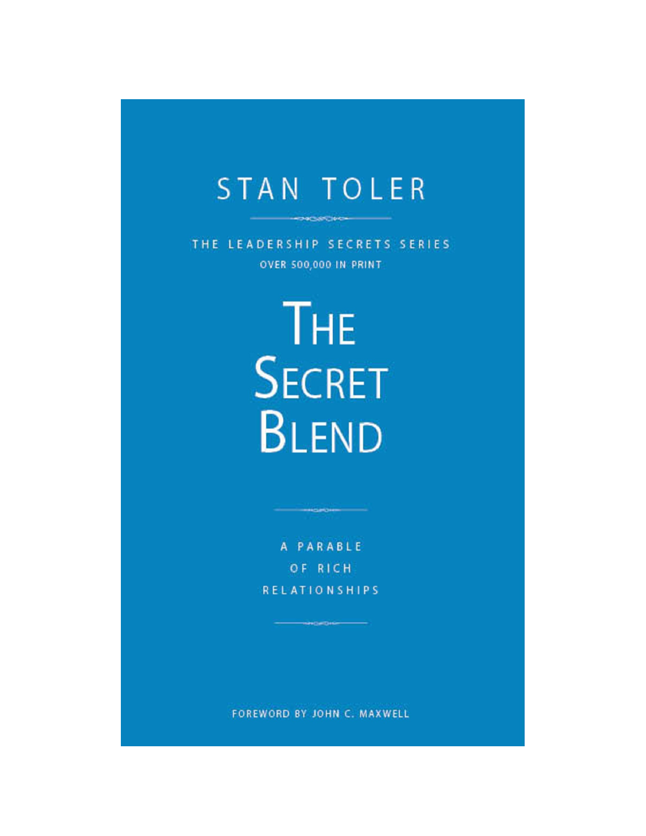# STAN TOLER

THE LEADERSHIP SECRETS SERIES OVER 500,000 IN PRINT

> THE **SECRET BLEND**

A PARABLE OF RICH **RELATIONSHIPS** 

FOREWORD BY JOHN C. MAXWELL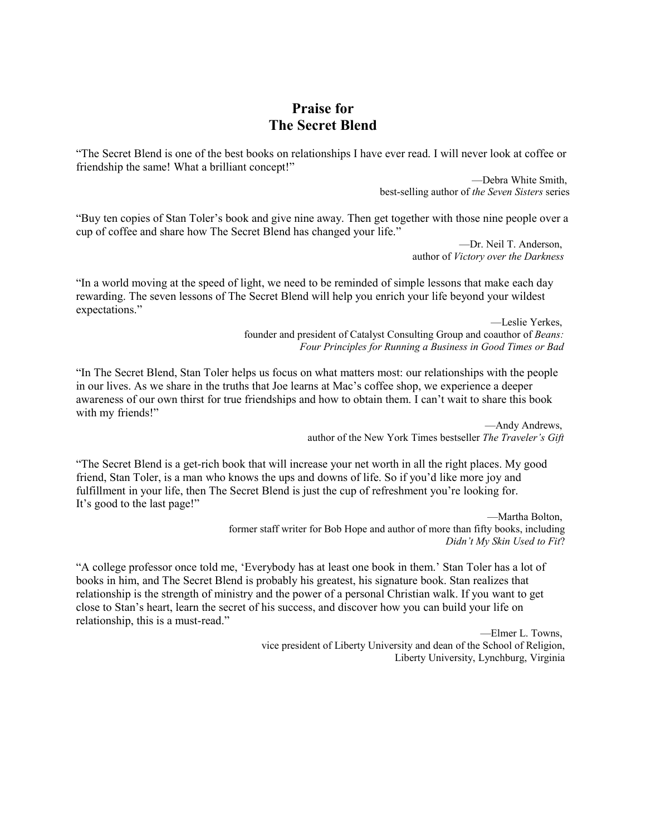# <span id="page-2-0"></span>**Praise for The Secret Blend**

"The Secret Blend is one of the best books on relationships I have ever read. I will never look at coffee or friendship the same! What a brilliant concept!"

> —Debra White Smith, best-selling author of *the Seven Sisters* series

"Buy ten copies of Stan Toler's book and give nine away. Then get together with those nine people over a cup of coffee and share how The Secret Blend has changed your life."

> —Dr. Neil T. Anderson, author of *Victory over the Darkness*

"In a world moving at the speed of light, we need to be reminded of simple lessons that make each day rewarding. The seven lessons of The Secret Blend will help you enrich your life beyond your wildest expectations."

> —Leslie Yerkes, founder and president of Catalyst Consulting Group and coauthor of *Beans: Four Principles for Running a Business in Good Times or Bad*

"In The Secret Blend, Stan Toler helps us focus on what matters most: our relationships with the people in our lives. As we share in the truths that Joe learns at Mac's coffee shop, we experience a deeper awareness of our own thirst for true friendships and how to obtain them. I can't wait to share this book with my friends!"

> —Andy Andrews, author of the New York Times bestseller *The Traveler's Gift*

"The Secret Blend is a get-rich book that will increase your net worth in all the right places. My good friend, Stan Toler, is a man who knows the ups and downs of life. So if you'd like more joy and fulfillment in your life, then The Secret Blend is just the cup of refreshment you're looking for. It's good to the last page!"

—Martha Bolton, former staff writer for Bob Hope and author of more than fifty books, including *Didn't My Skin Used to Fit*?

"A college professor once told me, 'Everybody has at least one book in them.' Stan Toler has a lot of books in him, and The Secret Blend is probably his greatest, his signature book. Stan realizes that relationship is the strength of ministry and the power of a personal Christian walk. If you want to get close to Stan's heart, learn the secret of his success, and discover how you can build your life on relationship, this is a must-read."

> —Elmer L. Towns, vice president of Liberty University and dean of the School of Religion, Liberty University, Lynchburg, Virginia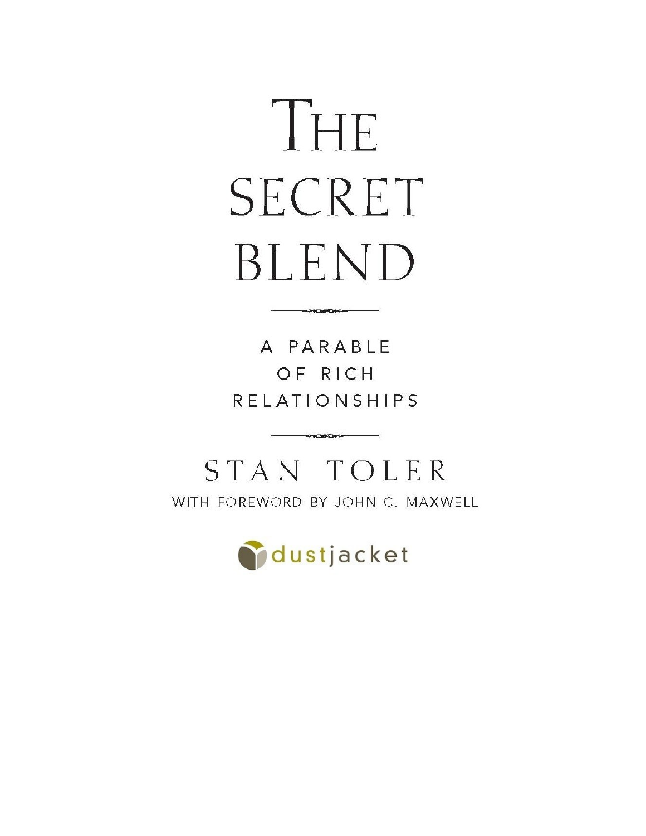# THE SECRET BLEND

A PARABLE OF RICH **RELATIONSHIPS** 

# STAN TOLER

WITH FOREWORD BY JOHN C. MAXWELL

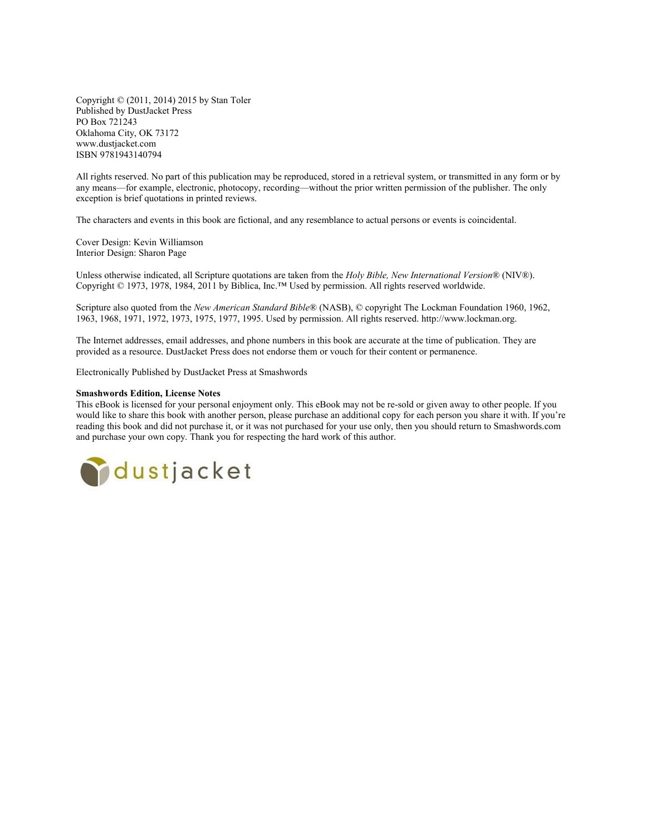<span id="page-4-0"></span>Copyright © (2011, 2014) 2015 by Stan Toler Published by DustJacket Press PO Box 721243 Oklahoma City, OK 73172 www.dustjacket.com ISBN 9781943140794

All rights reserved. No part of this publication may be reproduced, stored in a retrieval system, or transmitted in any form or by any means—for example, electronic, photocopy, recording—without the prior written permission of the publisher. The only exception is brief quotations in printed reviews.

The characters and events in this book are fictional, and any resemblance to actual persons or events is coincidental.

Cover Design: Kevin Williamson Interior Design: Sharon Page

Unless otherwise indicated, all Scripture quotations are taken from the *Holy Bible, New International Version*® (NIV®). Copyright © 1973, 1978, 1984, 2011 by Biblica, Inc.™ Used by permission. All rights reserved worldwide.

Scripture also quoted from the *New American Standard Bible*® (NASB), © copyright The Lockman Foundation 1960, 1962, 1963, 1968, 1971, 1972, 1973, 1975, 1977, 1995. Used by permission. All rights reserved. http://www.lockman.org.

The Internet addresses, email addresses, and phone numbers in this book are accurate at the time of publication. They are provided as a resource. DustJacket Press does not endorse them or vouch for their content or permanence.

Electronically Published by DustJacket Press at Smashwords

#### **Smashwords Edition, License Notes**

This eBook is licensed for your personal enjoyment only. This eBook may not be re-sold or given away to other people. If you would like to share this book with another person, please purchase an additional copy for each person you share it with. If you're reading this book and did not purchase it, or it was not purchased for your use only, then you should return to Smashwords.com and purchase your own copy. Thank you for respecting the hard work of this author.

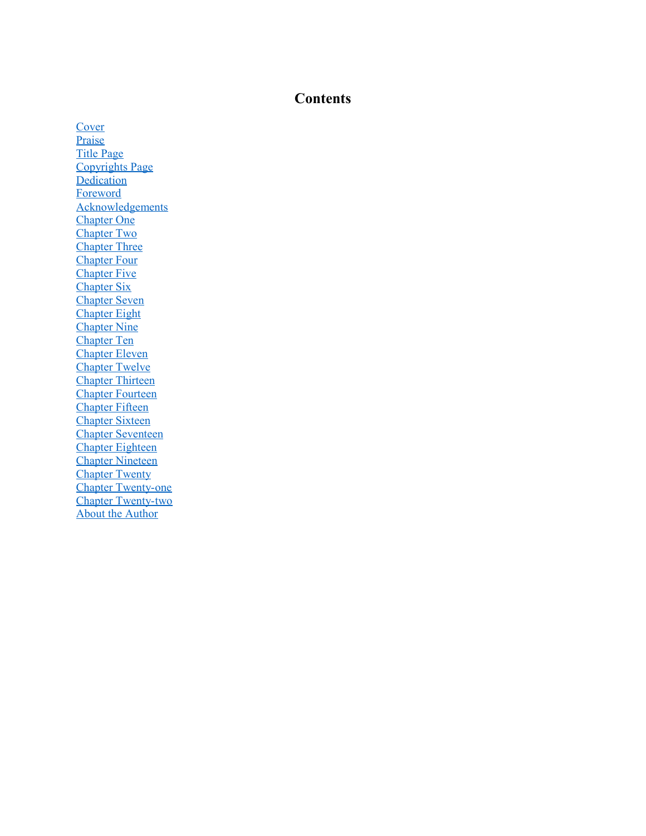## <span id="page-5-0"></span>**Contents**

**[Cover](#page-0-0)** [Praise](#page-2-0) [Title Page](#page-3-0) [Copyrights Page](#page-4-0) [Dedication](#page-5-0) [Foreword](#page-7-0) **[Acknowledgements](#page-8-0)** [Chapter One](#page-9-0) [Chapter Two](#page-12-0) [Chapter Three](#page-16-0) [Chapter Four](#page-18-0) [Chapter Five](#page-21-0) [Chapter Six](#page-23-0) [Chapter Seven](#page-25-0) [Chapter Eight](#page-27-0) [Chapter Nine](#page-29-0) [Chapter Ten](#page-31-0) [Chapter Eleven](#page-33-0) [Chapter Twelve](#page-36-0) [Chapter Thirteen](#page-39-0) [Chapter Fourteen](#page-41-0) [Chapter Fifteen](#page-43-0) [Chapter Sixteen](#page-45-0) [Chapter Seventeen](#page-47-0) [Chapter Eighteen](#page-49-0) [Chapter Nineteen](#page-51-0) [Chapter Twenty](#page-54-0) [Chapter Twenty-one](#page-56-0) [Chapter Twenty-two](#page-58-0) [About the Author](#page-60-0)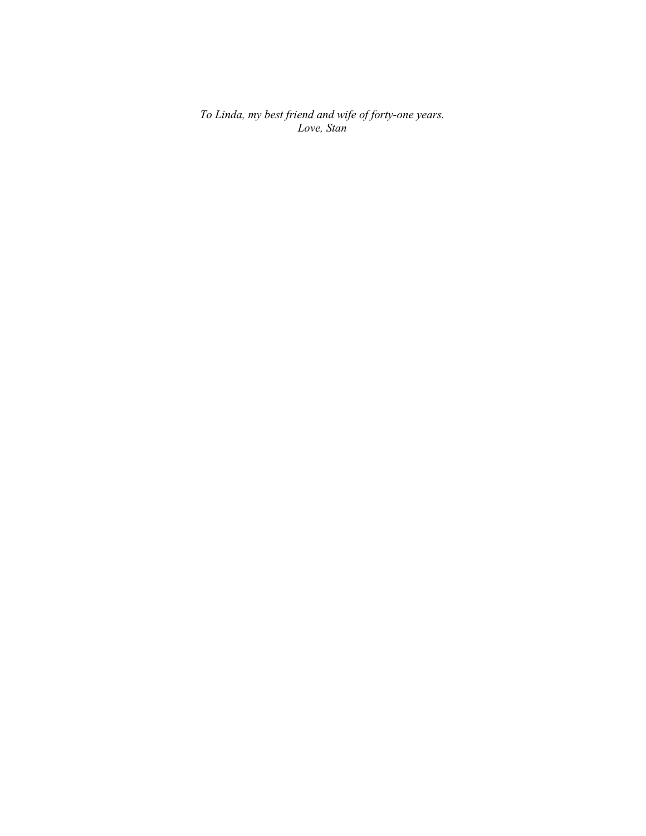*To Linda, my best friend and wife of forty-one years. Love, Stan*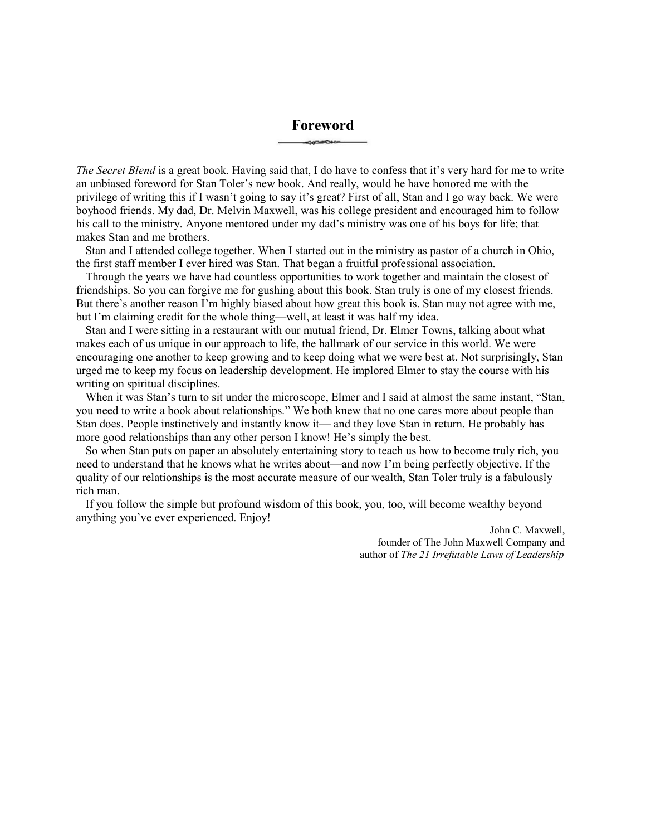### <span id="page-7-0"></span>**Foreword**

*The Secret Blend* is a great book. Having said that, I do have to confess that it's very hard for me to write an unbiased foreword for Stan Toler's new book. And really, would he have honored me with the privilege of writing this if I wasn't going to say it's great? First of all, Stan and I go way back. We were boyhood friends. My dad, Dr. Melvin Maxwell, was his college president and encouraged him to follow his call to the ministry. Anyone mentored under my dad's ministry was one of his boys for life; that makes Stan and me brothers.

Stan and I attended college together. When I started out in the ministry as pastor of a church in Ohio, the first staff member I ever hired was Stan. That began a fruitful professional association.

Through the years we have had countless opportunities to work together and maintain the closest of friendships. So you can forgive me for gushing about this book. Stan truly is one of my closest friends. But there's another reason I'm highly biased about how great this book is. Stan may not agree with me, but I'm claiming credit for the whole thing—well, at least it was half my idea.

Stan and I were sitting in a restaurant with our mutual friend, Dr. Elmer Towns, talking about what makes each of us unique in our approach to life, the hallmark of our service in this world. We were encouraging one another to keep growing and to keep doing what we were best at. Not surprisingly, Stan urged me to keep my focus on leadership development. He implored Elmer to stay the course with his writing on spiritual disciplines.

When it was Stan's turn to sit under the microscope, Elmer and I said at almost the same instant, "Stan, you need to write a book about relationships." We both knew that no one cares more about people than Stan does. People instinctively and instantly know it— and they love Stan in return. He probably has more good relationships than any other person I know! He's simply the best.

So when Stan puts on paper an absolutely entertaining story to teach us how to become truly rich, you need to understand that he knows what he writes about—and now I'm being perfectly objective. If the quality of our relationships is the most accurate measure of our wealth, Stan Toler truly is a fabulously rich man.

If you follow the simple but profound wisdom of this book, you, too, will become wealthy beyond anything you've ever experienced. Enjoy!

> —John C. Maxwell, founder of The John Maxwell Company and author of *The 21 Irrefutable Laws of Leadership*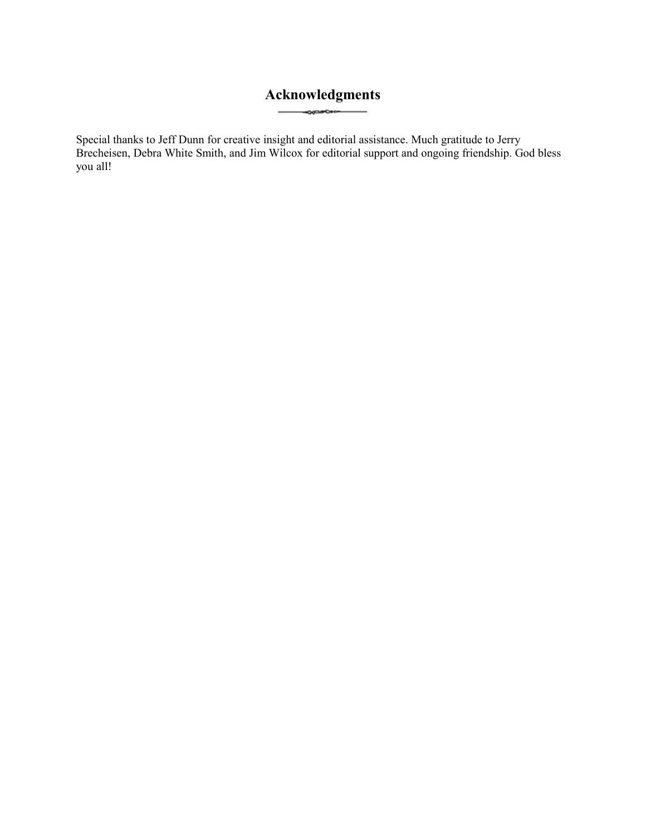## <span id="page-8-0"></span>**Acknowledgments OUTDIRER**

 $\overline{\phantom{a}}$ 

Special thanks to Jeff Dunn for creative insight and editorial assistance. Much gratitude to Jerry Brecheisen, Debra White Smith, and Jim Wilcox for editorial support and ongoing friendship. God bless you all!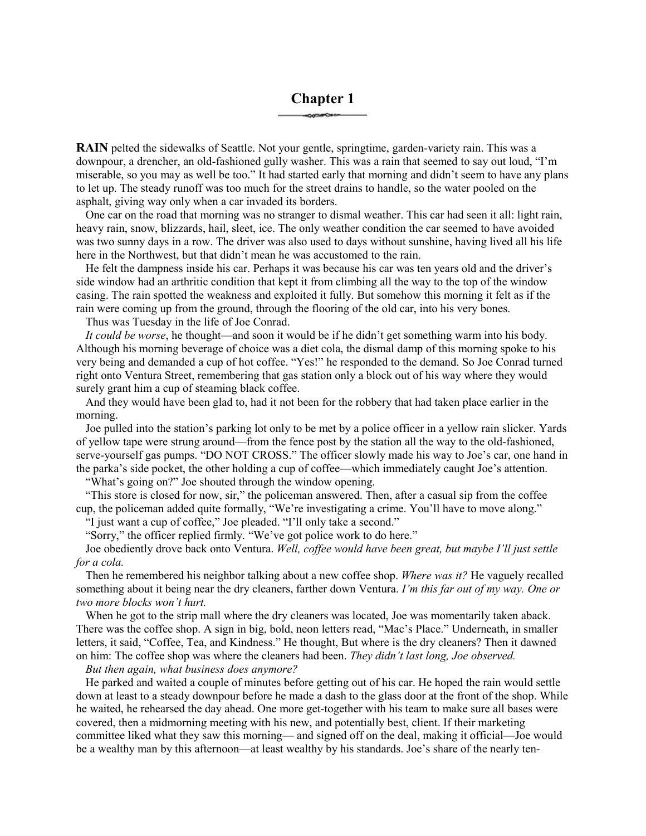<span id="page-9-0"></span>**RAIN** pelted the sidewalks of Seattle. Not your gentle, springtime, garden-variety rain. This was a downpour, a drencher, an old-fashioned gully washer. This was a rain that seemed to say out loud, "I'm miserable, so you may as well be too." It had started early that morning and didn't seem to have any plans to let up. The steady runoff was too much for the street drains to handle, so the water pooled on the asphalt, giving way only when a car invaded its borders.

One car on the road that morning was no stranger to dismal weather. This car had seen it all: light rain, heavy rain, snow, blizzards, hail, sleet, ice. The only weather condition the car seemed to have avoided was two sunny days in a row. The driver was also used to days without sunshine, having lived all his life here in the Northwest, but that didn't mean he was accustomed to the rain.

He felt the dampness inside his car. Perhaps it was because his car was ten years old and the driver's side window had an arthritic condition that kept it from climbing all the way to the top of the window casing. The rain spotted the weakness and exploited it fully. But somehow this morning it felt as if the rain were coming up from the ground, through the flooring of the old car, into his very bones.

Thus was Tuesday in the life of Joe Conrad.

*It could be worse*, he thought—and soon it would be if he didn't get something warm into his body. Although his morning beverage of choice was a diet cola, the dismal damp of this morning spoke to his very being and demanded a cup of hot coffee. "Yes!" he responded to the demand. So Joe Conrad turned right onto Ventura Street, remembering that gas station only a block out of his way where they would surely grant him a cup of steaming black coffee.

And they would have been glad to, had it not been for the robbery that had taken place earlier in the morning.

Joe pulled into the station's parking lot only to be met by a police officer in a yellow rain slicker. Yards of yellow tape were strung around—from the fence post by the station all the way to the old-fashioned, serve-yourself gas pumps. "DO NOT CROSS." The officer slowly made his way to Joe's car, one hand in the parka's side pocket, the other holding a cup of coffee—which immediately caught Joe's attention.

"What's going on?" Joe shouted through the window opening.

"This store is closed for now, sir," the policeman answered. Then, after a casual sip from the coffee cup, the policeman added quite formally, "We're investigating a crime. You'll have to move along."

"I just want a cup of coffee," Joe pleaded. "I'll only take a second."

"Sorry," the officer replied firmly. "We've got police work to do here."

Joe obediently drove back onto Ventura. *Well, coffee would have been great, but maybe I'll just settle for a cola.*

Then he remembered his neighbor talking about a new coffee shop. *Where was it?* He vaguely recalled something about it being near the dry cleaners, farther down Ventura. *I'm this far out of my way. One or two more blocks won't hurt.*

When he got to the strip mall where the dry cleaners was located, Joe was momentarily taken aback. There was the coffee shop. A sign in big, bold, neon letters read, "Mac's Place." Underneath, in smaller letters, it said, "Coffee, Tea, and Kindness." He thought, But where is the dry cleaners? Then it dawned on him: The coffee shop was where the cleaners had been. *They didn't last long, Joe observed.*

*But then again, what business does anymore?*

He parked and waited a couple of minutes before getting out of his car. He hoped the rain would settle down at least to a steady downpour before he made a dash to the glass door at the front of the shop. While he waited, he rehearsed the day ahead. One more get-together with his team to make sure all bases were covered, then a midmorning meeting with his new, and potentially best, client. If their marketing committee liked what they saw this morning— and signed off on the deal, making it official—Joe would be a wealthy man by this afternoon—at least wealthy by his standards. Joe's share of the nearly ten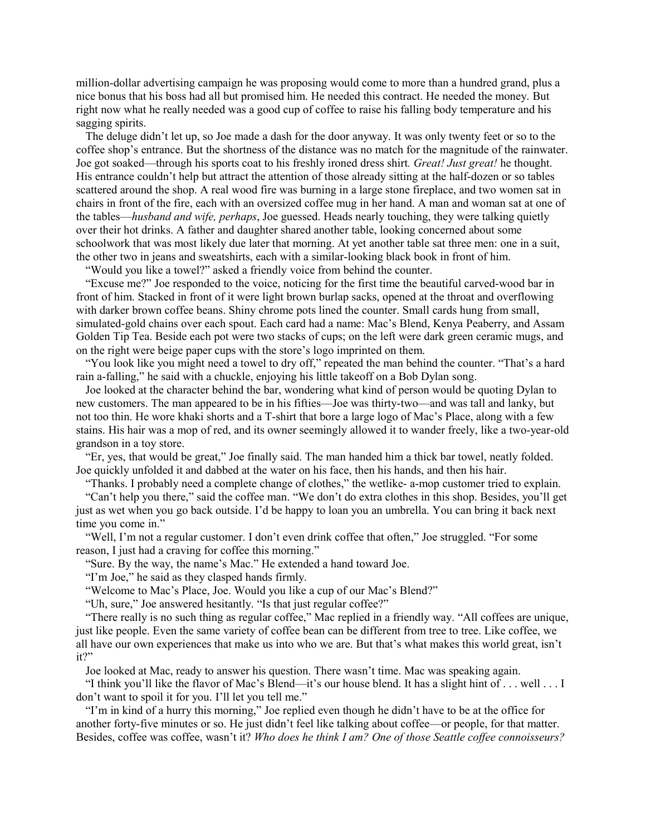million-dollar advertising campaign he was proposing would come to more than a hundred grand, plus a nice bonus that his boss had all but promised him. He needed this contract. He needed the money. But right now what he really needed was a good cup of coffee to raise his falling body temperature and his sagging spirits.

The deluge didn't let up, so Joe made a dash for the door anyway. It was only twenty feet or so to the coffee shop's entrance. But the shortness of the distance was no match for the magnitude of the rainwater. Joe got soaked—through his sports coat to his freshly ironed dress shirt*. Great! Just great!* he thought. His entrance couldn't help but attract the attention of those already sitting at the half-dozen or so tables scattered around the shop. A real wood fire was burning in a large stone fireplace, and two women sat in chairs in front of the fire, each with an oversized coffee mug in her hand. A man and woman sat at one of the tables—*husband and wife, perhaps*, Joe guessed. Heads nearly touching, they were talking quietly over their hot drinks. A father and daughter shared another table, looking concerned about some schoolwork that was most likely due later that morning. At yet another table sat three men: one in a suit, the other two in jeans and sweatshirts, each with a similar-looking black book in front of him.

"Would you like a towel?" asked a friendly voice from behind the counter.

"Excuse me?" Joe responded to the voice, noticing for the first time the beautiful carved-wood bar in front of him. Stacked in front of it were light brown burlap sacks, opened at the throat and overflowing with darker brown coffee beans. Shiny chrome pots lined the counter. Small cards hung from small, simulated-gold chains over each spout. Each card had a name: Mac's Blend, Kenya Peaberry, and Assam Golden Tip Tea. Beside each pot were two stacks of cups; on the left were dark green ceramic mugs, and on the right were beige paper cups with the store's logo imprinted on them.

"You look like you might need a towel to dry off," repeated the man behind the counter. "That's a hard rain a-falling," he said with a chuckle, enjoying his little takeoff on a Bob Dylan song.

Joe looked at the character behind the bar, wondering what kind of person would be quoting Dylan to new customers. The man appeared to be in his fifties—Joe was thirty-two—and was tall and lanky, but not too thin. He wore khaki shorts and a T-shirt that bore a large logo of Mac's Place, along with a few stains. His hair was a mop of red, and its owner seemingly allowed it to wander freely, like a two-year-old grandson in a toy store.

"Er, yes, that would be great," Joe finally said. The man handed him a thick bar towel, neatly folded. Joe quickly unfolded it and dabbed at the water on his face, then his hands, and then his hair.

"Thanks. I probably need a complete change of clothes," the wetlike- a-mop customer tried to explain.

"Can't help you there," said the coffee man. "We don't do extra clothes in this shop. Besides, you'll get just as wet when you go back outside. I'd be happy to loan you an umbrella. You can bring it back next time you come in."

"Well, I'm not a regular customer. I don't even drink coffee that often," Joe struggled. "For some reason, I just had a craving for coffee this morning."

"Sure. By the way, the name's Mac." He extended a hand toward Joe.

"I'm Joe," he said as they clasped hands firmly.

"Welcome to Mac's Place, Joe. Would you like a cup of our Mac's Blend?"

"Uh, sure," Joe answered hesitantly. "Is that just regular coffee?"

"There really is no such thing as regular coffee," Mac replied in a friendly way. "All coffees are unique, just like people. Even the same variety of coffee bean can be different from tree to tree. Like coffee, we all have our own experiences that make us into who we are. But that's what makes this world great, isn't it?"

Joe looked at Mac, ready to answer his question. There wasn't time. Mac was speaking again.

"I think you'll like the flavor of Mac's Blend—it's our house blend. It has a slight hint of . . . well . . . I don't want to spoil it for you. I'll let you tell me."

"I'm in kind of a hurry this morning," Joe replied even though he didn't have to be at the office for another forty-five minutes or so. He just didn't feel like talking about coffee—or people, for that matter. Besides, coffee was coffee, wasn't it? *Who does he think I am? One of those Seattle coffee connoisseurs?*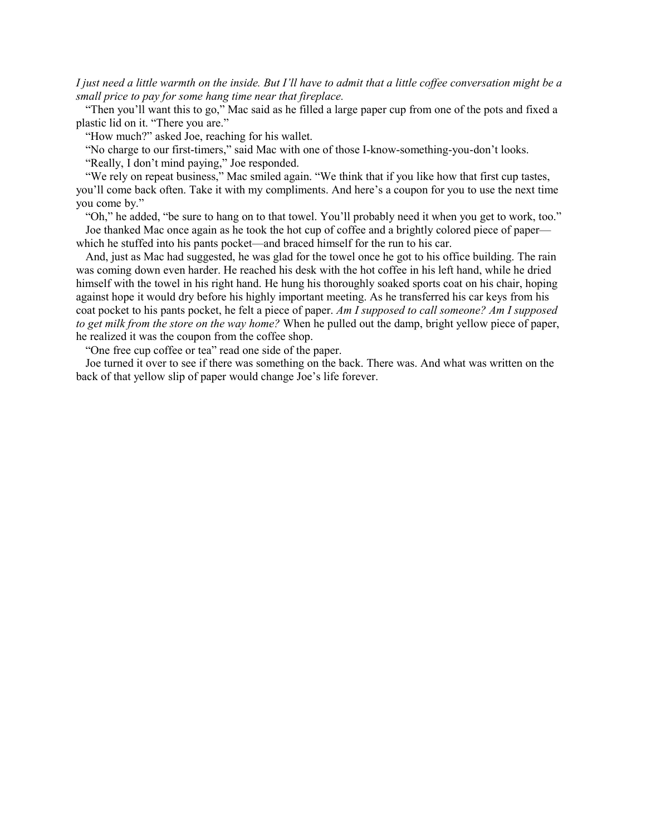*I just need a little warmth on the inside. But I'll have to admit that a little coffee conversation might be a small price to pay for some hang time near that fireplace.*

"Then you'll want this to go," Mac said as he filled a large paper cup from one of the pots and fixed a plastic lid on it. "There you are."

"How much?" asked Joe, reaching for his wallet.

"No charge to our first-timers," said Mac with one of those I-know-something-you-don't looks. "Really, I don't mind paying," Joe responded.

"We rely on repeat business," Mac smiled again. "We think that if you like how that first cup tastes, you'll come back often. Take it with my compliments. And here's a coupon for you to use the next time you come by."

"Oh," he added, "be sure to hang on to that towel. You'll probably need it when you get to work, too."

Joe thanked Mac once again as he took the hot cup of coffee and a brightly colored piece of paper which he stuffed into his pants pocket—and braced himself for the run to his car.

And, just as Mac had suggested, he was glad for the towel once he got to his office building. The rain was coming down even harder. He reached his desk with the hot coffee in his left hand, while he dried himself with the towel in his right hand. He hung his thoroughly soaked sports coat on his chair, hoping against hope it would dry before his highly important meeting. As he transferred his car keys from his coat pocket to his pants pocket, he felt a piece of paper. *Am I supposed to call someone? Am I supposed to get milk from the store on the way home?* When he pulled out the damp, bright yellow piece of paper, he realized it was the coupon from the coffee shop.

"One free cup coffee or tea" read one side of the paper.

Joe turned it over to see if there was something on the back. There was. And what was written on the back of that yellow slip of paper would change Joe's life forever.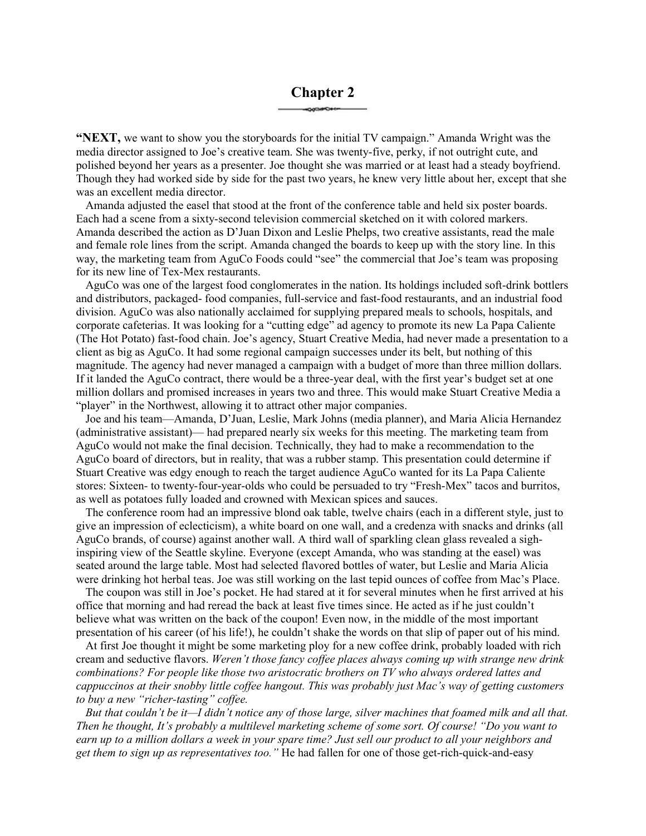<span id="page-12-0"></span>**"NEXT,** we want to show you the storyboards for the initial TV campaign." Amanda Wright was the media director assigned to Joe's creative team. She was twenty-five, perky, if not outright cute, and polished beyond her years as a presenter. Joe thought she was married or at least had a steady boyfriend. Though they had worked side by side for the past two years, he knew very little about her, except that she was an excellent media director.

Amanda adjusted the easel that stood at the front of the conference table and held six poster boards. Each had a scene from a sixty-second television commercial sketched on it with colored markers. Amanda described the action as D'Juan Dixon and Leslie Phelps, two creative assistants, read the male and female role lines from the script. Amanda changed the boards to keep up with the story line. In this way, the marketing team from AguCo Foods could "see" the commercial that Joe's team was proposing for its new line of Tex-Mex restaurants.

AguCo was one of the largest food conglomerates in the nation. Its holdings included soft-drink bottlers and distributors, packaged- food companies, full-service and fast-food restaurants, and an industrial food division. AguCo was also nationally acclaimed for supplying prepared meals to schools, hospitals, and corporate cafeterias. It was looking for a "cutting edge" ad agency to promote its new La Papa Caliente (The Hot Potato) fast-food chain. Joe's agency, Stuart Creative Media, had never made a presentation to a client as big as AguCo. It had some regional campaign successes under its belt, but nothing of this magnitude. The agency had never managed a campaign with a budget of more than three million dollars. If it landed the AguCo contract, there would be a three-year deal, with the first year's budget set at one million dollars and promised increases in years two and three. This would make Stuart Creative Media a "player" in the Northwest, allowing it to attract other major companies.

Joe and his team—Amanda, D'Juan, Leslie, Mark Johns (media planner), and Maria Alicia Hernandez (administrative assistant)— had prepared nearly six weeks for this meeting. The marketing team from AguCo would not make the final decision. Technically, they had to make a recommendation to the AguCo board of directors, but in reality, that was a rubber stamp. This presentation could determine if Stuart Creative was edgy enough to reach the target audience AguCo wanted for its La Papa Caliente stores: Sixteen- to twenty-four-year-olds who could be persuaded to try "Fresh-Mex" tacos and burritos, as well as potatoes fully loaded and crowned with Mexican spices and sauces.

The conference room had an impressive blond oak table, twelve chairs (each in a different style, just to give an impression of eclecticism), a white board on one wall, and a credenza with snacks and drinks (all AguCo brands, of course) against another wall. A third wall of sparkling clean glass revealed a sighinspiring view of the Seattle skyline. Everyone (except Amanda, who was standing at the easel) was seated around the large table. Most had selected flavored bottles of water, but Leslie and Maria Alicia were drinking hot herbal teas. Joe was still working on the last tepid ounces of coffee from Mac's Place.

The coupon was still in Joe's pocket. He had stared at it for several minutes when he first arrived at his office that morning and had reread the back at least five times since. He acted as if he just couldn't believe what was written on the back of the coupon! Even now, in the middle of the most important presentation of his career (of his life!), he couldn't shake the words on that slip of paper out of his mind.

At first Joe thought it might be some marketing ploy for a new coffee drink, probably loaded with rich cream and seductive flavors. *Weren't those fancy coffee places always coming up with strange new drink combinations? For people like those two aristocratic brothers on TV who always ordered lattes and cappuccinos at their snobby little coffee hangout. This was probably just Mac's way of getting customers to buy a new "richer-tasting" coffee.* 

*But that couldn't be it—I didn't notice any of those large, silver machines that foamed milk and all that. Then he thought, It's probably a multilevel marketing scheme of some sort. Of course! "Do you want to earn up to a million dollars a week in your spare time? Just sell our product to all your neighbors and get them to sign up as representatives too."* He had fallen for one of those get-rich-quick-and-easy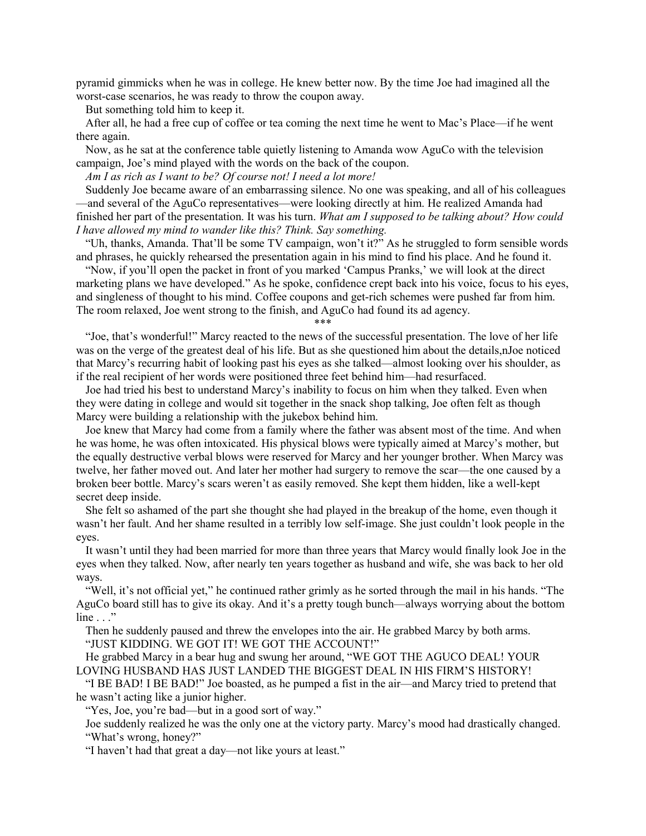pyramid gimmicks when he was in college. He knew better now. By the time Joe had imagined all the worst-case scenarios, he was ready to throw the coupon away.

But something told him to keep it.

After all, he had a free cup of coffee or tea coming the next time he went to Mac's Place—if he went there again.

Now, as he sat at the conference table quietly listening to Amanda wow AguCo with the television campaign, Joe's mind played with the words on the back of the coupon.

*Am I as rich as I want to be? Of course not! I need a lot more!*

Suddenly Joe became aware of an embarrassing silence. No one was speaking, and all of his colleagues —and several of the AguCo representatives—were looking directly at him. He realized Amanda had finished her part of the presentation. It was his turn. *What am I supposed to be talking about? How could I have allowed my mind to wander like this? Think. Say something.*

"Uh, thanks, Amanda. That'll be some TV campaign, won't it?" As he struggled to form sensible words and phrases, he quickly rehearsed the presentation again in his mind to find his place. And he found it.

"Now, if you'll open the packet in front of you marked 'Campus Pranks,' we will look at the direct marketing plans we have developed." As he spoke, confidence crept back into his voice, focus to his eyes, and singleness of thought to his mind. Coffee coupons and get-rich schemes were pushed far from him. The room relaxed, Joe went strong to the finish, and AguCo had found its ad agency.

\*\*\*

"Joe, that's wonderful!" Marcy reacted to the news of the successful presentation. The love of her life was on the verge of the greatest deal of his life. But as she questioned him about the details,nJoe noticed that Marcy's recurring habit of looking past his eyes as she talked—almost looking over his shoulder, as if the real recipient of her words were positioned three feet behind him—had resurfaced.

Joe had tried his best to understand Marcy's inability to focus on him when they talked. Even when they were dating in college and would sit together in the snack shop talking, Joe often felt as though Marcy were building a relationship with the jukebox behind him.

Joe knew that Marcy had come from a family where the father was absent most of the time. And when he was home, he was often intoxicated. His physical blows were typically aimed at Marcy's mother, but the equally destructive verbal blows were reserved for Marcy and her younger brother. When Marcy was twelve, her father moved out. And later her mother had surgery to remove the scar—the one caused by a broken beer bottle. Marcy's scars weren't as easily removed. She kept them hidden, like a well-kept secret deep inside.

She felt so ashamed of the part she thought she had played in the breakup of the home, even though it wasn't her fault. And her shame resulted in a terribly low self-image. She just couldn't look people in the eyes.

It wasn't until they had been married for more than three years that Marcy would finally look Joe in the eyes when they talked. Now, after nearly ten years together as husband and wife, she was back to her old ways.

"Well, it's not official yet," he continued rather grimly as he sorted through the mail in his hands. "The AguCo board still has to give its okay. And it's a pretty tough bunch—always worrying about the bottom line . . ."

Then he suddenly paused and threw the envelopes into the air. He grabbed Marcy by both arms. "JUST KIDDING. WE GOT IT! WE GOT THE ACCOUNT!"

He grabbed Marcy in a bear hug and swung her around, "WE GOT THE AGUCO DEAL! YOUR LOVING HUSBAND HAS JUST LANDED THE BIGGEST DEAL IN HIS FIRM'S HISTORY!

"I BE BAD! I BE BAD!" Joe boasted, as he pumped a fist in the air—and Marcy tried to pretend that he wasn't acting like a junior higher.

"Yes, Joe, you're bad—but in a good sort of way."

Joe suddenly realized he was the only one at the victory party. Marcy's mood had drastically changed. "What's wrong, honey?"

"I haven't had that great a day—not like yours at least."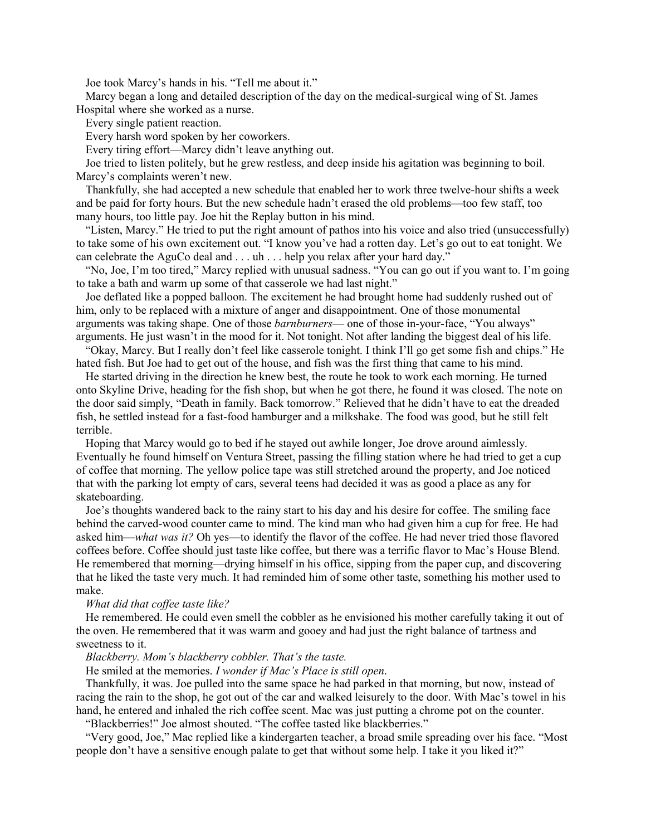Joe took Marcy's hands in his. "Tell me about it."

Marcy began a long and detailed description of the day on the medical-surgical wing of St. James Hospital where she worked as a nurse.

Every single patient reaction.

Every harsh word spoken by her coworkers.

Every tiring effort—Marcy didn't leave anything out.

Joe tried to listen politely, but he grew restless, and deep inside his agitation was beginning to boil. Marcy's complaints weren't new.

Thankfully, she had accepted a new schedule that enabled her to work three twelve-hour shifts a week and be paid for forty hours. But the new schedule hadn't erased the old problems—too few staff, too many hours, too little pay. Joe hit the Replay button in his mind.

"Listen, Marcy." He tried to put the right amount of pathos into his voice and also tried (unsuccessfully) to take some of his own excitement out. "I know you've had a rotten day. Let's go out to eat tonight. We can celebrate the AguCo deal and . . . uh . . . help you relax after your hard day."

"No, Joe, I'm too tired," Marcy replied with unusual sadness. "You can go out if you want to. I'm going to take a bath and warm up some of that casserole we had last night."

Joe deflated like a popped balloon. The excitement he had brought home had suddenly rushed out of him, only to be replaced with a mixture of anger and disappointment. One of those monumental arguments was taking shape. One of those *barnburners*— one of those in-your-face, "You always" arguments. He just wasn't in the mood for it. Not tonight. Not after landing the biggest deal of his life.

"Okay, Marcy. But I really don't feel like casserole tonight. I think I'll go get some fish and chips." He hated fish. But Joe had to get out of the house, and fish was the first thing that came to his mind.

He started driving in the direction he knew best, the route he took to work each morning. He turned onto Skyline Drive, heading for the fish shop, but when he got there, he found it was closed. The note on the door said simply, "Death in family. Back tomorrow." Relieved that he didn't have to eat the dreaded fish, he settled instead for a fast-food hamburger and a milkshake. The food was good, but he still felt terrible.

Hoping that Marcy would go to bed if he stayed out awhile longer, Joe drove around aimlessly. Eventually he found himself on Ventura Street, passing the filling station where he had tried to get a cup of coffee that morning. The yellow police tape was still stretched around the property, and Joe noticed that with the parking lot empty of cars, several teens had decided it was as good a place as any for skateboarding.

Joe's thoughts wandered back to the rainy start to his day and his desire for coffee. The smiling face behind the carved-wood counter came to mind. The kind man who had given him a cup for free. He had asked him—*what was it?* Oh yes—to identify the flavor of the coffee. He had never tried those flavored coffees before. Coffee should just taste like coffee, but there was a terrific flavor to Mac's House Blend. He remembered that morning—drying himself in his office, sipping from the paper cup, and discovering that he liked the taste very much. It had reminded him of some other taste, something his mother used to make.

#### *What did that coffee taste like?*

He remembered. He could even smell the cobbler as he envisioned his mother carefully taking it out of the oven. He remembered that it was warm and gooey and had just the right balance of tartness and sweetness to it.

#### *Blackberry. Mom's blackberry cobbler. That's the taste.*

He smiled at the memories. *I wonder if Mac's Place is still open*.

Thankfully, it was. Joe pulled into the same space he had parked in that morning, but now, instead of racing the rain to the shop, he got out of the car and walked leisurely to the door. With Mac's towel in his hand, he entered and inhaled the rich coffee scent. Mac was just putting a chrome pot on the counter.

"Blackberries!" Joe almost shouted. "The coffee tasted like blackberries."

"Very good, Joe," Mac replied like a kindergarten teacher, a broad smile spreading over his face. "Most people don't have a sensitive enough palate to get that without some help. I take it you liked it?"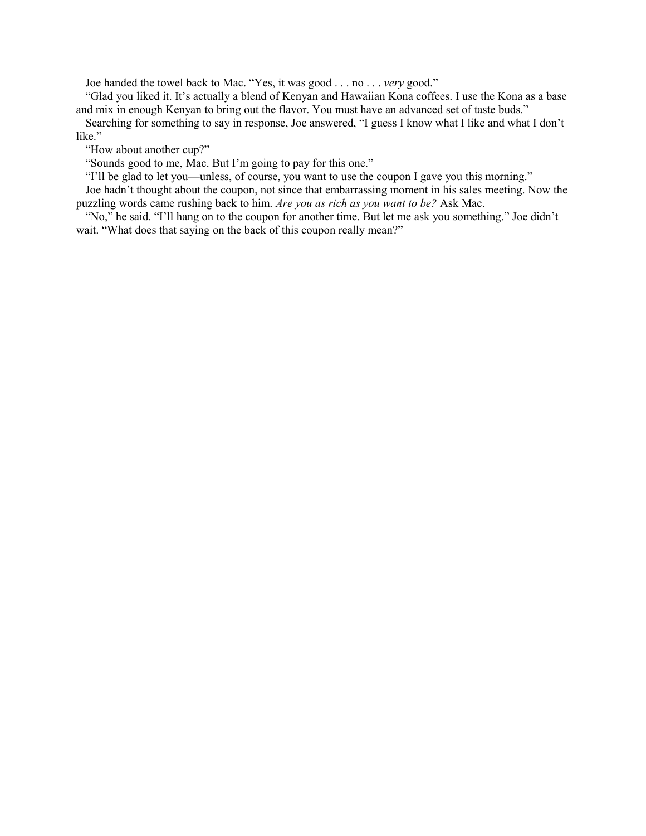Joe handed the towel back to Mac. "Yes, it was good . . . no . . . *very* good."

"Glad you liked it. It's actually a blend of Kenyan and Hawaiian Kona coffees. I use the Kona as a base and mix in enough Kenyan to bring out the flavor. You must have an advanced set of taste buds."

Searching for something to say in response, Joe answered, "I guess I know what I like and what I don't like."

"How about another cup?"

"Sounds good to me, Mac. But I'm going to pay for this one."

"I'll be glad to let you—unless, of course, you want to use the coupon I gave you this morning."

Joe hadn't thought about the coupon, not since that embarrassing moment in his sales meeting. Now the puzzling words came rushing back to him. *Are you as rich as you want to be?* Ask Mac.

"No," he said. "I'll hang on to the coupon for another time. But let me ask you something." Joe didn't wait. "What does that saying on the back of this coupon really mean?"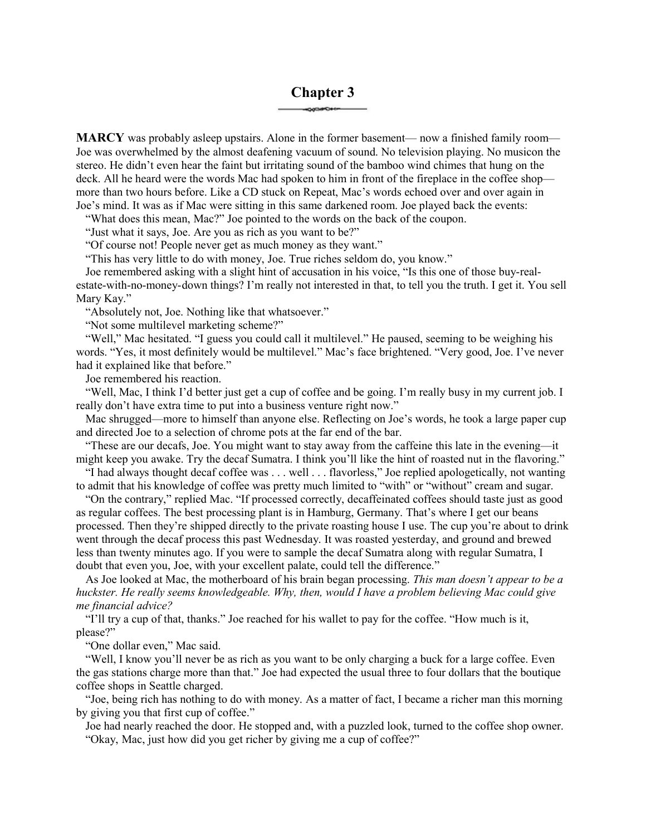<span id="page-16-0"></span>**MARCY** was probably asleep upstairs. Alone in the former basement— now a finished family room— Joe was overwhelmed by the almost deafening vacuum of sound. No television playing. No musicon the stereo. He didn't even hear the faint but irritating sound of the bamboo wind chimes that hung on the deck. All he heard were the words Mac had spoken to him in front of the fireplace in the coffee shop more than two hours before. Like a CD stuck on Repeat, Mac's words echoed over and over again in Joe's mind. It was as if Mac were sitting in this same darkened room. Joe played back the events:

"What does this mean, Mac?" Joe pointed to the words on the back of the coupon.

"Just what it says, Joe. Are you as rich as you want to be?"

"Of course not! People never get as much money as they want."

"This has very little to do with money, Joe. True riches seldom do, you know."

Joe remembered asking with a slight hint of accusation in his voice, "Is this one of those buy-realestate-with-no-money-down things? I'm really not interested in that, to tell you the truth. I get it. You sell Mary Kay."

"Absolutely not, Joe. Nothing like that whatsoever."

"Not some multilevel marketing scheme?"

"Well," Mac hesitated. "I guess you could call it multilevel." He paused, seeming to be weighing his words. "Yes, it most definitely would be multilevel." Mac's face brightened. "Very good, Joe. I've never had it explained like that before."

Joe remembered his reaction.

"Well, Mac, I think I'd better just get a cup of coffee and be going. I'm really busy in my current job. I really don't have extra time to put into a business venture right now."

Mac shrugged—more to himself than anyone else. Reflecting on Joe's words, he took a large paper cup and directed Joe to a selection of chrome pots at the far end of the bar.

"These are our decafs, Joe. You might want to stay away from the caffeine this late in the evening—it might keep you awake. Try the decaf Sumatra. I think you'll like the hint of roasted nut in the flavoring."

"I had always thought decaf coffee was . . . well . . . flavorless," Joe replied apologetically, not wanting to admit that his knowledge of coffee was pretty much limited to "with" or "without" cream and sugar.

"On the contrary," replied Mac. "If processed correctly, decaffeinated coffees should taste just as good as regular coffees. The best processing plant is in Hamburg, Germany. That's where I get our beans processed. Then they're shipped directly to the private roasting house I use. The cup you're about to drink went through the decaf process this past Wednesday. It was roasted yesterday, and ground and brewed less than twenty minutes ago. If you were to sample the decaf Sumatra along with regular Sumatra, I doubt that even you, Joe, with your excellent palate, could tell the difference."

As Joe looked at Mac, the motherboard of his brain began processing. *This man doesn't appear to be a huckster. He really seems knowledgeable. Why, then, would I have a problem believing Mac could give me financial advice?*

"I'll try a cup of that, thanks." Joe reached for his wallet to pay for the coffee. "How much is it, please?"

"One dollar even," Mac said.

"Well, I know you'll never be as rich as you want to be only charging a buck for a large coffee. Even the gas stations charge more than that." Joe had expected the usual three to four dollars that the boutique coffee shops in Seattle charged.

"Joe, being rich has nothing to do with money. As a matter of fact, I became a richer man this morning by giving you that first cup of coffee."

Joe had nearly reached the door. He stopped and, with a puzzled look, turned to the coffee shop owner. "Okay, Mac, just how did you get richer by giving me a cup of coffee?"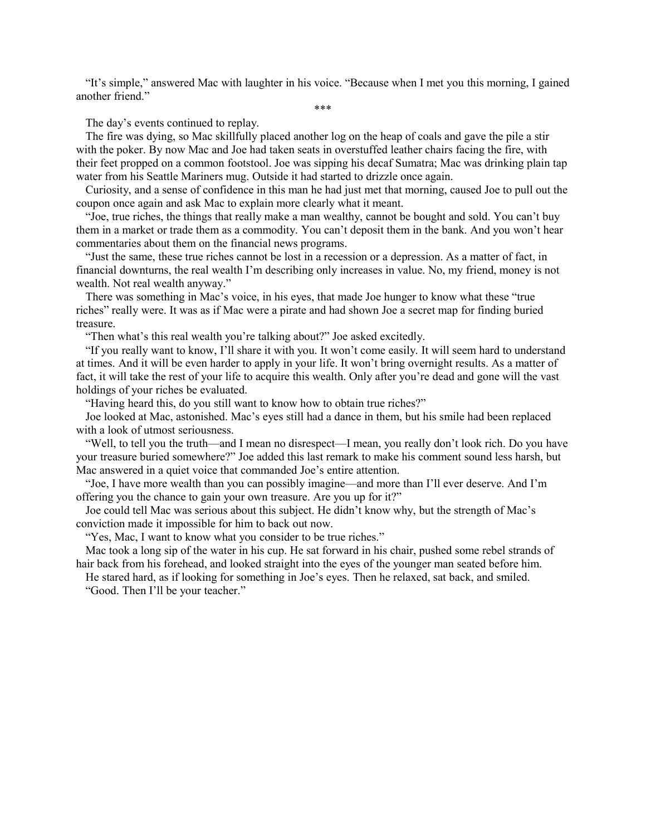"It's simple," answered Mac with laughter in his voice. "Because when I met you this morning, I gained another friend."

\*\*\*

The day's events continued to replay.

The fire was dying, so Mac skillfully placed another log on the heap of coals and gave the pile a stir with the poker. By now Mac and Joe had taken seats in overstuffed leather chairs facing the fire, with their feet propped on a common footstool. Joe was sipping his decaf Sumatra; Mac was drinking plain tap water from his Seattle Mariners mug. Outside it had started to drizzle once again.

Curiosity, and a sense of confidence in this man he had just met that morning, caused Joe to pull out the coupon once again and ask Mac to explain more clearly what it meant.

"Joe, true riches, the things that really make a man wealthy, cannot be bought and sold. You can't buy them in a market or trade them as a commodity. You can't deposit them in the bank. And you won't hear commentaries about them on the financial news programs.

"Just the same, these true riches cannot be lost in a recession or a depression. As a matter of fact, in financial downturns, the real wealth I'm describing only increases in value. No, my friend, money is not wealth. Not real wealth anyway."

There was something in Mac's voice, in his eyes, that made Joe hunger to know what these "true riches" really were. It was as if Mac were a pirate and had shown Joe a secret map for finding buried treasure.

"Then what's this real wealth you're talking about?" Joe asked excitedly.

"If you really want to know, I'll share it with you. It won't come easily. It will seem hard to understand at times. And it will be even harder to apply in your life. It won't bring overnight results. As a matter of fact, it will take the rest of your life to acquire this wealth. Only after you're dead and gone will the vast holdings of your riches be evaluated.

"Having heard this, do you still want to know how to obtain true riches?"

Joe looked at Mac, astonished. Mac's eyes still had a dance in them, but his smile had been replaced with a look of utmost seriousness.

"Well, to tell you the truth—and I mean no disrespect—I mean, you really don't look rich. Do you have your treasure buried somewhere?" Joe added this last remark to make his comment sound less harsh, but Mac answered in a quiet voice that commanded Joe's entire attention.

"Joe, I have more wealth than you can possibly imagine—and more than I'll ever deserve. And I'm offering you the chance to gain your own treasure. Are you up for it?"

Joe could tell Mac was serious about this subject. He didn't know why, but the strength of Mac's conviction made it impossible for him to back out now.

"Yes, Mac, I want to know what you consider to be true riches."

Mac took a long sip of the water in his cup. He sat forward in his chair, pushed some rebel strands of hair back from his forehead, and looked straight into the eyes of the younger man seated before him.

He stared hard, as if looking for something in Joe's eyes. Then he relaxed, sat back, and smiled. "Good. Then I'll be your teacher."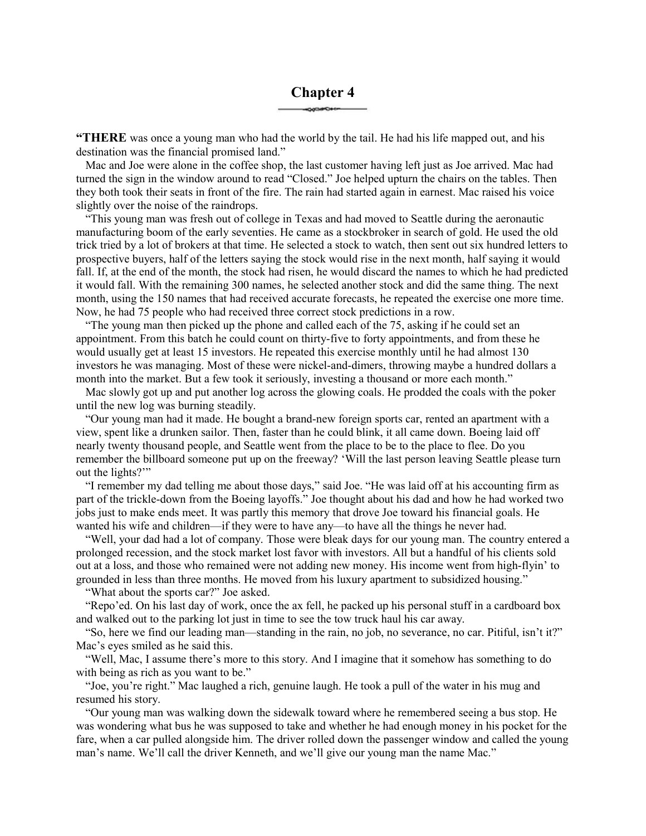<span id="page-18-0"></span>**"THERE** was once a young man who had the world by the tail. He had his life mapped out, and his destination was the financial promised land."

Mac and Joe were alone in the coffee shop, the last customer having left just as Joe arrived. Mac had turned the sign in the window around to read "Closed." Joe helped upturn the chairs on the tables. Then they both took their seats in front of the fire. The rain had started again in earnest. Mac raised his voice slightly over the noise of the raindrops.

"This young man was fresh out of college in Texas and had moved to Seattle during the aeronautic manufacturing boom of the early seventies. He came as a stockbroker in search of gold. He used the old trick tried by a lot of brokers at that time. He selected a stock to watch, then sent out six hundred letters to prospective buyers, half of the letters saying the stock would rise in the next month, half saying it would fall. If, at the end of the month, the stock had risen, he would discard the names to which he had predicted it would fall. With the remaining 300 names, he selected another stock and did the same thing. The next month, using the 150 names that had received accurate forecasts, he repeated the exercise one more time. Now, he had 75 people who had received three correct stock predictions in a row.

"The young man then picked up the phone and called each of the 75, asking if he could set an appointment. From this batch he could count on thirty-five to forty appointments, and from these he would usually get at least 15 investors. He repeated this exercise monthly until he had almost 130 investors he was managing. Most of these were nickel-and-dimers, throwing maybe a hundred dollars a month into the market. But a few took it seriously, investing a thousand or more each month."

Mac slowly got up and put another log across the glowing coals. He prodded the coals with the poker until the new log was burning steadily.

"Our young man had it made. He bought a brand-new foreign sports car, rented an apartment with a view, spent like a drunken sailor. Then, faster than he could blink, it all came down. Boeing laid off nearly twenty thousand people, and Seattle went from the place to be to the place to flee. Do you remember the billboard someone put up on the freeway? 'Will the last person leaving Seattle please turn out the lights?'"

"I remember my dad telling me about those days," said Joe. "He was laid off at his accounting firm as part of the trickle-down from the Boeing layoffs." Joe thought about his dad and how he had worked two jobs just to make ends meet. It was partly this memory that drove Joe toward his financial goals. He wanted his wife and children—if they were to have any—to have all the things he never had.

"Well, your dad had a lot of company. Those were bleak days for our young man. The country entered a prolonged recession, and the stock market lost favor with investors. All but a handful of his clients sold out at a loss, and those who remained were not adding new money. His income went from high-flyin' to grounded in less than three months. He moved from his luxury apartment to subsidized housing."

"What about the sports car?" Joe asked.

"Repo'ed. On his last day of work, once the ax fell, he packed up his personal stuff in a cardboard box and walked out to the parking lot just in time to see the tow truck haul his car away.

"So, here we find our leading man—standing in the rain, no job, no severance, no car. Pitiful, isn't it?" Mac's eyes smiled as he said this.

"Well, Mac, I assume there's more to this story. And I imagine that it somehow has something to do with being as rich as you want to be."

"Joe, you're right." Mac laughed a rich, genuine laugh. He took a pull of the water in his mug and resumed his story.

"Our young man was walking down the sidewalk toward where he remembered seeing a bus stop. He was wondering what bus he was supposed to take and whether he had enough money in his pocket for the fare, when a car pulled alongside him. The driver rolled down the passenger window and called the young man's name. We'll call the driver Kenneth, and we'll give our young man the name Mac."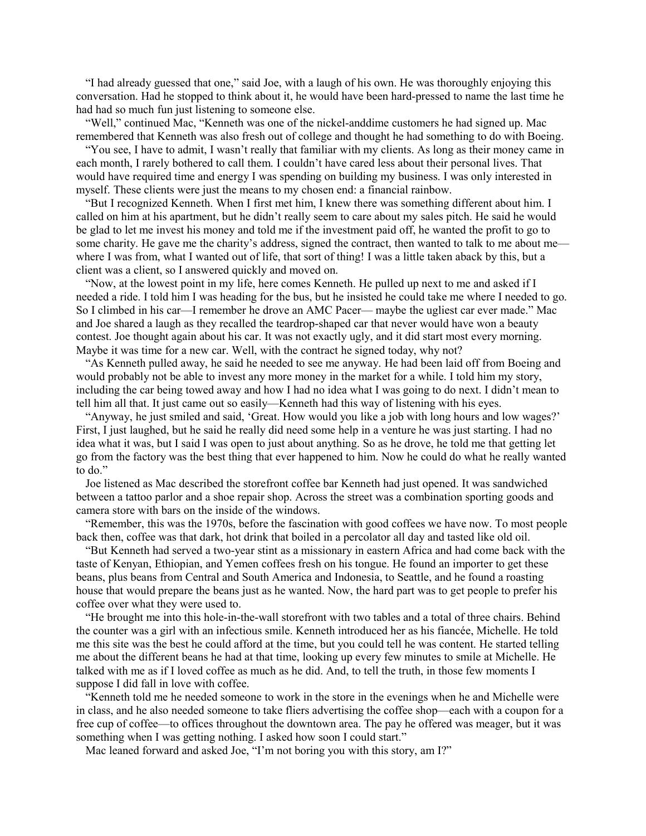"I had already guessed that one," said Joe, with a laugh of his own. He was thoroughly enjoying this conversation. Had he stopped to think about it, he would have been hard-pressed to name the last time he had had so much fun just listening to someone else.

"Well," continued Mac, "Kenneth was one of the nickel-anddime customers he had signed up. Mac remembered that Kenneth was also fresh out of college and thought he had something to do with Boeing.

"You see, I have to admit, I wasn't really that familiar with my clients. As long as their money came in each month, I rarely bothered to call them. I couldn't have cared less about their personal lives. That would have required time and energy I was spending on building my business. I was only interested in myself. These clients were just the means to my chosen end: a financial rainbow.

"But I recognized Kenneth. When I first met him, I knew there was something different about him. I called on him at his apartment, but he didn't really seem to care about my sales pitch. He said he would be glad to let me invest his money and told me if the investment paid off, he wanted the profit to go to some charity. He gave me the charity's address, signed the contract, then wanted to talk to me about mewhere I was from, what I wanted out of life, that sort of thing! I was a little taken aback by this, but a client was a client, so I answered quickly and moved on.

"Now, at the lowest point in my life, here comes Kenneth. He pulled up next to me and asked if I needed a ride. I told him I was heading for the bus, but he insisted he could take me where I needed to go. So I climbed in his car—I remember he drove an AMC Pacer— maybe the ugliest car ever made." Mac and Joe shared a laugh as they recalled the teardrop-shaped car that never would have won a beauty contest. Joe thought again about his car. It was not exactly ugly, and it did start most every morning. Maybe it was time for a new car. Well, with the contract he signed today, why not?

"As Kenneth pulled away, he said he needed to see me anyway. He had been laid off from Boeing and would probably not be able to invest any more money in the market for a while. I told him my story, including the car being towed away and how I had no idea what I was going to do next. I didn't mean to tell him all that. It just came out so easily—Kenneth had this way of listening with his eyes.

"Anyway, he just smiled and said, 'Great. How would you like a job with long hours and low wages?' First, I just laughed, but he said he really did need some help in a venture he was just starting. I had no idea what it was, but I said I was open to just about anything. So as he drove, he told me that getting let go from the factory was the best thing that ever happened to him. Now he could do what he really wanted to do."

Joe listened as Mac described the storefront coffee bar Kenneth had just opened. It was sandwiched between a tattoo parlor and a shoe repair shop. Across the street was a combination sporting goods and camera store with bars on the inside of the windows.

"Remember, this was the 1970s, before the fascination with good coffees we have now. To most people back then, coffee was that dark, hot drink that boiled in a percolator all day and tasted like old oil.

"But Kenneth had served a two-year stint as a missionary in eastern Africa and had come back with the taste of Kenyan, Ethiopian, and Yemen coffees fresh on his tongue. He found an importer to get these beans, plus beans from Central and South America and Indonesia, to Seattle, and he found a roasting house that would prepare the beans just as he wanted. Now, the hard part was to get people to prefer his coffee over what they were used to.

"He brought me into this hole-in-the-wall storefront with two tables and a total of three chairs. Behind the counter was a girl with an infectious smile. Kenneth introduced her as his fiancée, Michelle. He told me this site was the best he could afford at the time, but you could tell he was content. He started telling me about the different beans he had at that time, looking up every few minutes to smile at Michelle. He talked with me as if I loved coffee as much as he did. And, to tell the truth, in those few moments I suppose I did fall in love with coffee.

"Kenneth told me he needed someone to work in the store in the evenings when he and Michelle were in class, and he also needed someone to take fliers advertising the coffee shop—each with a coupon for a free cup of coffee—to offices throughout the downtown area. The pay he offered was meager, but it was something when I was getting nothing. I asked how soon I could start."

Mac leaned forward and asked Joe, "I'm not boring you with this story, am I?"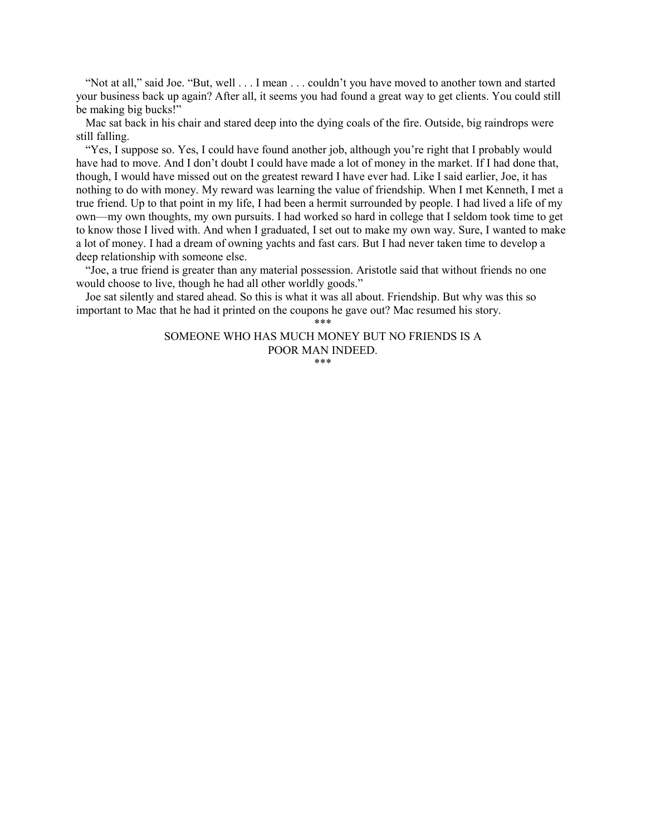"Not at all," said Joe. "But, well . . . I mean . . . couldn't you have moved to another town and started your business back up again? After all, it seems you had found a great way to get clients. You could still be making big bucks!"

Mac sat back in his chair and stared deep into the dying coals of the fire. Outside, big raindrops were still falling.

"Yes, I suppose so. Yes, I could have found another job, although you're right that I probably would have had to move. And I don't doubt I could have made a lot of money in the market. If I had done that, though, I would have missed out on the greatest reward I have ever had. Like I said earlier, Joe, it has nothing to do with money. My reward was learning the value of friendship. When I met Kenneth, I met a true friend. Up to that point in my life, I had been a hermit surrounded by people. I had lived a life of my own—my own thoughts, my own pursuits. I had worked so hard in college that I seldom took time to get to know those I lived with. And when I graduated, I set out to make my own way. Sure, I wanted to make a lot of money. I had a dream of owning yachts and fast cars. But I had never taken time to develop a deep relationship with someone else.

"Joe, a true friend is greater than any material possession. Aristotle said that without friends no one would choose to live, though he had all other worldly goods."

Joe sat silently and stared ahead. So this is what it was all about. Friendship. But why was this so important to Mac that he had it printed on the coupons he gave out? Mac resumed his story.

\*\*\*

SOMEONE WHO HAS MUCH MONEY BUT NO FRIENDS IS A POOR MAN INDEED.

\*\*\*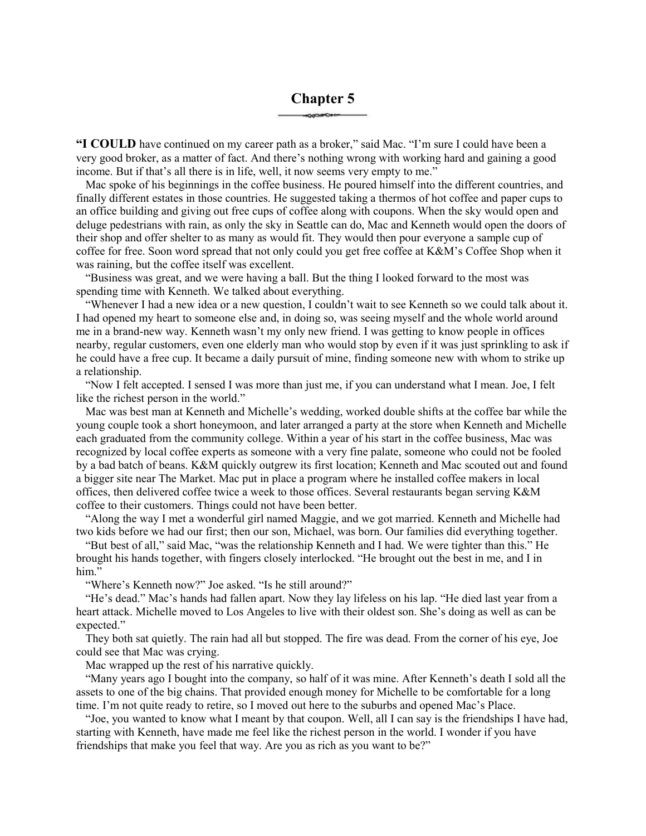<span id="page-21-0"></span>**"I COULD** have continued on my career path as a broker," said Mac. "I'm sure I could have been a very good broker, as a matter of fact. And there's nothing wrong with working hard and gaining a good income. But if that's all there is in life, well, it now seems very empty to me."

Mac spoke of his beginnings in the coffee business. He poured himself into the different countries, and finally different estates in those countries. He suggested taking a thermos of hot coffee and paper cups to an office building and giving out free cups of coffee along with coupons. When the sky would open and deluge pedestrians with rain, as only the sky in Seattle can do, Mac and Kenneth would open the doors of their shop and offer shelter to as many as would fit. They would then pour everyone a sample cup of coffee for free. Soon word spread that not only could you get free coffee at K&M's Coffee Shop when it was raining, but the coffee itself was excellent.

"Business was great, and we were having a ball. But the thing I looked forward to the most was spending time with Kenneth. We talked about everything.

"Whenever I had a new idea or a new question, I couldn't wait to see Kenneth so we could talk about it. I had opened my heart to someone else and, in doing so, was seeing myself and the whole world around me in a brand-new way. Kenneth wasn't my only new friend. I was getting to know people in offices nearby, regular customers, even one elderly man who would stop by even if it was just sprinkling to ask if he could have a free cup. It became a daily pursuit of mine, finding someone new with whom to strike up a relationship.

"Now I felt accepted. I sensed I was more than just me, if you can understand what I mean. Joe, I felt like the richest person in the world."

Mac was best man at Kenneth and Michelle's wedding, worked double shifts at the coffee bar while the young couple took a short honeymoon, and later arranged a party at the store when Kenneth and Michelle each graduated from the community college. Within a year of his start in the coffee business, Mac was recognized by local coffee experts as someone with a very fine palate, someone who could not be fooled by a bad batch of beans. K&M quickly outgrew its first location; Kenneth and Mac scouted out and found a bigger site near The Market. Mac put in place a program where he installed coffee makers in local offices, then delivered coffee twice a week to those offices. Several restaurants began serving K&M coffee to their customers. Things could not have been better.

"Along the way I met a wonderful girl named Maggie, and we got married. Kenneth and Michelle had two kids before we had our first; then our son, Michael, was born. Our families did everything together.

"But best of all," said Mac, "was the relationship Kenneth and I had. We were tighter than this." He brought his hands together, with fingers closely interlocked. "He brought out the best in me, and I in him"

"Where's Kenneth now?" Joe asked. "Is he still around?"

"He's dead." Mac's hands had fallen apart. Now they lay lifeless on his lap. "He died last year from a heart attack. Michelle moved to Los Angeles to live with their oldest son. She's doing as well as can be expected."

They both sat quietly. The rain had all but stopped. The fire was dead. From the corner of his eye, Joe could see that Mac was crying.

Mac wrapped up the rest of his narrative quickly.

"Many years ago I bought into the company, so half of it was mine. After Kenneth's death I sold all the assets to one of the big chains. That provided enough money for Michelle to be comfortable for a long time. I'm not quite ready to retire, so I moved out here to the suburbs and opened Mac's Place.

"Joe, you wanted to know what I meant by that coupon. Well, all I can say is the friendships I have had, starting with Kenneth, have made me feel like the richest person in the world. I wonder if you have friendships that make you feel that way. Are you as rich as you want to be?"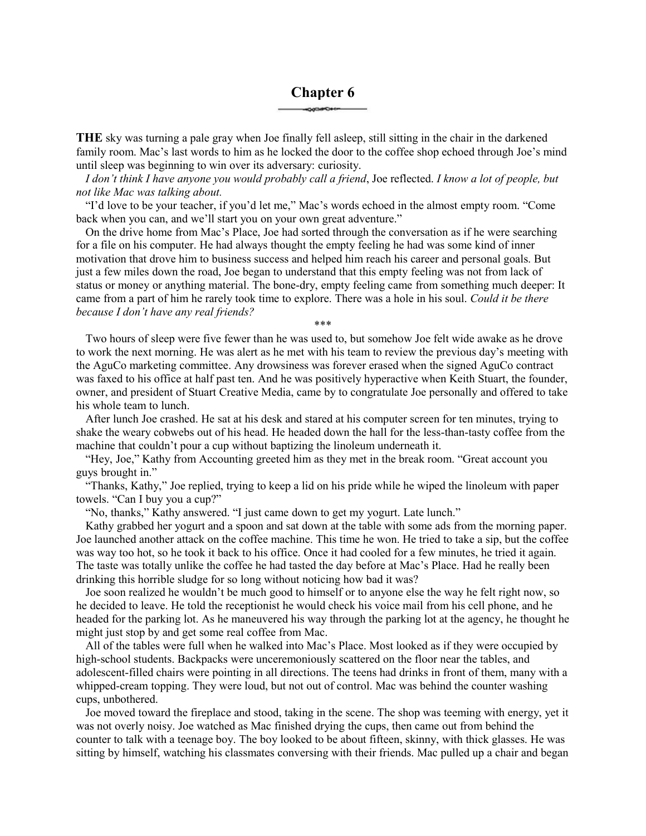<span id="page-23-0"></span>**THE** sky was turning a pale gray when Joe finally fell asleep, still sitting in the chair in the darkened family room. Mac's last words to him as he locked the door to the coffee shop echoed through Joe's mind until sleep was beginning to win over its adversary: curiosity.

*I don't think I have anyone you would probably call a friend*, Joe reflected. *I know a lot of people, but not like Mac was talking about.*

"I'd love to be your teacher, if you'd let me," Mac's words echoed in the almost empty room. "Come back when you can, and we'll start you on your own great adventure."

On the drive home from Mac's Place, Joe had sorted through the conversation as if he were searching for a file on his computer. He had always thought the empty feeling he had was some kind of inner motivation that drove him to business success and helped him reach his career and personal goals. But just a few miles down the road, Joe began to understand that this empty feeling was not from lack of status or money or anything material. The bone-dry, empty feeling came from something much deeper: It came from a part of him he rarely took time to explore. There was a hole in his soul. *Could it be there because I don't have any real friends?*

\*\*\*

Two hours of sleep were five fewer than he was used to, but somehow Joe felt wide awake as he drove to work the next morning. He was alert as he met with his team to review the previous day's meeting with the AguCo marketing committee. Any drowsiness was forever erased when the signed AguCo contract was faxed to his office at half past ten. And he was positively hyperactive when Keith Stuart, the founder, owner, and president of Stuart Creative Media, came by to congratulate Joe personally and offered to take his whole team to lunch.

After lunch Joe crashed. He sat at his desk and stared at his computer screen for ten minutes, trying to shake the weary cobwebs out of his head. He headed down the hall for the less-than-tasty coffee from the machine that couldn't pour a cup without baptizing the linoleum underneath it.

"Hey, Joe," Kathy from Accounting greeted him as they met in the break room. "Great account you guys brought in."

"Thanks, Kathy," Joe replied, trying to keep a lid on his pride while he wiped the linoleum with paper towels. "Can I buy you a cup?"

"No, thanks," Kathy answered. "I just came down to get my yogurt. Late lunch."

Kathy grabbed her yogurt and a spoon and sat down at the table with some ads from the morning paper. Joe launched another attack on the coffee machine. This time he won. He tried to take a sip, but the coffee was way too hot, so he took it back to his office. Once it had cooled for a few minutes, he tried it again. The taste was totally unlike the coffee he had tasted the day before at Mac's Place. Had he really been drinking this horrible sludge for so long without noticing how bad it was?

Joe soon realized he wouldn't be much good to himself or to anyone else the way he felt right now, so he decided to leave. He told the receptionist he would check his voice mail from his cell phone, and he headed for the parking lot. As he maneuvered his way through the parking lot at the agency, he thought he might just stop by and get some real coffee from Mac.

All of the tables were full when he walked into Mac's Place. Most looked as if they were occupied by high-school students. Backpacks were unceremoniously scattered on the floor near the tables, and adolescent-filled chairs were pointing in all directions. The teens had drinks in front of them, many with a whipped-cream topping. They were loud, but not out of control. Mac was behind the counter washing cups, unbothered.

Joe moved toward the fireplace and stood, taking in the scene. The shop was teeming with energy, yet it was not overly noisy. Joe watched as Mac finished drying the cups, then came out from behind the counter to talk with a teenage boy. The boy looked to be about fifteen, skinny, with thick glasses. He was sitting by himself, watching his classmates conversing with their friends. Mac pulled up a chair and began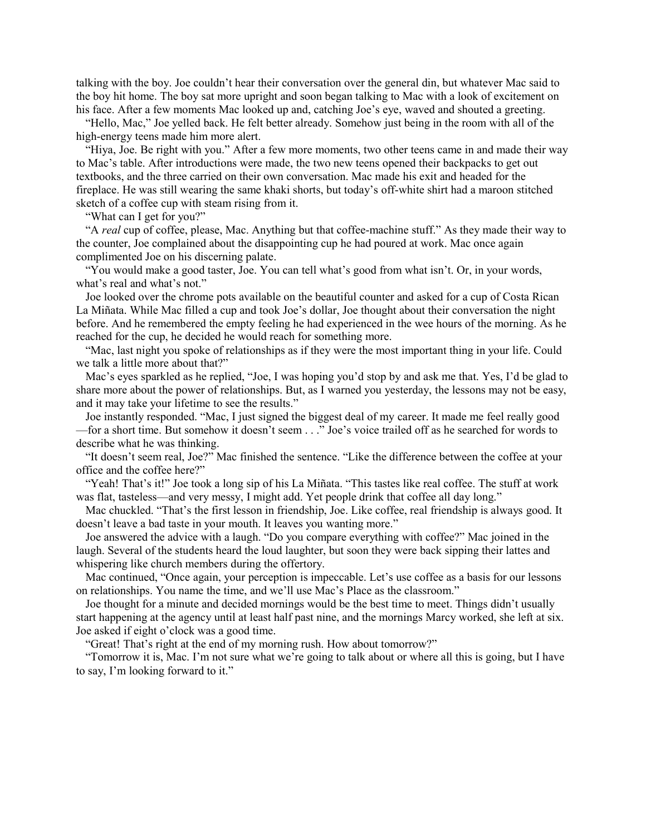talking with the boy. Joe couldn't hear their conversation over the general din, but whatever Mac said to the boy hit home. The boy sat more upright and soon began talking to Mac with a look of excitement on his face. After a few moments Mac looked up and, catching Joe's eye, waved and shouted a greeting.

"Hello, Mac," Joe yelled back. He felt better already. Somehow just being in the room with all of the high-energy teens made him more alert.

"Hiya, Joe. Be right with you." After a few more moments, two other teens came in and made their way to Mac's table. After introductions were made, the two new teens opened their backpacks to get out textbooks, and the three carried on their own conversation. Mac made his exit and headed for the fireplace. He was still wearing the same khaki shorts, but today's off-white shirt had a maroon stitched sketch of a coffee cup with steam rising from it.

"What can I get for you?"

"A *real* cup of coffee, please, Mac. Anything but that coffee-machine stuff." As they made their way to the counter, Joe complained about the disappointing cup he had poured at work. Mac once again complimented Joe on his discerning palate.

"You would make a good taster, Joe. You can tell what's good from what isn't. Or, in your words, what's real and what's not."

Joe looked over the chrome pots available on the beautiful counter and asked for a cup of Costa Rican La Miñata. While Mac filled a cup and took Joe's dollar, Joe thought about their conversation the night before. And he remembered the empty feeling he had experienced in the wee hours of the morning. As he reached for the cup, he decided he would reach for something more.

"Mac, last night you spoke of relationships as if they were the most important thing in your life. Could we talk a little more about that?"

Mac's eyes sparkled as he replied, "Joe, I was hoping you'd stop by and ask me that. Yes, I'd be glad to share more about the power of relationships. But, as I warned you yesterday, the lessons may not be easy, and it may take your lifetime to see the results."

Joe instantly responded. "Mac, I just signed the biggest deal of my career. It made me feel really good —for a short time. But somehow it doesn't seem . . ." Joe's voice trailed off as he searched for words to describe what he was thinking.

"It doesn't seem real, Joe?" Mac finished the sentence. "Like the difference between the coffee at your office and the coffee here?"

"Yeah! That's it!" Joe took a long sip of his La Miñata. "This tastes like real coffee. The stuff at work was flat, tasteless—and very messy, I might add. Yet people drink that coffee all day long."

Mac chuckled. "That's the first lesson in friendship, Joe. Like coffee, real friendship is always good. It doesn't leave a bad taste in your mouth. It leaves you wanting more."

Joe answered the advice with a laugh. "Do you compare everything with coffee?" Mac joined in the laugh. Several of the students heard the loud laughter, but soon they were back sipping their lattes and whispering like church members during the offertory.

Mac continued, "Once again, your perception is impeccable. Let's use coffee as a basis for our lessons on relationships. You name the time, and we'll use Mac's Place as the classroom."

Joe thought for a minute and decided mornings would be the best time to meet. Things didn't usually start happening at the agency until at least half past nine, and the mornings Marcy worked, she left at six. Joe asked if eight o'clock was a good time.

"Great! That's right at the end of my morning rush. How about tomorrow?"

"Tomorrow it is, Mac. I'm not sure what we're going to talk about or where all this is going, but I have to say, I'm looking forward to it."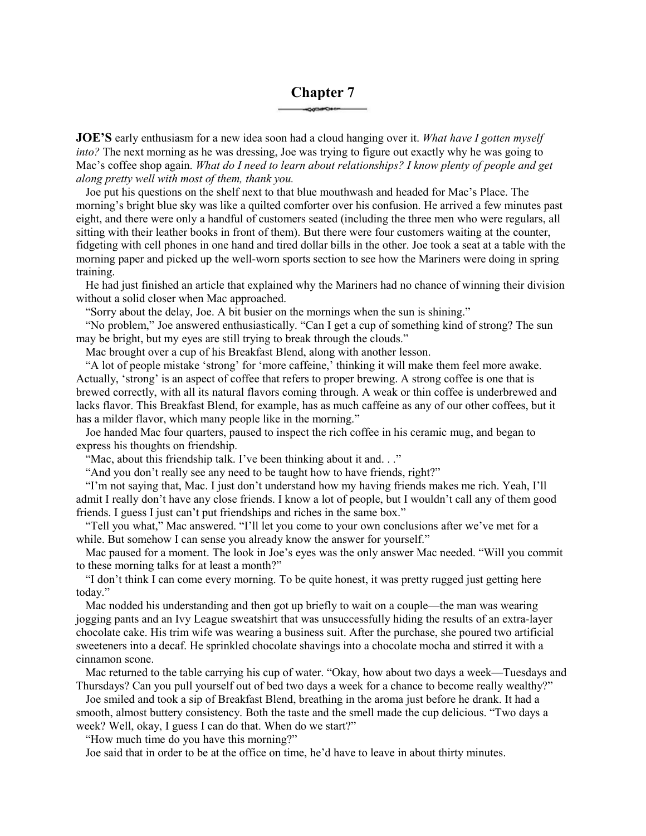<span id="page-25-0"></span>**JOE'S** early enthusiasm for a new idea soon had a cloud hanging over it. *What have I gotten myself into?* The next morning as he was dressing, Joe was trying to figure out exactly why he was going to Mac's coffee shop again. *What do I need to learn about relationships? I know plenty of people and get along pretty well with most of them, thank you.*

Joe put his questions on the shelf next to that blue mouthwash and headed for Mac's Place. The morning's bright blue sky was like a quilted comforter over his confusion. He arrived a few minutes past eight, and there were only a handful of customers seated (including the three men who were regulars, all sitting with their leather books in front of them). But there were four customers waiting at the counter, fidgeting with cell phones in one hand and tired dollar bills in the other. Joe took a seat at a table with the morning paper and picked up the well-worn sports section to see how the Mariners were doing in spring training.

He had just finished an article that explained why the Mariners had no chance of winning their division without a solid closer when Mac approached.

"Sorry about the delay, Joe. A bit busier on the mornings when the sun is shining."

"No problem," Joe answered enthusiastically. "Can I get a cup of something kind of strong? The sun may be bright, but my eyes are still trying to break through the clouds."

Mac brought over a cup of his Breakfast Blend, along with another lesson.

"A lot of people mistake 'strong' for 'more caffeine,' thinking it will make them feel more awake. Actually, 'strong' is an aspect of coffee that refers to proper brewing. A strong coffee is one that is brewed correctly, with all its natural flavors coming through. A weak or thin coffee is underbrewed and lacks flavor. This Breakfast Blend, for example, has as much caffeine as any of our other coffees, but it has a milder flavor, which many people like in the morning."

Joe handed Mac four quarters, paused to inspect the rich coffee in his ceramic mug, and began to express his thoughts on friendship.

"Mac, about this friendship talk. I've been thinking about it and. . ."

"And you don't really see any need to be taught how to have friends, right?"

"I'm not saying that, Mac. I just don't understand how my having friends makes me rich. Yeah, I'll admit I really don't have any close friends. I know a lot of people, but I wouldn't call any of them good friends. I guess I just can't put friendships and riches in the same box."

"Tell you what," Mac answered. "I'll let you come to your own conclusions after we've met for a while. But somehow I can sense you already know the answer for yourself."

Mac paused for a moment. The look in Joe's eyes was the only answer Mac needed. "Will you commit to these morning talks for at least a month?"

"I don't think I can come every morning. To be quite honest, it was pretty rugged just getting here today."

Mac nodded his understanding and then got up briefly to wait on a couple—the man was wearing jogging pants and an Ivy League sweatshirt that was unsuccessfully hiding the results of an extra-layer chocolate cake. His trim wife was wearing a business suit. After the purchase, she poured two artificial sweeteners into a decaf. He sprinkled chocolate shavings into a chocolate mocha and stirred it with a cinnamon scone.

Mac returned to the table carrying his cup of water. "Okay, how about two days a week—Tuesdays and Thursdays? Can you pull yourself out of bed two days a week for a chance to become really wealthy?"

Joe smiled and took a sip of Breakfast Blend, breathing in the aroma just before he drank. It had a smooth, almost buttery consistency. Both the taste and the smell made the cup delicious. "Two days a week? Well, okay, I guess I can do that. When do we start?"

"How much time do you have this morning?"

Joe said that in order to be at the office on time, he'd have to leave in about thirty minutes.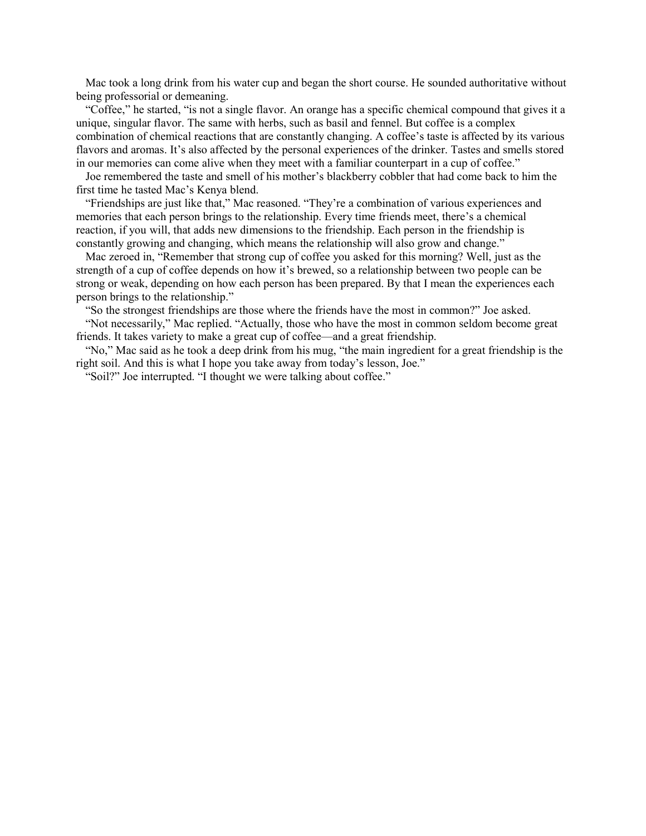Mac took a long drink from his water cup and began the short course. He sounded authoritative without being professorial or demeaning.

"Coffee," he started, "is not a single flavor. An orange has a specific chemical compound that gives it a unique, singular flavor. The same with herbs, such as basil and fennel. But coffee is a complex combination of chemical reactions that are constantly changing. A coffee's taste is affected by its various flavors and aromas. It's also affected by the personal experiences of the drinker. Tastes and smells stored in our memories can come alive when they meet with a familiar counterpart in a cup of coffee."

Joe remembered the taste and smell of his mother's blackberry cobbler that had come back to him the first time he tasted Mac's Kenya blend.

"Friendships are just like that," Mac reasoned. "They're a combination of various experiences and memories that each person brings to the relationship. Every time friends meet, there's a chemical reaction, if you will, that adds new dimensions to the friendship. Each person in the friendship is constantly growing and changing, which means the relationship will also grow and change."

Mac zeroed in, "Remember that strong cup of coffee you asked for this morning? Well, just as the strength of a cup of coffee depends on how it's brewed, so a relationship between two people can be strong or weak, depending on how each person has been prepared. By that I mean the experiences each person brings to the relationship."

"So the strongest friendships are those where the friends have the most in common?" Joe asked.

"Not necessarily," Mac replied. "Actually, those who have the most in common seldom become great friends. It takes variety to make a great cup of coffee—and a great friendship.

"No," Mac said as he took a deep drink from his mug, "the main ingredient for a great friendship is the right soil. And this is what I hope you take away from today's lesson, Joe."

"Soil?" Joe interrupted. "I thought we were talking about coffee."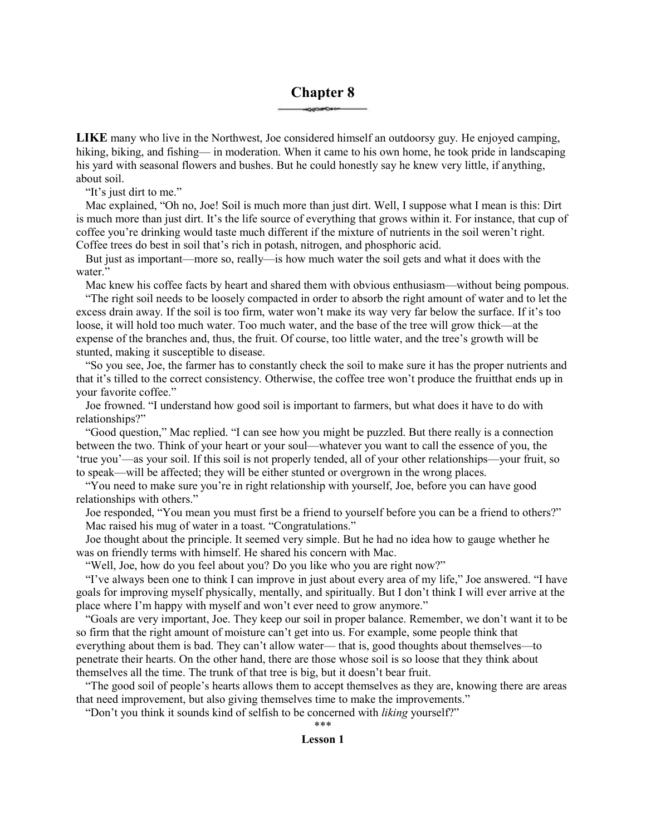<span id="page-27-0"></span>**LIKE** many who live in the Northwest, Joe considered himself an outdoorsy guy. He enjoyed camping, hiking, biking, and fishing— in moderation. When it came to his own home, he took pride in landscaping his yard with seasonal flowers and bushes. But he could honestly say he knew very little, if anything, about soil.

"It's just dirt to me."

Mac explained, "Oh no, Joe! Soil is much more than just dirt. Well, I suppose what I mean is this: Dirt is much more than just dirt. It's the life source of everything that grows within it. For instance, that cup of coffee you're drinking would taste much different if the mixture of nutrients in the soil weren't right. Coffee trees do best in soil that's rich in potash, nitrogen, and phosphoric acid.

But just as important—more so, really—is how much water the soil gets and what it does with the water."

Mac knew his coffee facts by heart and shared them with obvious enthusiasm—without being pompous.

"The right soil needs to be loosely compacted in order to absorb the right amount of water and to let the excess drain away. If the soil is too firm, water won't make its way very far below the surface. If it's too loose, it will hold too much water. Too much water, and the base of the tree will grow thick—at the expense of the branches and, thus, the fruit. Of course, too little water, and the tree's growth will be stunted, making it susceptible to disease.

"So you see, Joe, the farmer has to constantly check the soil to make sure it has the proper nutrients and that it's tilled to the correct consistency. Otherwise, the coffee tree won't produce the fruitthat ends up in your favorite coffee."

Joe frowned. "I understand how good soil is important to farmers, but what does it have to do with relationships?"

"Good question," Mac replied. "I can see how you might be puzzled. But there really is a connection between the two. Think of your heart or your soul—whatever you want to call the essence of you, the 'true you'—as your soil. If this soil is not properly tended, all of your other relationships—your fruit, so to speak—will be affected; they will be either stunted or overgrown in the wrong places.

"You need to make sure you're in right relationship with yourself, Joe, before you can have good relationships with others."

Joe responded, "You mean you must first be a friend to yourself before you can be a friend to others?" Mac raised his mug of water in a toast. "Congratulations."

Joe thought about the principle. It seemed very simple. But he had no idea how to gauge whether he was on friendly terms with himself. He shared his concern with Mac.

"Well, Joe, how do you feel about you? Do you like who you are right now?"

"I've always been one to think I can improve in just about every area of my life," Joe answered. "I have goals for improving myself physically, mentally, and spiritually. But I don't think I will ever arrive at the place where I'm happy with myself and won't ever need to grow anymore."

"Goals are very important, Joe. They keep our soil in proper balance. Remember, we don't want it to be so firm that the right amount of moisture can't get into us. For example, some people think that everything about them is bad. They can't allow water— that is, good thoughts about themselves—to penetrate their hearts. On the other hand, there are those whose soil is so loose that they think about themselves all the time. The trunk of that tree is big, but it doesn't bear fruit.

"The good soil of people's hearts allows them to accept themselves as they are, knowing there are areas that need improvement, but also giving themselves time to make the improvements."

"Don't you think it sounds kind of selfish to be concerned with *liking* yourself?"

\*\*\*

#### **Lesson 1**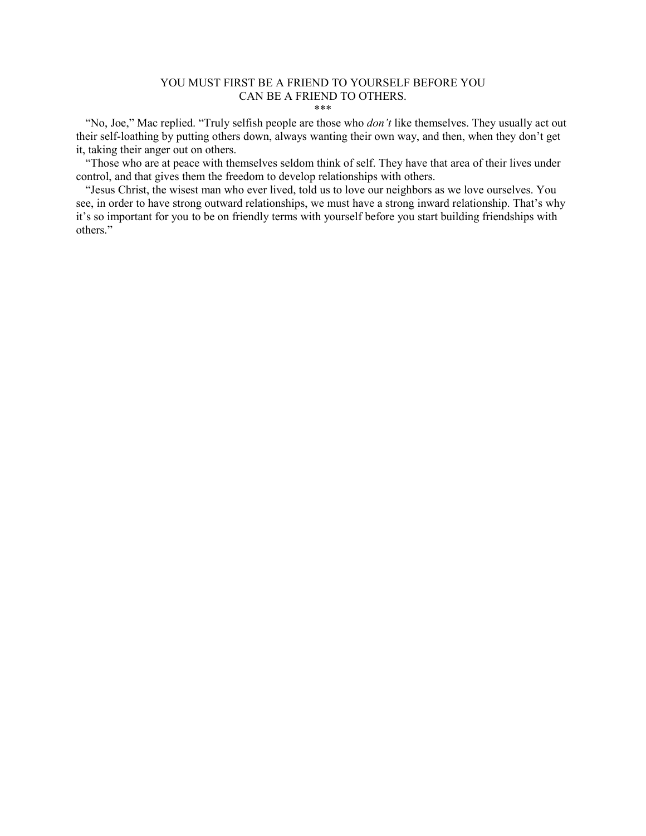#### YOU MUST FIRST BE A FRIEND TO YOURSELF BEFORE YOU CAN BE A FRIEND TO OTHERS. \*\*\*

"No, Joe," Mac replied. "Truly selfish people are those who *don't* like themselves. They usually act out their self-loathing by putting others down, always wanting their own way, and then, when they don't get it, taking their anger out on others.

"Those who are at peace with themselves seldom think of self. They have that area of their lives under control, and that gives them the freedom to develop relationships with others.

"Jesus Christ, the wisest man who ever lived, told us to love our neighbors as we love ourselves. You see, in order to have strong outward relationships, we must have a strong inward relationship. That's why it's so important for you to be on friendly terms with yourself before you start building friendships with others."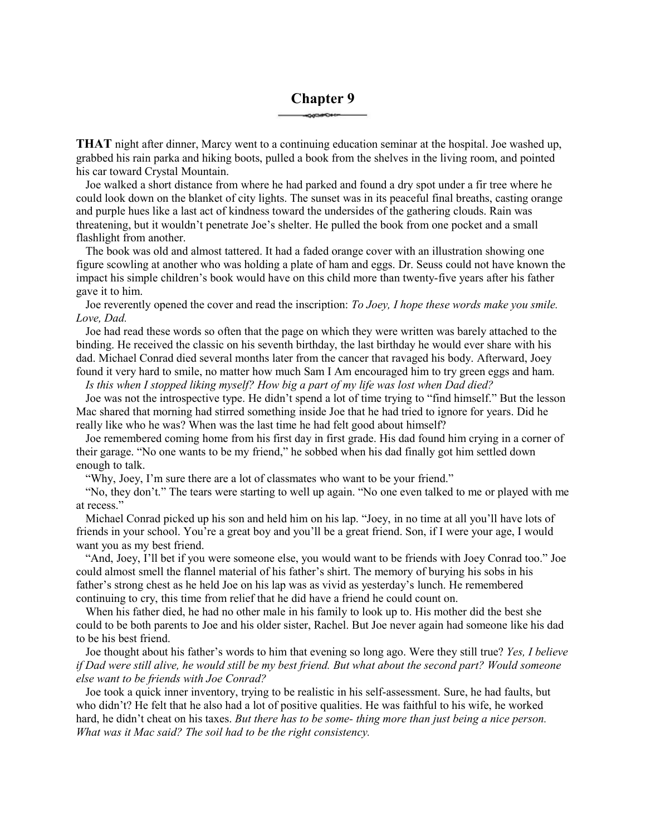<span id="page-29-0"></span>**THAT** night after dinner, Marcy went to a continuing education seminar at the hospital. Joe washed up, grabbed his rain parka and hiking boots, pulled a book from the shelves in the living room, and pointed his car toward Crystal Mountain.

Joe walked a short distance from where he had parked and found a dry spot under a fir tree where he could look down on the blanket of city lights. The sunset was in its peaceful final breaths, casting orange and purple hues like a last act of kindness toward the undersides of the gathering clouds. Rain was threatening, but it wouldn't penetrate Joe's shelter. He pulled the book from one pocket and a small flashlight from another.

The book was old and almost tattered. It had a faded orange cover with an illustration showing one figure scowling at another who was holding a plate of ham and eggs. Dr. Seuss could not have known the impact his simple children's book would have on this child more than twenty-five years after his father gave it to him.

Joe reverently opened the cover and read the inscription: *To Joey, I hope these words make you smile. Love, Dad.*

Joe had read these words so often that the page on which they were written was barely attached to the binding. He received the classic on his seventh birthday, the last birthday he would ever share with his dad. Michael Conrad died several months later from the cancer that ravaged his body. Afterward, Joey found it very hard to smile, no matter how much Sam I Am encouraged him to try green eggs and ham.

*Is this when I stopped liking myself? How big a part of my life was lost when Dad died?*

Joe was not the introspective type. He didn't spend a lot of time trying to "find himself." But the lesson Mac shared that morning had stirred something inside Joe that he had tried to ignore for years. Did he really like who he was? When was the last time he had felt good about himself?

Joe remembered coming home from his first day in first grade. His dad found him crying in a corner of their garage. "No one wants to be my friend," he sobbed when his dad finally got him settled down enough to talk.

"Why, Joey, I'm sure there are a lot of classmates who want to be your friend."

"No, they don't." The tears were starting to well up again. "No one even talked to me or played with me at recess."

Michael Conrad picked up his son and held him on his lap. "Joey, in no time at all you'll have lots of friends in your school. You're a great boy and you'll be a great friend. Son, if I were your age, I would want you as my best friend.

"And, Joey, I'll bet if you were someone else, you would want to be friends with Joey Conrad too." Joe could almost smell the flannel material of his father's shirt. The memory of burying his sobs in his father's strong chest as he held Joe on his lap was as vivid as yesterday's lunch. He remembered continuing to cry, this time from relief that he did have a friend he could count on.

When his father died, he had no other male in his family to look up to. His mother did the best she could to be both parents to Joe and his older sister, Rachel. But Joe never again had someone like his dad to be his best friend.

Joe thought about his father's words to him that evening so long ago. Were they still true? *Yes, I believe if Dad were still alive, he would still be my best friend. But what about the second part? Would someone else want to be friends with Joe Conrad?*

Joe took a quick inner inventory, trying to be realistic in his self-assessment. Sure, he had faults, but who didn't? He felt that he also had a lot of positive qualities. He was faithful to his wife, he worked hard, he didn't cheat on his taxes. *But there has to be some- thing more than just being a nice person. What was it Mac said? The soil had to be the right consistency.*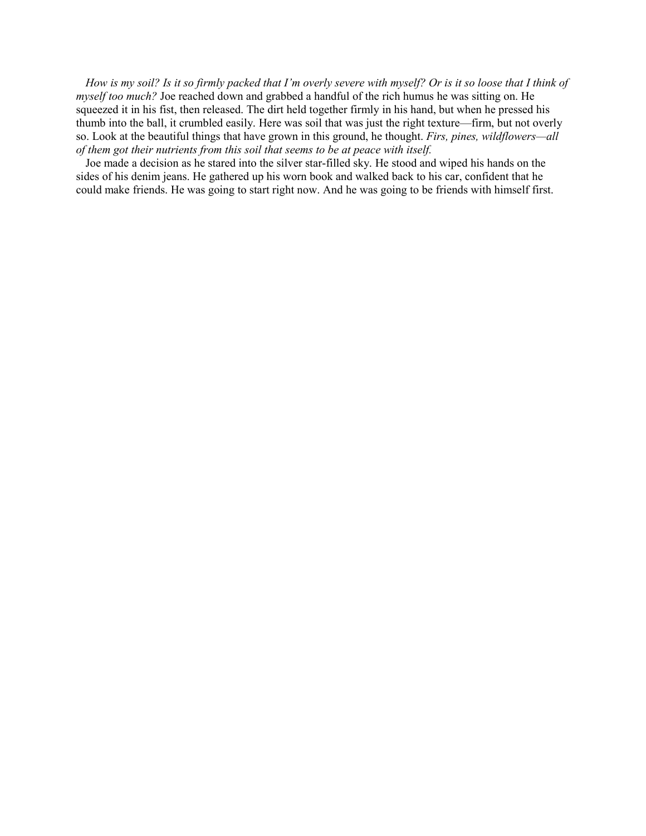*How is my soil? Is it so firmly packed that I'm overly severe with myself? Or is it so loose that I think of myself too much?* Joe reached down and grabbed a handful of the rich humus he was sitting on. He squeezed it in his fist, then released. The dirt held together firmly in his hand, but when he pressed his thumb into the ball, it crumbled easily. Here was soil that was just the right texture—firm, but not overly so. Look at the beautiful things that have grown in this ground, he thought. *Firs, pines, wildflowers—all of them got their nutrients from this soil that seems to be at peace with itself.*

Joe made a decision as he stared into the silver star-filled sky. He stood and wiped his hands on the sides of his denim jeans. He gathered up his worn book and walked back to his car, confident that he could make friends. He was going to start right now. And he was going to be friends with himself first.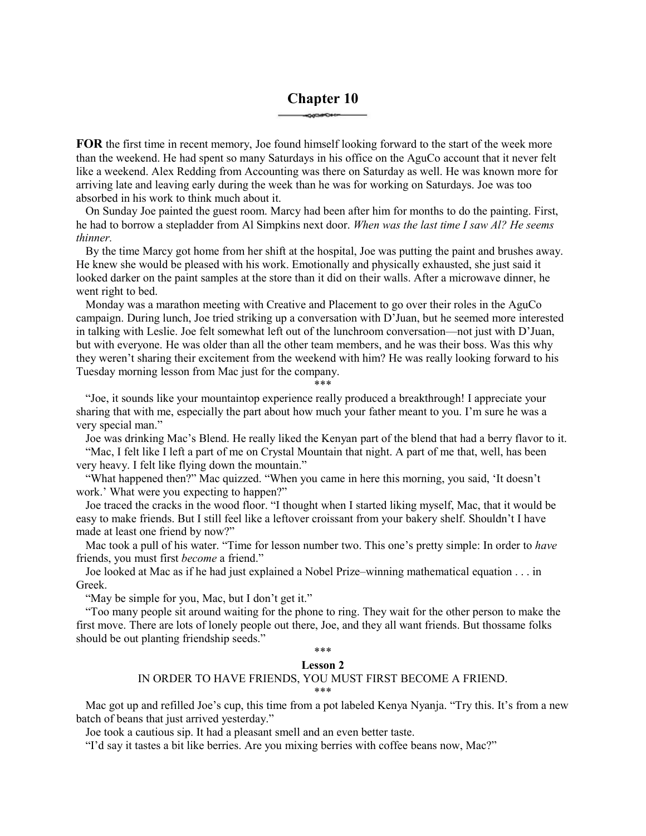<span id="page-31-0"></span>**FOR** the first time in recent memory, Joe found himself looking forward to the start of the week more than the weekend. He had spent so many Saturdays in his office on the AguCo account that it never felt like a weekend. Alex Redding from Accounting was there on Saturday as well. He was known more for arriving late and leaving early during the week than he was for working on Saturdays. Joe was too absorbed in his work to think much about it.

On Sunday Joe painted the guest room. Marcy had been after him for months to do the painting. First, he had to borrow a stepladder from Al Simpkins next door. *When was the last time I saw Al? He seems thinner.*

By the time Marcy got home from her shift at the hospital, Joe was putting the paint and brushes away. He knew she would be pleased with his work. Emotionally and physically exhausted, she just said it looked darker on the paint samples at the store than it did on their walls. After a microwave dinner, he went right to bed.

Monday was a marathon meeting with Creative and Placement to go over their roles in the AguCo campaign. During lunch, Joe tried striking up a conversation with D'Juan, but he seemed more interested in talking with Leslie. Joe felt somewhat left out of the lunchroom conversation—not just with D'Juan, but with everyone. He was older than all the other team members, and he was their boss. Was this why they weren't sharing their excitement from the weekend with him? He was really looking forward to his Tuesday morning lesson from Mac just for the company.

\*\*\*

"Joe, it sounds like your mountaintop experience really produced a breakthrough! I appreciate your sharing that with me, especially the part about how much your father meant to you. I'm sure he was a very special man."

Joe was drinking Mac's Blend. He really liked the Kenyan part of the blend that had a berry flavor to it. "Mac, I felt like I left a part of me on Crystal Mountain that night. A part of me that, well, has been very heavy. I felt like flying down the mountain."

"What happened then?" Mac quizzed. "When you came in here this morning, you said, 'It doesn't work.' What were you expecting to happen?"

Joe traced the cracks in the wood floor. "I thought when I started liking myself, Mac, that it would be easy to make friends. But I still feel like a leftover croissant from your bakery shelf. Shouldn't I have made at least one friend by now?"

Mac took a pull of his water. "Time for lesson number two. This one's pretty simple: In order to *have* friends, you must first *become* a friend."

Joe looked at Mac as if he had just explained a Nobel Prize–winning mathematical equation . . . in Greek.

"May be simple for you, Mac, but I don't get it."

"Too many people sit around waiting for the phone to ring. They wait for the other person to make the first move. There are lots of lonely people out there, Joe, and they all want friends. But thossame folks should be out planting friendship seeds."

#### \*\*\*

#### **Lesson 2**

#### IN ORDER TO HAVE FRIENDS, YOU MUST FIRST BECOME A FRIEND.

\*\*\*

Mac got up and refilled Joe's cup, this time from a pot labeled Kenya Nyanja. "Try this. It's from a new batch of beans that just arrived yesterday."

Joe took a cautious sip. It had a pleasant smell and an even better taste.

"I'd say it tastes a bit like berries. Are you mixing berries with coffee beans now, Mac?"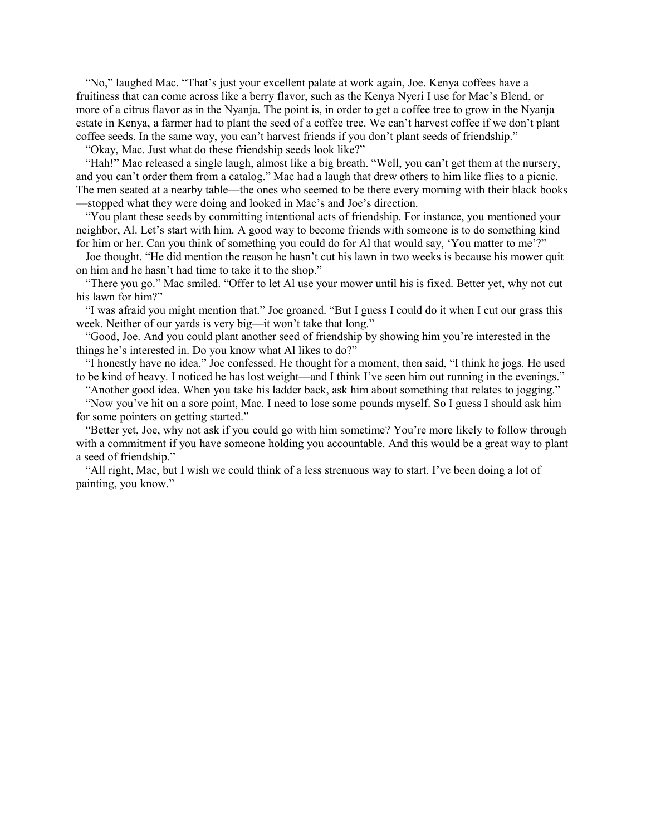"No," laughed Mac. "That's just your excellent palate at work again, Joe. Kenya coffees have a fruitiness that can come across like a berry flavor, such as the Kenya Nyeri I use for Mac's Blend, or more of a citrus flavor as in the Nyanja. The point is, in order to get a coffee tree to grow in the Nyanja estate in Kenya, a farmer had to plant the seed of a coffee tree. We can't harvest coffee if we don't plant coffee seeds. In the same way, you can't harvest friends if you don't plant seeds of friendship."

"Okay, Mac. Just what do these friendship seeds look like?"

"Hah!" Mac released a single laugh, almost like a big breath. "Well, you can't get them at the nursery, and you can't order them from a catalog." Mac had a laugh that drew others to him like flies to a picnic. The men seated at a nearby table—the ones who seemed to be there every morning with their black books —stopped what they were doing and looked in Mac's and Joe's direction.

"You plant these seeds by committing intentional acts of friendship. For instance, you mentioned your neighbor, Al. Let's start with him. A good way to become friends with someone is to do something kind for him or her. Can you think of something you could do for Al that would say, 'You matter to me'?"

Joe thought. "He did mention the reason he hasn't cut his lawn in two weeks is because his mower quit on him and he hasn't had time to take it to the shop."

"There you go." Mac smiled. "Offer to let Al use your mower until his is fixed. Better yet, why not cut his lawn for him?"

"I was afraid you might mention that." Joe groaned. "But I guess I could do it when I cut our grass this week. Neither of our yards is very big—it won't take that long."

"Good, Joe. And you could plant another seed of friendship by showing him you're interested in the things he's interested in. Do you know what Al likes to do?"

"I honestly have no idea," Joe confessed. He thought for a moment, then said, "I think he jogs. He used to be kind of heavy. I noticed he has lost weight—and I think I've seen him out running in the evenings."

"Another good idea. When you take his ladder back, ask him about something that relates to jogging."

"Now you've hit on a sore point, Mac. I need to lose some pounds myself. So I guess I should ask him for some pointers on getting started."

"Better yet, Joe, why not ask if you could go with him sometime? You're more likely to follow through with a commitment if you have someone holding you accountable. And this would be a great way to plant a seed of friendship."

"All right, Mac, but I wish we could think of a less strenuous way to start. I've been doing a lot of painting, you know."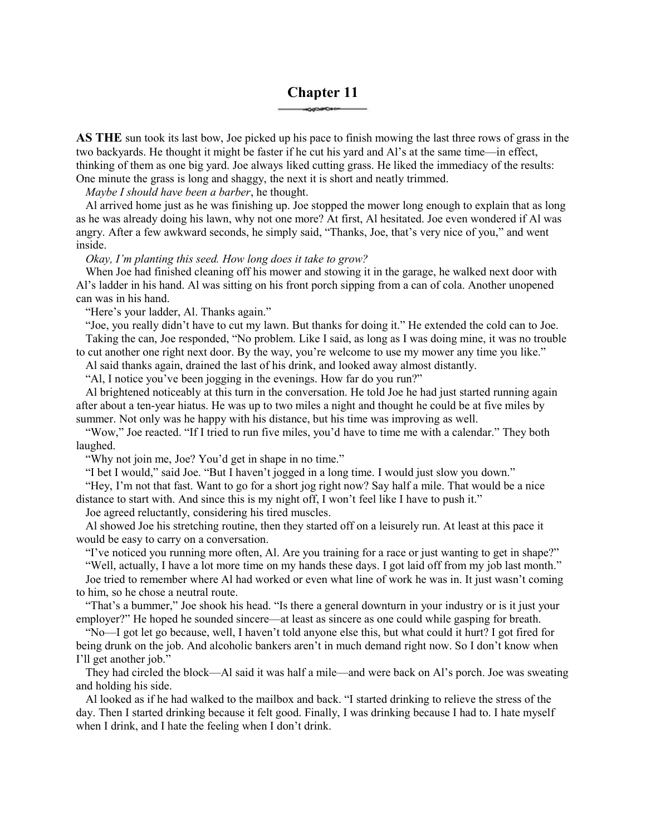<span id="page-33-0"></span>**AS THE** sun took its last bow, Joe picked up his pace to finish mowing the last three rows of grass in the two backyards. He thought it might be faster if he cut his yard and Al's at the same time—in effect, thinking of them as one big yard. Joe always liked cutting grass. He liked the immediacy of the results: One minute the grass is long and shaggy, the next it is short and neatly trimmed.

*Maybe I should have been a barber*, he thought.

Al arrived home just as he was finishing up. Joe stopped the mower long enough to explain that as long as he was already doing his lawn, why not one more? At first, Al hesitated. Joe even wondered if Al was angry. After a few awkward seconds, he simply said, "Thanks, Joe, that's very nice of you," and went inside.

*Okay, I'm planting this seed. How long does it take to grow?*

When Joe had finished cleaning off his mower and stowing it in the garage, he walked next door with Al's ladder in his hand. Al was sitting on his front porch sipping from a can of cola. Another unopened can was in his hand.

"Here's your ladder, Al. Thanks again."

"Joe, you really didn't have to cut my lawn. But thanks for doing it." He extended the cold can to Joe. Taking the can, Joe responded, "No problem. Like I said, as long as I was doing mine, it was no trouble to cut another one right next door. By the way, you're welcome to use my mower any time you like."

Al said thanks again, drained the last of his drink, and looked away almost distantly.

"Al, I notice you've been jogging in the evenings. How far do you run?"

Al brightened noticeably at this turn in the conversation. He told Joe he had just started running again after about a ten-year hiatus. He was up to two miles a night and thought he could be at five miles by summer. Not only was he happy with his distance, but his time was improving as well.

"Wow," Joe reacted. "If I tried to run five miles, you'd have to time me with a calendar." They both laughed.

"Why not join me, Joe? You'd get in shape in no time."

"I bet I would," said Joe. "But I haven't jogged in a long time. I would just slow you down."

"Hey, I'm not that fast. Want to go for a short jog right now? Say half a mile. That would be a nice distance to start with. And since this is my night off, I won't feel like I have to push it."

Joe agreed reluctantly, considering his tired muscles.

Al showed Joe his stretching routine, then they started off on a leisurely run. At least at this pace it would be easy to carry on a conversation.

"I've noticed you running more often, Al. Are you training for a race or just wanting to get in shape?" "Well, actually, I have a lot more time on my hands these days. I got laid off from my job last month."

Joe tried to remember where Al had worked or even what line of work he was in. It just wasn't coming to him, so he chose a neutral route.

"That's a bummer," Joe shook his head. "Is there a general downturn in your industry or is it just your employer?" He hoped he sounded sincere—at least as sincere as one could while gasping for breath.

"No—I got let go because, well, I haven't told anyone else this, but what could it hurt? I got fired for being drunk on the job. And alcoholic bankers aren't in much demand right now. So I don't know when I'll get another job."

They had circled the block—Al said it was half a mile—and were back on Al's porch. Joe was sweating and holding his side.

Al looked as if he had walked to the mailbox and back. "I started drinking to relieve the stress of the day. Then I started drinking because it felt good. Finally, I was drinking because I had to. I hate myself when I drink, and I hate the feeling when I don't drink.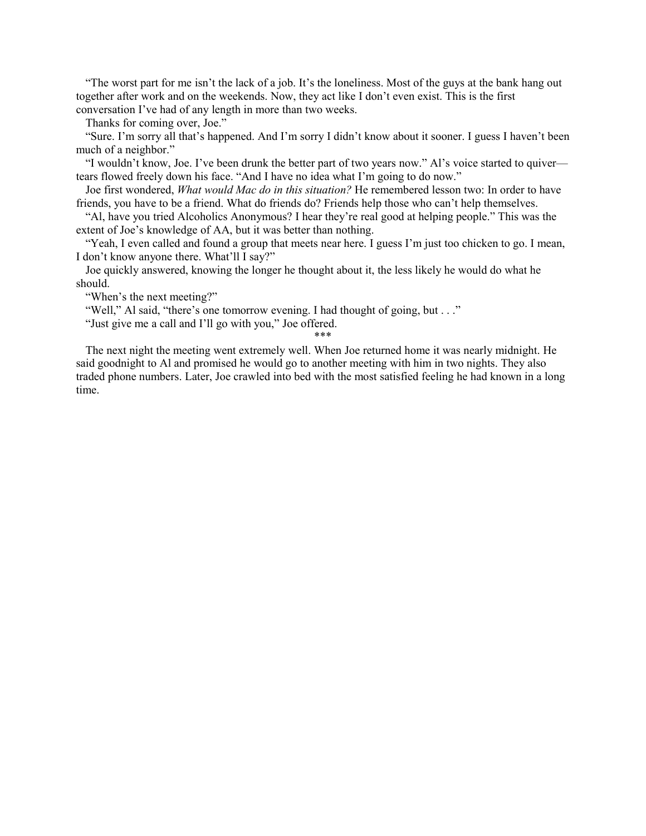"The worst part for me isn't the lack of a job. It's the loneliness. Most of the guys at the bank hang out together after work and on the weekends. Now, they act like I don't even exist. This is the first conversation I've had of any length in more than two weeks.

Thanks for coming over, Joe."

"Sure. I'm sorry all that's happened. And I'm sorry I didn't know about it sooner. I guess I haven't been much of a neighbor."

"I wouldn't know, Joe. I've been drunk the better part of two years now." Al's voice started to quiver tears flowed freely down his face. "And I have no idea what I'm going to do now."

Joe first wondered, *What would Mac do in this situation?* He remembered lesson two: In order to have friends, you have to be a friend. What do friends do? Friends help those who can't help themselves.

"Al, have you tried Alcoholics Anonymous? I hear they're real good at helping people." This was the extent of Joe's knowledge of AA, but it was better than nothing.

"Yeah, I even called and found a group that meets near here. I guess I'm just too chicken to go. I mean, I don't know anyone there. What'll I say?"

Joe quickly answered, knowing the longer he thought about it, the less likely he would do what he should.

"When's the next meeting?"

"Well," Al said, "there's one tomorrow evening. I had thought of going, but . . ."

"Just give me a call and I'll go with you," Joe offered.

\*\*\*

The next night the meeting went extremely well. When Joe returned home it was nearly midnight. He said goodnight to Al and promised he would go to another meeting with him in two nights. They also traded phone numbers. Later, Joe crawled into bed with the most satisfied feeling he had known in a long time.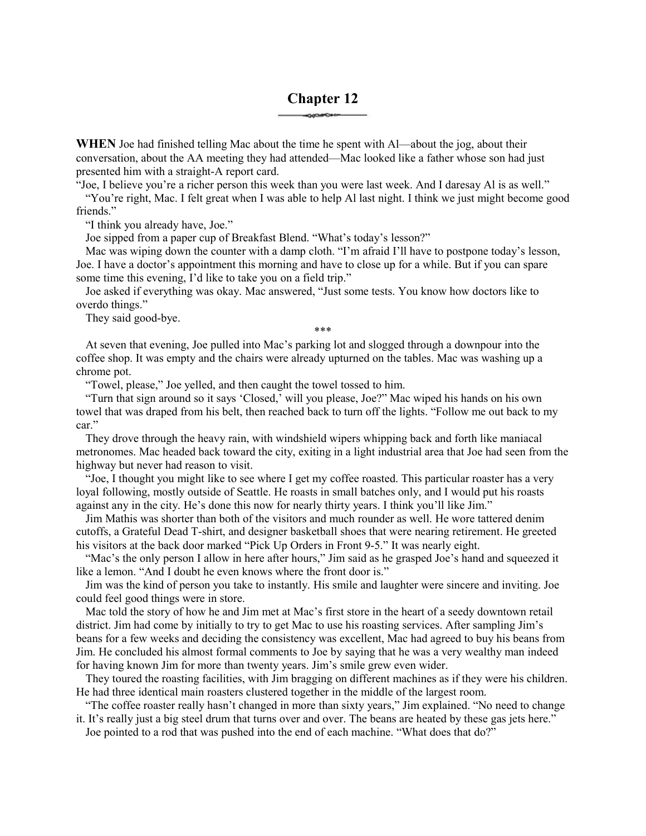<span id="page-36-0"></span>**WHEN** Joe had finished telling Mac about the time he spent with Al—about the jog, about their conversation, about the AA meeting they had attended—Mac looked like a father whose son had just presented him with a straight-A report card.

"Joe, I believe you're a richer person this week than you were last week. And I daresay Al is as well."

"You're right, Mac. I felt great when I was able to help Al last night. I think we just might become good friends."

"I think you already have, Joe."

Joe sipped from a paper cup of Breakfast Blend. "What's today's lesson?"

Mac was wiping down the counter with a damp cloth. "I'm afraid I'll have to postpone today's lesson, Joe. I have a doctor's appointment this morning and have to close up for a while. But if you can spare some time this evening, I'd like to take you on a field trip."

Joe asked if everything was okay. Mac answered, "Just some tests. You know how doctors like to overdo things."

They said good-bye.

\*\*\*

At seven that evening, Joe pulled into Mac's parking lot and slogged through a downpour into the coffee shop. It was empty and the chairs were already upturned on the tables. Mac was washing up a chrome pot.

"Towel, please," Joe yelled, and then caught the towel tossed to him.

"Turn that sign around so it says 'Closed,' will you please, Joe?" Mac wiped his hands on his own towel that was draped from his belt, then reached back to turn off the lights. "Follow me out back to my car."

They drove through the heavy rain, with windshield wipers whipping back and forth like maniacal metronomes. Mac headed back toward the city, exiting in a light industrial area that Joe had seen from the highway but never had reason to visit.

"Joe, I thought you might like to see where I get my coffee roasted. This particular roaster has a very loyal following, mostly outside of Seattle. He roasts in small batches only, and I would put his roasts against any in the city. He's done this now for nearly thirty years. I think you'll like Jim."

Jim Mathis was shorter than both of the visitors and much rounder as well. He wore tattered denim cutoffs, a Grateful Dead T-shirt, and designer basketball shoes that were nearing retirement. He greeted his visitors at the back door marked "Pick Up Orders in Front 9-5." It was nearly eight.

"Mac's the only person I allow in here after hours," Jim said as he grasped Joe's hand and squeezed it like a lemon. "And I doubt he even knows where the front door is."

Jim was the kind of person you take to instantly. His smile and laughter were sincere and inviting. Joe could feel good things were in store.

Mac told the story of how he and Jim met at Mac's first store in the heart of a seedy downtown retail district. Jim had come by initially to try to get Mac to use his roasting services. After sampling Jim's beans for a few weeks and deciding the consistency was excellent, Mac had agreed to buy his beans from Jim. He concluded his almost formal comments to Joe by saying that he was a very wealthy man indeed for having known Jim for more than twenty years. Jim's smile grew even wider.

They toured the roasting facilities, with Jim bragging on different machines as if they were his children. He had three identical main roasters clustered together in the middle of the largest room.

"The coffee roaster really hasn't changed in more than sixty years," Jim explained. "No need to change it. It's really just a big steel drum that turns over and over. The beans are heated by these gas jets here."

Joe pointed to a rod that was pushed into the end of each machine. "What does that do?"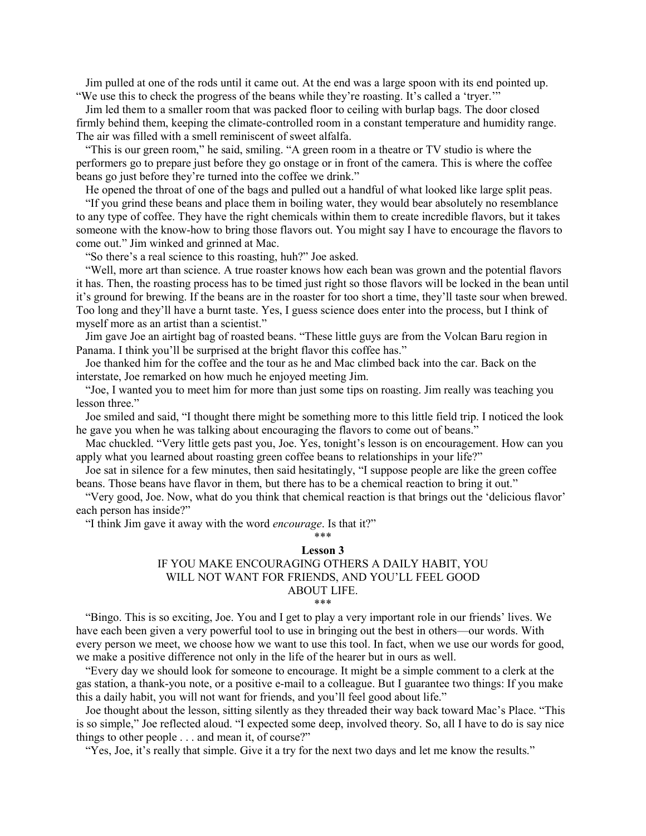Jim pulled at one of the rods until it came out. At the end was a large spoon with its end pointed up. "We use this to check the progress of the beans while they're roasting. It's called a 'tryer.'"

Jim led them to a smaller room that was packed floor to ceiling with burlap bags. The door closed firmly behind them, keeping the climate-controlled room in a constant temperature and humidity range. The air was filled with a smell reminiscent of sweet alfalfa.

"This is our green room," he said, smiling. "A green room in a theatre or TV studio is where the performers go to prepare just before they go onstage or in front of the camera. This is where the coffee beans go just before they're turned into the coffee we drink."

He opened the throat of one of the bags and pulled out a handful of what looked like large split peas.

"If you grind these beans and place them in boiling water, they would bear absolutely no resemblance to any type of coffee. They have the right chemicals within them to create incredible flavors, but it takes someone with the know-how to bring those flavors out. You might say I have to encourage the flavors to come out." Jim winked and grinned at Mac.

"So there's a real science to this roasting, huh?" Joe asked.

"Well, more art than science. A true roaster knows how each bean was grown and the potential flavors it has. Then, the roasting process has to be timed just right so those flavors will be locked in the bean until it's ground for brewing. If the beans are in the roaster for too short a time, they'll taste sour when brewed. Too long and they'll have a burnt taste. Yes, I guess science does enter into the process, but I think of myself more as an artist than a scientist."

Jim gave Joe an airtight bag of roasted beans. "These little guys are from the Volcan Baru region in Panama. I think you'll be surprised at the bright flavor this coffee has."

Joe thanked him for the coffee and the tour as he and Mac climbed back into the car. Back on the interstate, Joe remarked on how much he enjoyed meeting Jim.

"Joe, I wanted you to meet him for more than just some tips on roasting. Jim really was teaching you lesson three."

Joe smiled and said, "I thought there might be something more to this little field trip. I noticed the look he gave you when he was talking about encouraging the flavors to come out of beans."

Mac chuckled. "Very little gets past you, Joe. Yes, tonight's lesson is on encouragement. How can you apply what you learned about roasting green coffee beans to relationships in your life?"

Joe sat in silence for a few minutes, then said hesitatingly, "I suppose people are like the green coffee beans. Those beans have flavor in them, but there has to be a chemical reaction to bring it out."

"Very good, Joe. Now, what do you think that chemical reaction is that brings out the 'delicious flavor' each person has inside?"

"I think Jim gave it away with the word *encourage*. Is that it?" \*\*\*

# **Lesson 3**

#### IF YOU MAKE ENCOURAGING OTHERS A DAILY HABIT, YOU WILL NOT WANT FOR FRIENDS, AND YOU'LL FEEL GOOD ABOUT LIFE. \*\*\*

"Bingo. This is so exciting, Joe. You and I get to play a very important role in our friends' lives. We have each been given a very powerful tool to use in bringing out the best in others—our words. With every person we meet, we choose how we want to use this tool. In fact, when we use our words for good, we make a positive difference not only in the life of the hearer but in ours as well.

"Every day we should look for someone to encourage. It might be a simple comment to a clerk at the gas station, a thank-you note, or a positive e-mail to a colleague. But I guarantee two things: If you make this a daily habit, you will not want for friends, and you'll feel good about life."

Joe thought about the lesson, sitting silently as they threaded their way back toward Mac's Place. "This is so simple," Joe reflected aloud. "I expected some deep, involved theory. So, all I have to do is say nice things to other people . . . and mean it, of course?"

"Yes, Joe, it's really that simple. Give it a try for the next two days and let me know the results."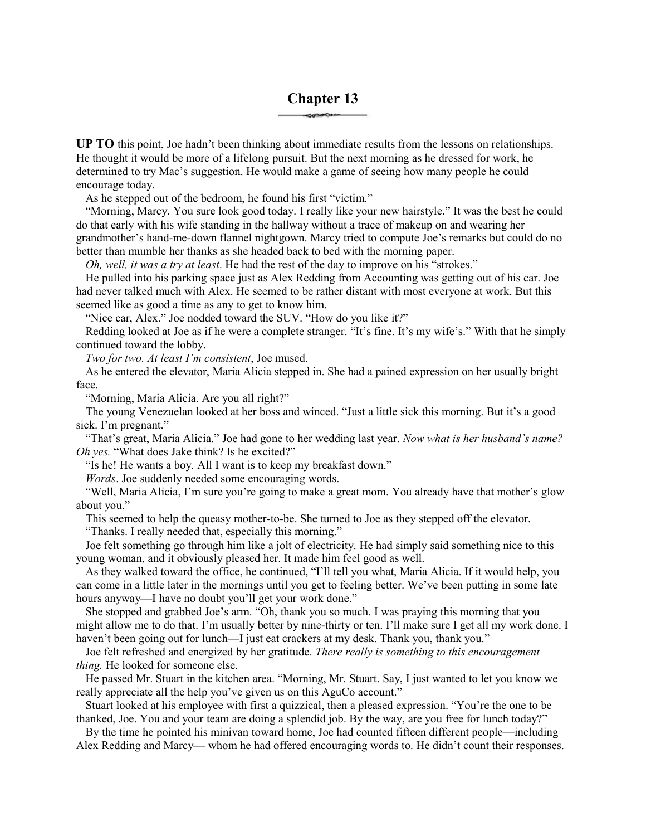<span id="page-39-0"></span>**UP TO** this point, Joe hadn't been thinking about immediate results from the lessons on relationships. He thought it would be more of a lifelong pursuit. But the next morning as he dressed for work, he determined to try Mac's suggestion. He would make a game of seeing how many people he could encourage today.

As he stepped out of the bedroom, he found his first "victim."

"Morning, Marcy. You sure look good today. I really like your new hairstyle." It was the best he could do that early with his wife standing in the hallway without a trace of makeup on and wearing her grandmother's hand-me-down flannel nightgown. Marcy tried to compute Joe's remarks but could do no better than mumble her thanks as she headed back to bed with the morning paper.

*Oh, well, it was a try at least*. He had the rest of the day to improve on his "strokes."

He pulled into his parking space just as Alex Redding from Accounting was getting out of his car. Joe had never talked much with Alex. He seemed to be rather distant with most everyone at work. But this seemed like as good a time as any to get to know him.

"Nice car, Alex." Joe nodded toward the SUV. "How do you like it?"

Redding looked at Joe as if he were a complete stranger. "It's fine. It's my wife's." With that he simply continued toward the lobby.

*Two for two. At least I'm consistent*, Joe mused.

As he entered the elevator, Maria Alicia stepped in. She had a pained expression on her usually bright face.

"Morning, Maria Alicia. Are you all right?"

The young Venezuelan looked at her boss and winced. "Just a little sick this morning. But it's a good sick. I'm pregnant."

"That's great, Maria Alicia." Joe had gone to her wedding last year. *Now what is her husband's name? Oh yes.* "What does Jake think? Is he excited?"

"Is he! He wants a boy. All I want is to keep my breakfast down."

*Words*. Joe suddenly needed some encouraging words.

"Well, Maria Alicia, I'm sure you're going to make a great mom. You already have that mother's glow about you."

This seemed to help the queasy mother-to-be. She turned to Joe as they stepped off the elevator.

"Thanks. I really needed that, especially this morning."

Joe felt something go through him like a jolt of electricity. He had simply said something nice to this young woman, and it obviously pleased her. It made him feel good as well.

As they walked toward the office, he continued, "I'll tell you what, Maria Alicia. If it would help, you can come in a little later in the mornings until you get to feeling better. We've been putting in some late hours anyway—I have no doubt you'll get your work done."

She stopped and grabbed Joe's arm. "Oh, thank you so much. I was praying this morning that you might allow me to do that. I'm usually better by nine-thirty or ten. I'll make sure I get all my work done. I haven't been going out for lunch—I just eat crackers at my desk. Thank you, thank you."

Joe felt refreshed and energized by her gratitude. *There really is something to this encouragement thing.* He looked for someone else.

He passed Mr. Stuart in the kitchen area. "Morning, Mr. Stuart. Say, I just wanted to let you know we really appreciate all the help you've given us on this AguCo account."

Stuart looked at his employee with first a quizzical, then a pleased expression. "You're the one to be thanked, Joe. You and your team are doing a splendid job. By the way, are you free for lunch today?"

By the time he pointed his minivan toward home, Joe had counted fifteen different people—including Alex Redding and Marcy— whom he had offered encouraging words to. He didn't count their responses.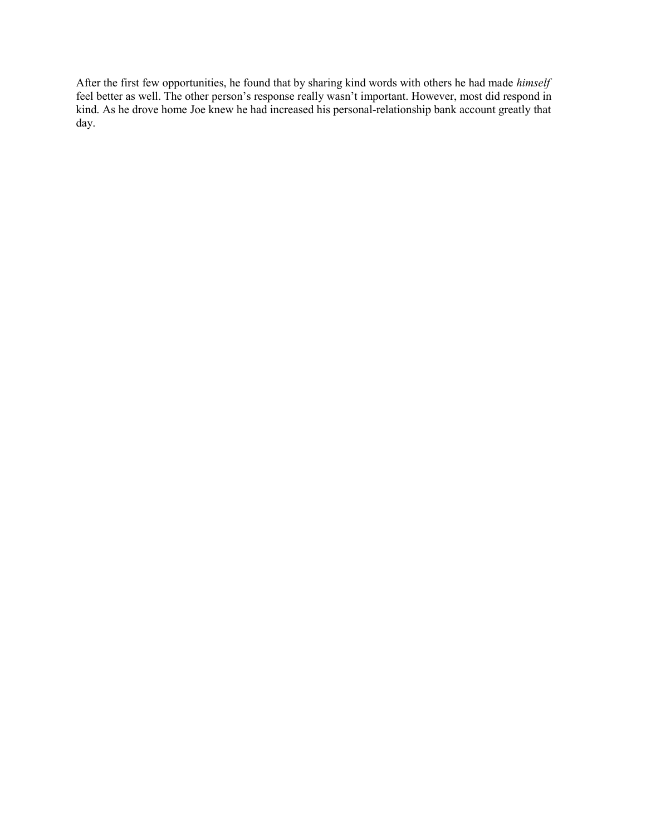After the first few opportunities, he found that by sharing kind words with others he had made *himself* feel better as well. The other person's response really wasn't important. However, most did respond in kind. As he drove home Joe knew he had increased his personal-relationship bank account greatly that day.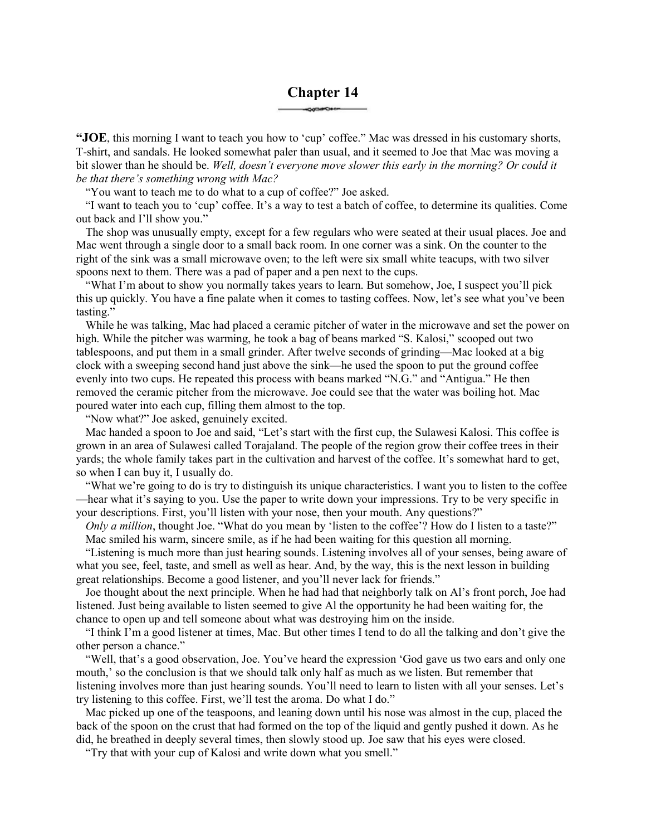<span id="page-41-0"></span>**"JOE**, this morning I want to teach you how to 'cup' coffee." Mac was dressed in his customary shorts, T-shirt, and sandals. He looked somewhat paler than usual, and it seemed to Joe that Mac was moving a bit slower than he should be. *Well, doesn't everyone move slower this early in the morning? Or could it be that there's something wrong with Mac?*

"You want to teach me to do what to a cup of coffee?" Joe asked.

"I want to teach you to 'cup' coffee. It's a way to test a batch of coffee, to determine its qualities. Come out back and I'll show you."

The shop was unusually empty, except for a few regulars who were seated at their usual places. Joe and Mac went through a single door to a small back room. In one corner was a sink. On the counter to the right of the sink was a small microwave oven; to the left were six small white teacups, with two silver spoons next to them. There was a pad of paper and a pen next to the cups.

"What I'm about to show you normally takes years to learn. But somehow, Joe, I suspect you'll pick this up quickly. You have a fine palate when it comes to tasting coffees. Now, let's see what you've been tasting."

While he was talking, Mac had placed a ceramic pitcher of water in the microwave and set the power on high. While the pitcher was warming, he took a bag of beans marked "S. Kalosi," scooped out two tablespoons, and put them in a small grinder. After twelve seconds of grinding—Mac looked at a big clock with a sweeping second hand just above the sink—he used the spoon to put the ground coffee evenly into two cups. He repeated this process with beans marked "N.G." and "Antigua." He then removed the ceramic pitcher from the microwave. Joe could see that the water was boiling hot. Mac poured water into each cup, filling them almost to the top.

"Now what?" Joe asked, genuinely excited.

Mac handed a spoon to Joe and said, "Let's start with the first cup, the Sulawesi Kalosi. This coffee is grown in an area of Sulawesi called Torajaland. The people of the region grow their coffee trees in their yards; the whole family takes part in the cultivation and harvest of the coffee. It's somewhat hard to get, so when I can buy it, I usually do.

"What we're going to do is try to distinguish its unique characteristics. I want you to listen to the coffee —hear what it's saying to you. Use the paper to write down your impressions. Try to be very specific in your descriptions. First, you'll listen with your nose, then your mouth. Any questions?"

*Only a million*, thought Joe. "What do you mean by 'listen to the coffee'? How do I listen to a taste?" Mac smiled his warm, sincere smile, as if he had been waiting for this question all morning.

"Listening is much more than just hearing sounds. Listening involves all of your senses, being aware of what you see, feel, taste, and smell as well as hear. And, by the way, this is the next lesson in building great relationships. Become a good listener, and you'll never lack for friends."

Joe thought about the next principle. When he had had that neighborly talk on Al's front porch, Joe had listened. Just being available to listen seemed to give Al the opportunity he had been waiting for, the chance to open up and tell someone about what was destroying him on the inside.

"I think I'm a good listener at times, Mac. But other times I tend to do all the talking and don't give the other person a chance."

"Well, that's a good observation, Joe. You've heard the expression 'God gave us two ears and only one mouth,' so the conclusion is that we should talk only half as much as we listen. But remember that listening involves more than just hearing sounds. You'll need to learn to listen with all your senses. Let's try listening to this coffee. First, we'll test the aroma. Do what I do."

Mac picked up one of the teaspoons, and leaning down until his nose was almost in the cup, placed the back of the spoon on the crust that had formed on the top of the liquid and gently pushed it down. As he did, he breathed in deeply several times, then slowly stood up. Joe saw that his eyes were closed.

"Try that with your cup of Kalosi and write down what you smell."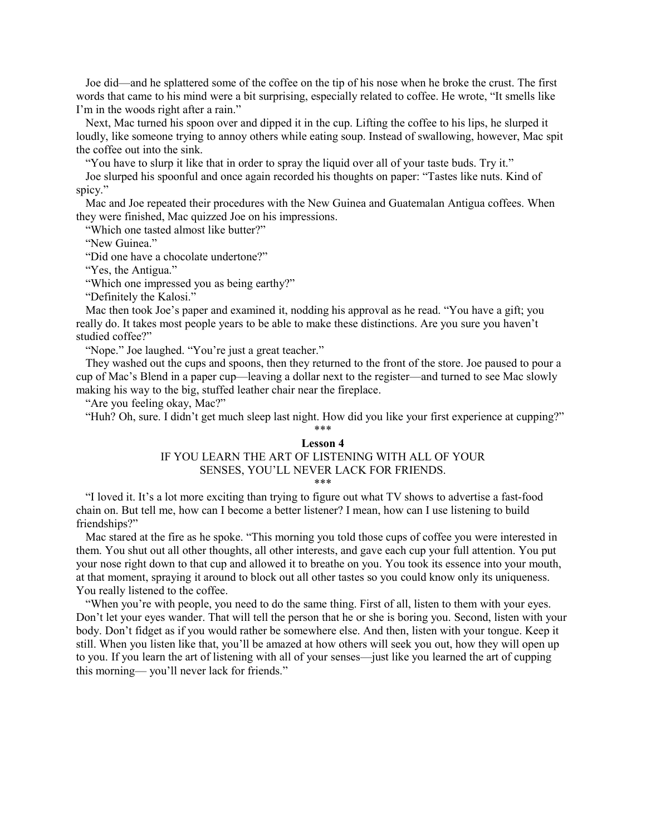Joe did—and he splattered some of the coffee on the tip of his nose when he broke the crust. The first words that came to his mind were a bit surprising, especially related to coffee. He wrote, "It smells like I'm in the woods right after a rain."

Next, Mac turned his spoon over and dipped it in the cup. Lifting the coffee to his lips, he slurped it loudly, like someone trying to annoy others while eating soup. Instead of swallowing, however, Mac spit the coffee out into the sink.

"You have to slurp it like that in order to spray the liquid over all of your taste buds. Try it."

Joe slurped his spoonful and once again recorded his thoughts on paper: "Tastes like nuts. Kind of spicy."

Mac and Joe repeated their procedures with the New Guinea and Guatemalan Antigua coffees. When they were finished, Mac quizzed Joe on his impressions.

"Which one tasted almost like butter?"

"New Guinea"

"Did one have a chocolate undertone?"

"Yes, the Antigua."

"Which one impressed you as being earthy?"

"Definitely the Kalosi."

Mac then took Joe's paper and examined it, nodding his approval as he read. "You have a gift; you really do. It takes most people years to be able to make these distinctions. Are you sure you haven't studied coffee?"

"Nope." Joe laughed. "You're just a great teacher."

They washed out the cups and spoons, then they returned to the front of the store. Joe paused to pour a cup of Mac's Blend in a paper cup—leaving a dollar next to the register—and turned to see Mac slowly making his way to the big, stuffed leather chair near the fireplace.

"Are you feeling okay, Mac?"

"Huh? Oh, sure. I didn't get much sleep last night. How did you like your first experience at cupping?" \*\*\*

#### **Lesson 4**

#### IF YOU LEARN THE ART OF LISTENING WITH ALL OF YOUR SENSES, YOU'LL NEVER LACK FOR FRIENDS.

#### \*\*\*

"I loved it. It's a lot more exciting than trying to figure out what TV shows to advertise a fast-food chain on. But tell me, how can I become a better listener? I mean, how can I use listening to build friendships?"

Mac stared at the fire as he spoke. "This morning you told those cups of coffee you were interested in them. You shut out all other thoughts, all other interests, and gave each cup your full attention. You put your nose right down to that cup and allowed it to breathe on you. You took its essence into your mouth, at that moment, spraying it around to block out all other tastes so you could know only its uniqueness. You really listened to the coffee.

"When you're with people, you need to do the same thing. First of all, listen to them with your eyes. Don't let your eyes wander. That will tell the person that he or she is boring you. Second, listen with your body. Don't fidget as if you would rather be somewhere else. And then, listen with your tongue. Keep it still. When you listen like that, you'll be amazed at how others will seek you out, how they will open up to you. If you learn the art of listening with all of your senses—just like you learned the art of cupping this morning— you'll never lack for friends."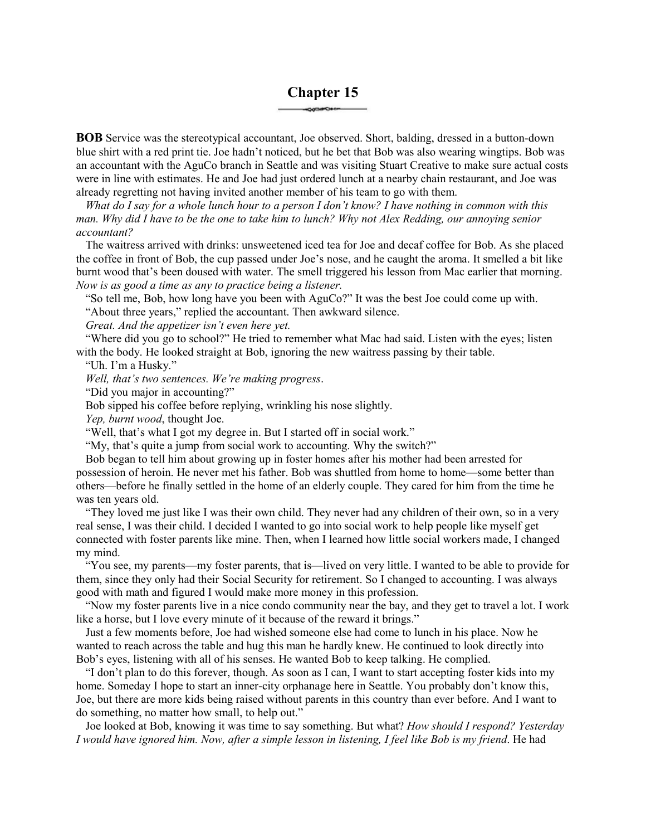<span id="page-43-0"></span>**BOB** Service was the stereotypical accountant, Joe observed. Short, balding, dressed in a button-down blue shirt with a red print tie. Joe hadn't noticed, but he bet that Bob was also wearing wingtips. Bob was an accountant with the AguCo branch in Seattle and was visiting Stuart Creative to make sure actual costs were in line with estimates. He and Joe had just ordered lunch at a nearby chain restaurant, and Joe was already regretting not having invited another member of his team to go with them.

*What do I say for a whole lunch hour to a person I don't know? I have nothing in common with this man. Why did I have to be the one to take him to lunch? Why not Alex Redding, our annoying senior accountant?*

The waitress arrived with drinks: unsweetened iced tea for Joe and decaf coffee for Bob. As she placed the coffee in front of Bob, the cup passed under Joe's nose, and he caught the aroma. It smelled a bit like burnt wood that's been doused with water. The smell triggered his lesson from Mac earlier that morning. *Now is as good a time as any to practice being a listener.*

"So tell me, Bob, how long have you been with AguCo?" It was the best Joe could come up with.

"About three years," replied the accountant. Then awkward silence.

*Great. And the appetizer isn't even here yet.*

"Where did you go to school?" He tried to remember what Mac had said. Listen with the eyes; listen with the body. He looked straight at Bob, ignoring the new waitress passing by their table.

"Uh. I'm a Husky."

*Well, that's two sentences. We're making progress*.

"Did you major in accounting?"

Bob sipped his coffee before replying, wrinkling his nose slightly.

*Yep, burnt wood*, thought Joe.

"Well, that's what I got my degree in. But I started off in social work."

"My, that's quite a jump from social work to accounting. Why the switch?"

Bob began to tell him about growing up in foster homes after his mother had been arrested for possession of heroin. He never met his father. Bob was shuttled from home to home—some better than others—before he finally settled in the home of an elderly couple. They cared for him from the time he was ten years old.

"They loved me just like I was their own child. They never had any children of their own, so in a very real sense, I was their child. I decided I wanted to go into social work to help people like myself get connected with foster parents like mine. Then, when I learned how little social workers made, I changed my mind.

"You see, my parents—my foster parents, that is—lived on very little. I wanted to be able to provide for them, since they only had their Social Security for retirement. So I changed to accounting. I was always good with math and figured I would make more money in this profession.

"Now my foster parents live in a nice condo community near the bay, and they get to travel a lot. I work like a horse, but I love every minute of it because of the reward it brings."

Just a few moments before, Joe had wished someone else had come to lunch in his place. Now he wanted to reach across the table and hug this man he hardly knew. He continued to look directly into Bob's eyes, listening with all of his senses. He wanted Bob to keep talking. He complied.

"I don't plan to do this forever, though. As soon as I can, I want to start accepting foster kids into my home. Someday I hope to start an inner-city orphanage here in Seattle. You probably don't know this, Joe, but there are more kids being raised without parents in this country than ever before. And I want to do something, no matter how small, to help out."

Joe looked at Bob, knowing it was time to say something. But what? *How should I respond? Yesterday I would have ignored him. Now, after a simple lesson in listening, I feel like Bob is my friend*. He had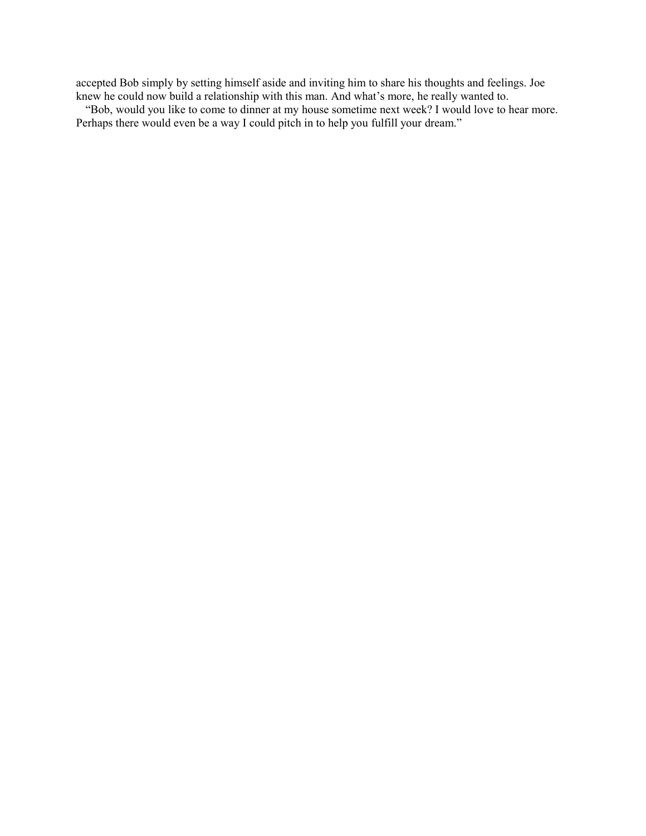accepted Bob simply by setting himself aside and inviting him to share his thoughts and feelings. Joe knew he could now build a relationship with this man. And what's more, he really wanted to.

"Bob, would you like to come to dinner at my house sometime next week? I would love to hear more. Perhaps there would even be a way I could pitch in to help you fulfill your dream."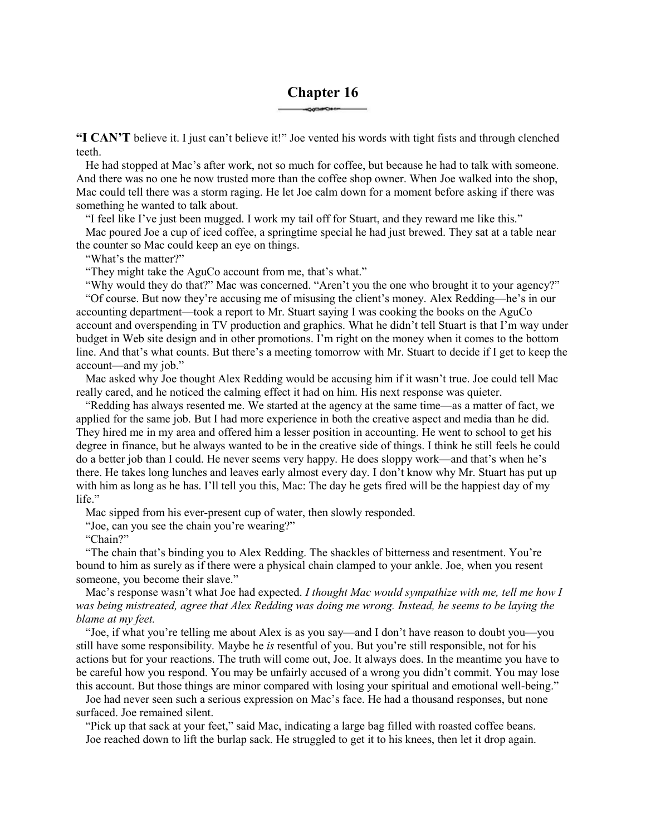<span id="page-45-0"></span>**"I CAN'T** believe it. I just can't believe it!" Joe vented his words with tight fists and through clenched teeth.

He had stopped at Mac's after work, not so much for coffee, but because he had to talk with someone. And there was no one he now trusted more than the coffee shop owner. When Joe walked into the shop, Mac could tell there was a storm raging. He let Joe calm down for a moment before asking if there was something he wanted to talk about.

"I feel like I've just been mugged. I work my tail off for Stuart, and they reward me like this."

Mac poured Joe a cup of iced coffee, a springtime special he had just brewed. They sat at a table near the counter so Mac could keep an eye on things.

"What's the matter?"

"They might take the AguCo account from me, that's what."

"Why would they do that?" Mac was concerned. "Aren't you the one who brought it to your agency?" "Of course. But now they're accusing me of misusing the client's money. Alex Redding—he's in our accounting department—took a report to Mr. Stuart saying I was cooking the books on the AguCo account and overspending in TV production and graphics. What he didn't tell Stuart is that I'm way under budget in Web site design and in other promotions. I'm right on the money when it comes to the bottom line. And that's what counts. But there's a meeting tomorrow with Mr. Stuart to decide if I get to keep the account—and my job."

Mac asked why Joe thought Alex Redding would be accusing him if it wasn't true. Joe could tell Mac really cared, and he noticed the calming effect it had on him. His next response was quieter.

"Redding has always resented me. We started at the agency at the same time—as a matter of fact, we applied for the same job. But I had more experience in both the creative aspect and media than he did. They hired me in my area and offered him a lesser position in accounting. He went to school to get his degree in finance, but he always wanted to be in the creative side of things. I think he still feels he could do a better job than I could. He never seems very happy. He does sloppy work—and that's when he's there. He takes long lunches and leaves early almost every day. I don't know why Mr. Stuart has put up with him as long as he has. I'll tell you this, Mac: The day he gets fired will be the happiest day of my life."

Mac sipped from his ever-present cup of water, then slowly responded.

"Joe, can you see the chain you're wearing?"

"Chain?"

"The chain that's binding you to Alex Redding. The shackles of bitterness and resentment. You're bound to him as surely as if there were a physical chain clamped to your ankle. Joe, when you resent someone, you become their slave."

Mac's response wasn't what Joe had expected. *I thought Mac would sympathize with me, tell me how I was being mistreated, agree that Alex Redding was doing me wrong. Instead, he seems to be laying the blame at my feet.*

"Joe, if what you're telling me about Alex is as you say—and I don't have reason to doubt you—you still have some responsibility. Maybe he *is* resentful of you. But you're still responsible, not for his actions but for your reactions. The truth will come out, Joe. It always does. In the meantime you have to be careful how you respond. You may be unfairly accused of a wrong you didn't commit. You may lose this account. But those things are minor compared with losing your spiritual and emotional well-being."

Joe had never seen such a serious expression on Mac's face. He had a thousand responses, but none surfaced. Joe remained silent.

"Pick up that sack at your feet," said Mac, indicating a large bag filled with roasted coffee beans. Joe reached down to lift the burlap sack. He struggled to get it to his knees, then let it drop again.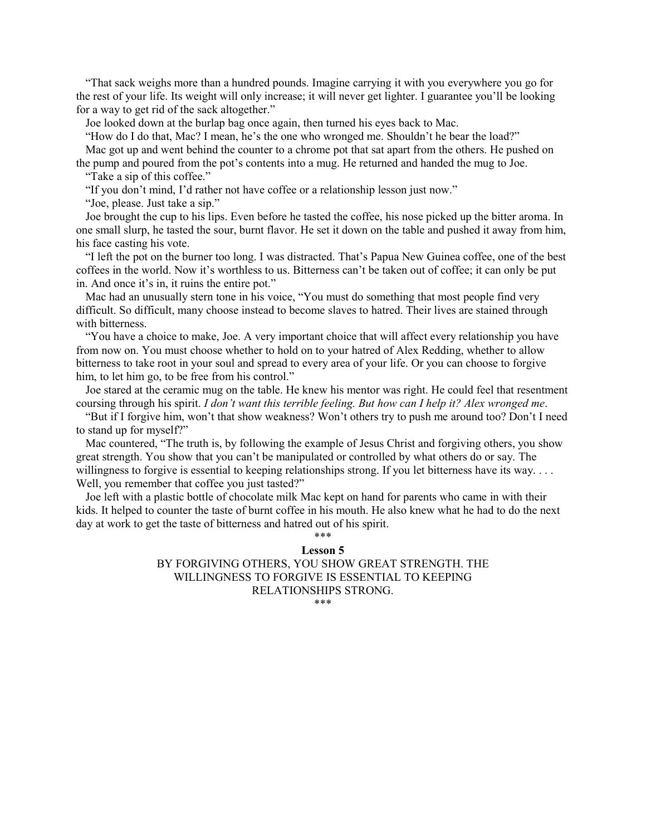"That sack weighs more than a hundred pounds. Imagine carrying it with you everywhere you go for the rest of your life. Its weight will only increase; it will never get lighter. I guarantee you'll be looking for a way to get rid of the sack altogether."

Joe looked down at the burlap bag once again, then turned his eyes back to Mac.

"How do I do that, Mac? I mean, he's the one who wronged me. Shouldn't he bear the load?"

Mac got up and went behind the counter to a chrome pot that sat apart from the others. He pushed on the pump and poured from the pot's contents into a mug. He returned and handed the mug to Joe.

"Take a sip of this coffee."

"If you don't mind, I'd rather not have coffee or a relationship lesson just now."

"Joe, please. Just take a sip."

Joe brought the cup to his lips. Even before he tasted the coffee, his nose picked up the bitter aroma. In one small slurp, he tasted the sour, burnt flavor. He set it down on the table and pushed it away from him, his face casting his vote.

"I left the pot on the burner too long. I was distracted. That's Papua New Guinea coffee, one of the best coffees in the world. Now it's worthless to us. Bitterness can't be taken out of coffee; it can only be put in. And once it's in, it ruins the entire pot."

Mac had an unusually stern tone in his voice, "You must do something that most people find very difficult. So difficult, many choose instead to become slaves to hatred. Their lives are stained through with bitterness.

"You have a choice to make, Joe. A very important choice that will affect every relationship you have from now on. You must choose whether to hold on to your hatred of Alex Redding, whether to allow bitterness to take root in your soul and spread to every area of your life. Or you can choose to forgive him, to let him go, to be free from his control."

Joe stared at the ceramic mug on the table. He knew his mentor was right. He could feel that resentment coursing through his spirit. *I don't want this terrible feeling. But how can I help it? Alex wronged me*.

"But if I forgive him, won't that show weakness? Won't others try to push me around too? Don't I need to stand up for myself?"

Mac countered, "The truth is, by following the example of Jesus Christ and forgiving others, you show great strength. You show that you can't be manipulated or controlled by what others do or say. The willingness to forgive is essential to keeping relationships strong. If you let bitterness have its way. . . . Well, you remember that coffee you just tasted?"

Joe left with a plastic bottle of chocolate milk Mac kept on hand for parents who came in with their kids. It helped to counter the taste of burnt coffee in his mouth. He also knew what he had to do the next day at work to get the taste of bitterness and hatred out of his spirit.

\*\*\*

#### **Lesson 5** BY FORGIVING OTHERS, YOU SHOW GREAT STRENGTH. THE WILLINGNESS TO FORGIVE IS ESSENTIAL TO KEEPING RELATIONSHIPS STRONG. \*\*\*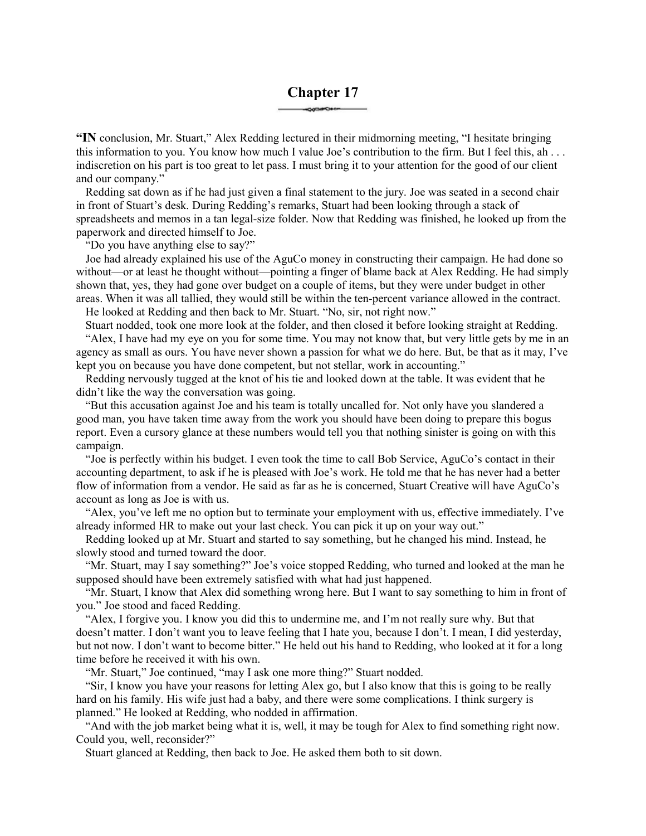<span id="page-47-0"></span>**"IN** conclusion, Mr. Stuart," Alex Redding lectured in their midmorning meeting, "I hesitate bringing this information to you. You know how much I value Joe's contribution to the firm. But I feel this, ah . . . indiscretion on his part is too great to let pass. I must bring it to your attention for the good of our client and our company."

Redding sat down as if he had just given a final statement to the jury. Joe was seated in a second chair in front of Stuart's desk. During Redding's remarks, Stuart had been looking through a stack of spreadsheets and memos in a tan legal-size folder. Now that Redding was finished, he looked up from the paperwork and directed himself to Joe.

"Do you have anything else to say?"

Joe had already explained his use of the AguCo money in constructing their campaign. He had done so without—or at least he thought without—pointing a finger of blame back at Alex Redding. He had simply shown that, yes, they had gone over budget on a couple of items, but they were under budget in other areas. When it was all tallied, they would still be within the ten-percent variance allowed in the contract.

He looked at Redding and then back to Mr. Stuart. "No, sir, not right now."

Stuart nodded, took one more look at the folder, and then closed it before looking straight at Redding. "Alex, I have had my eye on you for some time. You may not know that, but very little gets by me in an agency as small as ours. You have never shown a passion for what we do here. But, be that as it may, I've kept you on because you have done competent, but not stellar, work in accounting."

Redding nervously tugged at the knot of his tie and looked down at the table. It was evident that he didn't like the way the conversation was going.

"But this accusation against Joe and his team is totally uncalled for. Not only have you slandered a good man, you have taken time away from the work you should have been doing to prepare this bogus report. Even a cursory glance at these numbers would tell you that nothing sinister is going on with this campaign.

"Joe is perfectly within his budget. I even took the time to call Bob Service, AguCo's contact in their accounting department, to ask if he is pleased with Joe's work. He told me that he has never had a better flow of information from a vendor. He said as far as he is concerned, Stuart Creative will have AguCo's account as long as Joe is with us.

"Alex, you've left me no option but to terminate your employment with us, effective immediately. I've already informed HR to make out your last check. You can pick it up on your way out."

Redding looked up at Mr. Stuart and started to say something, but he changed his mind. Instead, he slowly stood and turned toward the door.

"Mr. Stuart, may I say something?" Joe's voice stopped Redding, who turned and looked at the man he supposed should have been extremely satisfied with what had just happened.

"Mr. Stuart, I know that Alex did something wrong here. But I want to say something to him in front of you." Joe stood and faced Redding.

"Alex, I forgive you. I know you did this to undermine me, and I'm not really sure why. But that doesn't matter. I don't want you to leave feeling that I hate you, because I don't. I mean, I did yesterday, but not now. I don't want to become bitter." He held out his hand to Redding, who looked at it for a long time before he received it with his own.

"Mr. Stuart," Joe continued, "may I ask one more thing?" Stuart nodded.

"Sir, I know you have your reasons for letting Alex go, but I also know that this is going to be really hard on his family. His wife just had a baby, and there were some complications. I think surgery is planned." He looked at Redding, who nodded in affirmation.

"And with the job market being what it is, well, it may be tough for Alex to find something right now. Could you, well, reconsider?"

Stuart glanced at Redding, then back to Joe. He asked them both to sit down.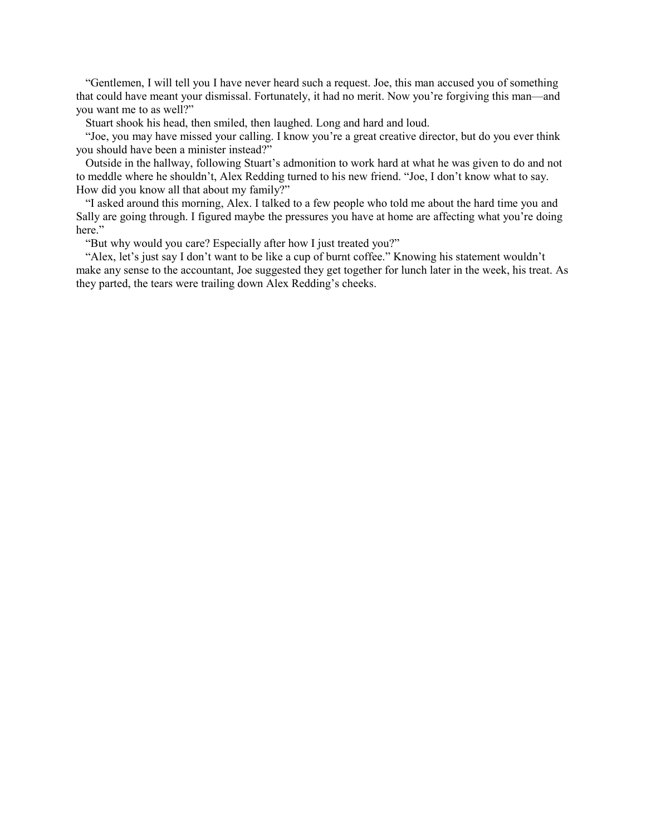"Gentlemen, I will tell you I have never heard such a request. Joe, this man accused you of something that could have meant your dismissal. Fortunately, it had no merit. Now you're forgiving this man—and you want me to as well?"

Stuart shook his head, then smiled, then laughed. Long and hard and loud.

"Joe, you may have missed your calling. I know you're a great creative director, but do you ever think you should have been a minister instead?"

Outside in the hallway, following Stuart's admonition to work hard at what he was given to do and not to meddle where he shouldn't, Alex Redding turned to his new friend. "Joe, I don't know what to say. How did you know all that about my family?"

"I asked around this morning, Alex. I talked to a few people who told me about the hard time you and Sally are going through. I figured maybe the pressures you have at home are affecting what you're doing here."

"But why would you care? Especially after how I just treated you?"

"Alex, let's just say I don't want to be like a cup of burnt coffee." Knowing his statement wouldn't make any sense to the accountant, Joe suggested they get together for lunch later in the week, his treat. As they parted, the tears were trailing down Alex Redding's cheeks.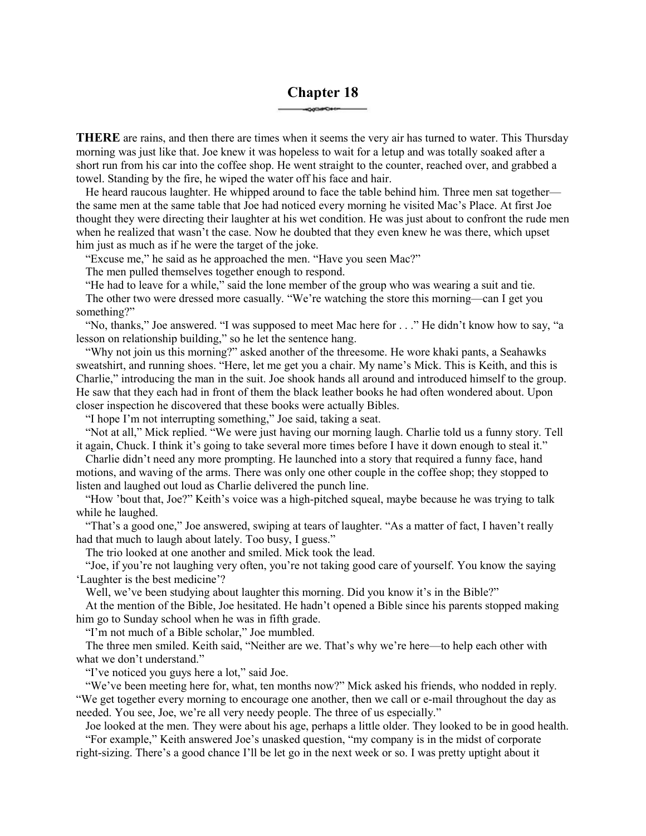<span id="page-49-0"></span>**THERE** are rains, and then there are times when it seems the very air has turned to water. This Thursday morning was just like that. Joe knew it was hopeless to wait for a letup and was totally soaked after a short run from his car into the coffee shop. He went straight to the counter, reached over, and grabbed a towel. Standing by the fire, he wiped the water off his face and hair.

He heard raucous laughter. He whipped around to face the table behind him. Three men sat together the same men at the same table that Joe had noticed every morning he visited Mac's Place. At first Joe thought they were directing their laughter at his wet condition. He was just about to confront the rude men when he realized that wasn't the case. Now he doubted that they even knew he was there, which upset him just as much as if he were the target of the joke.

"Excuse me," he said as he approached the men. "Have you seen Mac?"

The men pulled themselves together enough to respond.

"He had to leave for a while," said the lone member of the group who was wearing a suit and tie. The other two were dressed more casually. "We're watching the store this morning—can I get you something?"

"No, thanks," Joe answered. "I was supposed to meet Mac here for . . ." He didn't know how to say, "a lesson on relationship building," so he let the sentence hang.

"Why not join us this morning?" asked another of the threesome. He wore khaki pants, a Seahawks sweatshirt, and running shoes. "Here, let me get you a chair. My name's Mick. This is Keith, and this is Charlie," introducing the man in the suit. Joe shook hands all around and introduced himself to the group. He saw that they each had in front of them the black leather books he had often wondered about. Upon closer inspection he discovered that these books were actually Bibles.

"I hope I'm not interrupting something," Joe said, taking a seat.

"Not at all," Mick replied. "We were just having our morning laugh. Charlie told us a funny story. Tell it again, Chuck. I think it's going to take several more times before I have it down enough to steal it."

Charlie didn't need any more prompting. He launched into a story that required a funny face, hand motions, and waving of the arms. There was only one other couple in the coffee shop; they stopped to listen and laughed out loud as Charlie delivered the punch line.

"How 'bout that, Joe?" Keith's voice was a high-pitched squeal, maybe because he was trying to talk while he laughed.

"That's a good one," Joe answered, swiping at tears of laughter. "As a matter of fact, I haven't really had that much to laugh about lately. Too busy, I guess."

The trio looked at one another and smiled. Mick took the lead.

"Joe, if you're not laughing very often, you're not taking good care of yourself. You know the saying 'Laughter is the best medicine'?

Well, we've been studying about laughter this morning. Did you know it's in the Bible?"

At the mention of the Bible, Joe hesitated. He hadn't opened a Bible since his parents stopped making him go to Sunday school when he was in fifth grade.

"I'm not much of a Bible scholar," Joe mumbled.

The three men smiled. Keith said, "Neither are we. That's why we're here—to help each other with what we don't understand."

"I've noticed you guys here a lot," said Joe.

"We've been meeting here for, what, ten months now?" Mick asked his friends, who nodded in reply. "We get together every morning to encourage one another, then we call or e-mail throughout the day as needed. You see, Joe, we're all very needy people. The three of us especially."

Joe looked at the men. They were about his age, perhaps a little older. They looked to be in good health. "For example," Keith answered Joe's unasked question, "my company is in the midst of corporate

right-sizing. There's a good chance I'll be let go in the next week or so. I was pretty uptight about it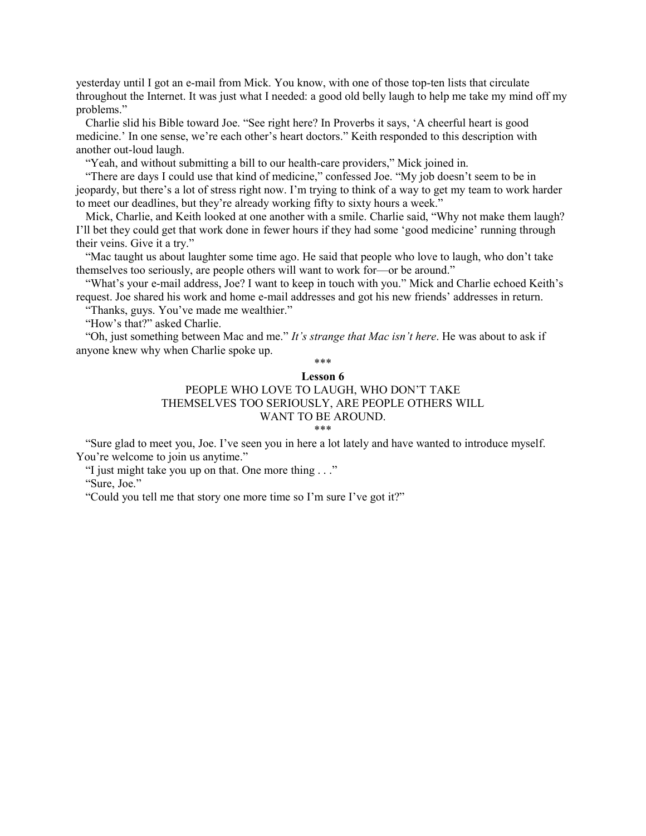yesterday until I got an e-mail from Mick. You know, with one of those top-ten lists that circulate throughout the Internet. It was just what I needed: a good old belly laugh to help me take my mind off my problems."

Charlie slid his Bible toward Joe. "See right here? In Proverbs it says, 'A cheerful heart is good medicine.' In one sense, we're each other's heart doctors." Keith responded to this description with another out-loud laugh.

"Yeah, and without submitting a bill to our health-care providers," Mick joined in.

"There are days I could use that kind of medicine," confessed Joe. "My job doesn't seem to be in jeopardy, but there's a lot of stress right now. I'm trying to think of a way to get my team to work harder to meet our deadlines, but they're already working fifty to sixty hours a week."

Mick, Charlie, and Keith looked at one another with a smile. Charlie said, "Why not make them laugh? I'll bet they could get that work done in fewer hours if they had some 'good medicine' running through their veins. Give it a try."

"Mac taught us about laughter some time ago. He said that people who love to laugh, who don't take themselves too seriously, are people others will want to work for—or be around."

"What's your e-mail address, Joe? I want to keep in touch with you." Mick and Charlie echoed Keith's request. Joe shared his work and home e-mail addresses and got his new friends' addresses in return. "Thanks, guys. You've made me wealthier."

"How's that?" asked Charlie.

"Oh, just something between Mac and me." *It's strange that Mac isn't here*. He was about to ask if anyone knew why when Charlie spoke up.

#### \*\*\*

#### **Lesson 6**

#### PEOPLE WHO LOVE TO LAUGH, WHO DON'T TAKE THEMSELVES TOO SERIOUSLY, ARE PEOPLE OTHERS WILL WANT TO BE AROUND. \*\*\*

"Sure glad to meet you, Joe. I've seen you in here a lot lately and have wanted to introduce myself. You're welcome to join us anytime."

"I just might take you up on that. One more thing . . ."

"Sure, Joe."

"Could you tell me that story one more time so I'm sure I've got it?"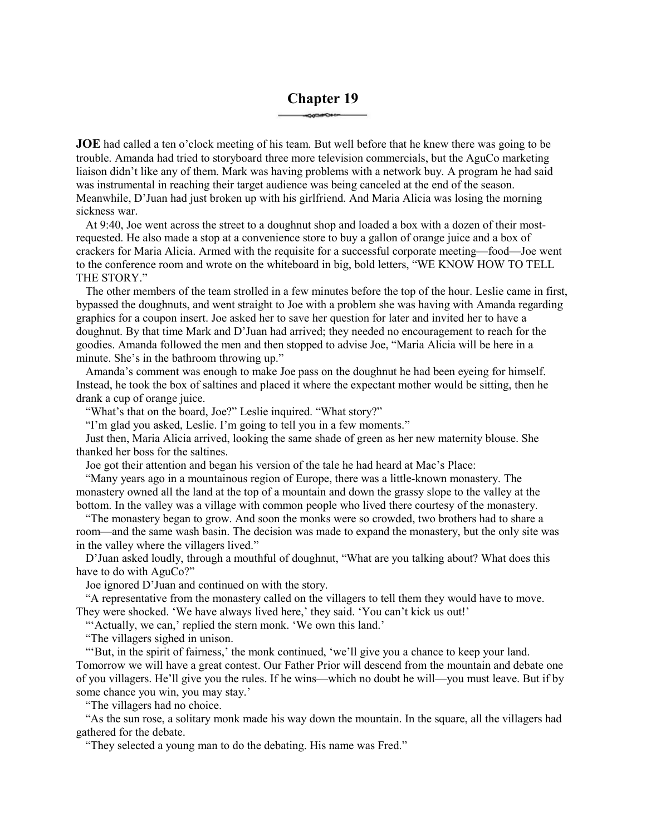<span id="page-51-0"></span>**JOE** had called a ten o'clock meeting of his team. But well before that he knew there was going to be trouble. Amanda had tried to storyboard three more television commercials, but the AguCo marketing liaison didn't like any of them. Mark was having problems with a network buy. A program he had said was instrumental in reaching their target audience was being canceled at the end of the season. Meanwhile, D'Juan had just broken up with his girlfriend. And Maria Alicia was losing the morning sickness war.

At 9:40, Joe went across the street to a doughnut shop and loaded a box with a dozen of their mostrequested. He also made a stop at a convenience store to buy a gallon of orange juice and a box of crackers for Maria Alicia. Armed with the requisite for a successful corporate meeting—food—Joe went to the conference room and wrote on the whiteboard in big, bold letters, "WE KNOW HOW TO TELL THE STORY."

The other members of the team strolled in a few minutes before the top of the hour. Leslie came in first, bypassed the doughnuts, and went straight to Joe with a problem she was having with Amanda regarding graphics for a coupon insert. Joe asked her to save her question for later and invited her to have a doughnut. By that time Mark and D'Juan had arrived; they needed no encouragement to reach for the goodies. Amanda followed the men and then stopped to advise Joe, "Maria Alicia will be here in a minute. She's in the bathroom throwing up."

Amanda's comment was enough to make Joe pass on the doughnut he had been eyeing for himself. Instead, he took the box of saltines and placed it where the expectant mother would be sitting, then he drank a cup of orange juice.

"What's that on the board, Joe?" Leslie inquired. "What story?"

"I'm glad you asked, Leslie. I'm going to tell you in a few moments."

Just then, Maria Alicia arrived, looking the same shade of green as her new maternity blouse. She thanked her boss for the saltines.

Joe got their attention and began his version of the tale he had heard at Mac's Place:

"Many years ago in a mountainous region of Europe, there was a little-known monastery. The monastery owned all the land at the top of a mountain and down the grassy slope to the valley at the bottom. In the valley was a village with common people who lived there courtesy of the monastery.

"The monastery began to grow. And soon the monks were so crowded, two brothers had to share a room—and the same wash basin. The decision was made to expand the monastery, but the only site was in the valley where the villagers lived."

D'Juan asked loudly, through a mouthful of doughnut, "What are you talking about? What does this have to do with AguCo?"

Joe ignored D'Juan and continued on with the story.

"A representative from the monastery called on the villagers to tell them they would have to move. They were shocked. 'We have always lived here,' they said. 'You can't kick us out!'

"'Actually, we can,' replied the stern monk. 'We own this land.'

"The villagers sighed in unison.

"'But, in the spirit of fairness,' the monk continued, 'we'll give you a chance to keep your land. Tomorrow we will have a great contest. Our Father Prior will descend from the mountain and debate one of you villagers. He'll give you the rules. If he wins—which no doubt he will—you must leave. But if by some chance you win, you may stay.'

"The villagers had no choice.

"As the sun rose, a solitary monk made his way down the mountain. In the square, all the villagers had gathered for the debate.

"They selected a young man to do the debating. His name was Fred."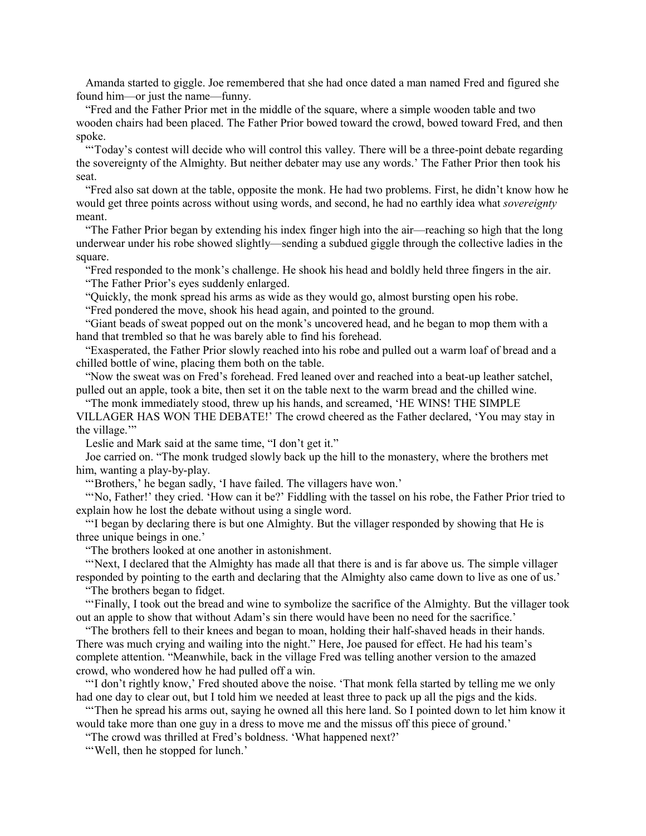Amanda started to giggle. Joe remembered that she had once dated a man named Fred and figured she found him—or just the name—funny.

"Fred and the Father Prior met in the middle of the square, where a simple wooden table and two wooden chairs had been placed. The Father Prior bowed toward the crowd, bowed toward Fred, and then spoke.

"Today's contest will decide who will control this valley. There will be a three-point debate regarding the sovereignty of the Almighty. But neither debater may use any words.' The Father Prior then took his seat.

"Fred also sat down at the table, opposite the monk. He had two problems. First, he didn't know how he would get three points across without using words, and second, he had no earthly idea what *sovereignty* meant.

"The Father Prior began by extending his index finger high into the air—reaching so high that the long underwear under his robe showed slightly—sending a subdued giggle through the collective ladies in the square.

"Fred responded to the monk's challenge. He shook his head and boldly held three fingers in the air. "The Father Prior's eyes suddenly enlarged.

"Quickly, the monk spread his arms as wide as they would go, almost bursting open his robe.

"Fred pondered the move, shook his head again, and pointed to the ground.

"Giant beads of sweat popped out on the monk's uncovered head, and he began to mop them with a hand that trembled so that he was barely able to find his forehead.

"Exasperated, the Father Prior slowly reached into his robe and pulled out a warm loaf of bread and a chilled bottle of wine, placing them both on the table.

"Now the sweat was on Fred's forehead. Fred leaned over and reached into a beat-up leather satchel, pulled out an apple, took a bite, then set it on the table next to the warm bread and the chilled wine.

"The monk immediately stood, threw up his hands, and screamed, 'HE WINS! THE SIMPLE VILLAGER HAS WON THE DEBATE!' The crowd cheered as the Father declared, 'You may stay in the village."

Leslie and Mark said at the same time, "I don't get it."

Joe carried on. "The monk trudged slowly back up the hill to the monastery, where the brothers met him, wanting a play-by-play.

"'Brothers,' he began sadly, 'I have failed. The villagers have won.'

"'No, Father!' they cried. 'How can it be?' Fiddling with the tassel on his robe, the Father Prior tried to explain how he lost the debate without using a single word.

"'I began by declaring there is but one Almighty. But the villager responded by showing that He is three unique beings in one.'

"The brothers looked at one another in astonishment.

"Next, I declared that the Almighty has made all that there is and is far above us. The simple villager responded by pointing to the earth and declaring that the Almighty also came down to live as one of us.'

"The brothers began to fidget.

"'Finally, I took out the bread and wine to symbolize the sacrifice of the Almighty. But the villager took out an apple to show that without Adam's sin there would have been no need for the sacrifice.'

"The brothers fell to their knees and began to moan, holding their half-shaved heads in their hands. There was much crying and wailing into the night." Here, Joe paused for effect. He had his team's complete attention. "Meanwhile, back in the village Fred was telling another version to the amazed crowd, who wondered how he had pulled off a win.

"'I don't rightly know,' Fred shouted above the noise. 'That monk fella started by telling me we only had one day to clear out, but I told him we needed at least three to pack up all the pigs and the kids.

"'Then he spread his arms out, saying he owned all this here land. So I pointed down to let him know it would take more than one guy in a dress to move me and the missus off this piece of ground.'

"The crowd was thrilled at Fred's boldness. 'What happened next?'

"'Well, then he stopped for lunch.'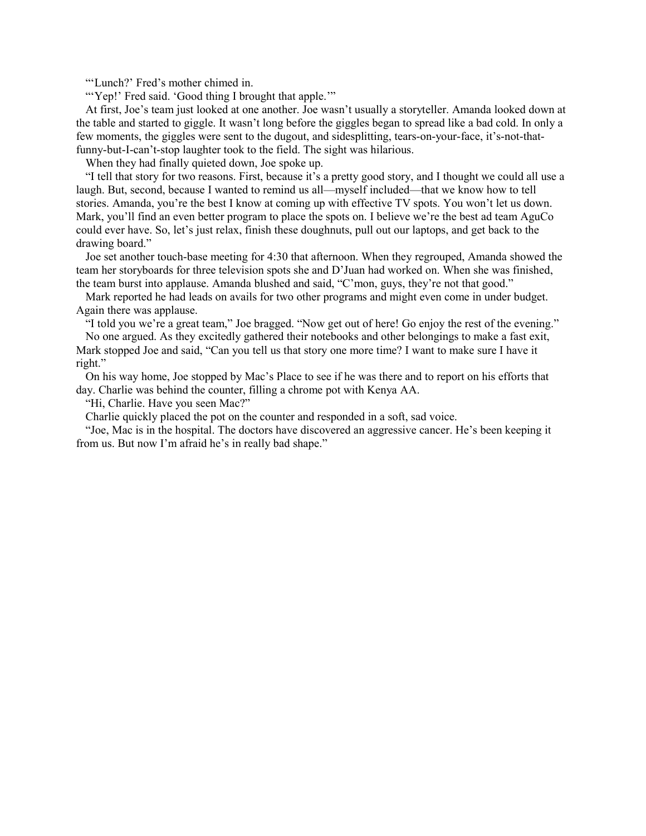"'Lunch?' Fred's mother chimed in.

"Yep!' Fred said. 'Good thing I brought that apple.'"

At first, Joe's team just looked at one another. Joe wasn't usually a storyteller. Amanda looked down at the table and started to giggle. It wasn't long before the giggles began to spread like a bad cold. In only a few moments, the giggles were sent to the dugout, and sidesplitting, tears-on-your-face, it's-not-thatfunny-but-I-can't-stop laughter took to the field. The sight was hilarious.

When they had finally quieted down, Joe spoke up.

"I tell that story for two reasons. First, because it's a pretty good story, and I thought we could all use a laugh. But, second, because I wanted to remind us all—myself included—that we know how to tell stories. Amanda, you're the best I know at coming up with effective TV spots. You won't let us down. Mark, you'll find an even better program to place the spots on. I believe we're the best ad team AguCo could ever have. So, let's just relax, finish these doughnuts, pull out our laptops, and get back to the drawing board."

Joe set another touch-base meeting for 4:30 that afternoon. When they regrouped, Amanda showed the team her storyboards for three television spots she and D'Juan had worked on. When she was finished, the team burst into applause. Amanda blushed and said, "C'mon, guys, they're not that good."

Mark reported he had leads on avails for two other programs and might even come in under budget. Again there was applause.

"I told you we're a great team," Joe bragged. "Now get out of here! Go enjoy the rest of the evening."

No one argued. As they excitedly gathered their notebooks and other belongings to make a fast exit, Mark stopped Joe and said, "Can you tell us that story one more time? I want to make sure I have it right."

On his way home, Joe stopped by Mac's Place to see if he was there and to report on his efforts that day. Charlie was behind the counter, filling a chrome pot with Kenya AA.

"Hi, Charlie. Have you seen Mac?"

Charlie quickly placed the pot on the counter and responded in a soft, sad voice.

"Joe, Mac is in the hospital. The doctors have discovered an aggressive cancer. He's been keeping it from us. But now I'm afraid he's in really bad shape."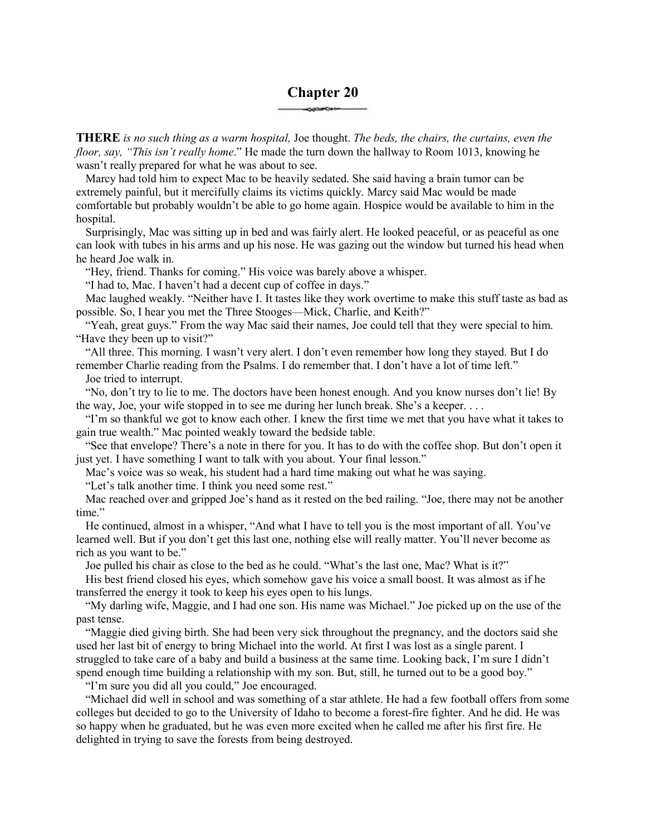<span id="page-54-0"></span>**THERE** *is no such thing as a warm hospital,* Joe thought. *The beds, the chairs, the curtains, even the floor, say, "This isn't really home*." He made the turn down the hallway to Room 1013, knowing he wasn't really prepared for what he was about to see.

Marcy had told him to expect Mac to be heavily sedated. She said having a brain tumor can be extremely painful, but it mercifully claims its victims quickly. Marcy said Mac would be made comfortable but probably wouldn't be able to go home again. Hospice would be available to him in the hospital.

Surprisingly, Mac was sitting up in bed and was fairly alert. He looked peaceful, or as peaceful as one can look with tubes in his arms and up his nose. He was gazing out the window but turned his head when he heard Joe walk in.

"Hey, friend. Thanks for coming." His voice was barely above a whisper.

"I had to, Mac. I haven't had a decent cup of coffee in days."

Mac laughed weakly. "Neither have I. It tastes like they work overtime to make this stuff taste as bad as possible. So, I hear you met the Three Stooges—Mick, Charlie, and Keith?"

"Yeah, great guys." From the way Mac said their names, Joe could tell that they were special to him. "Have they been up to visit?"

"All three. This morning. I wasn't very alert. I don't even remember how long they stayed. But I do remember Charlie reading from the Psalms. I do remember that. I don't have a lot of time left." Joe tried to interrupt.

"No, don't try to lie to me. The doctors have been honest enough. And you know nurses don't lie! By the way, Joe, your wife stopped in to see me during her lunch break. She's a keeper. . . .

"I'm so thankful we got to know each other. I knew the first time we met that you have what it takes to gain true wealth." Mac pointed weakly toward the bedside table.

"See that envelope? There's a note in there for you. It has to do with the coffee shop. But don't open it just yet. I have something I want to talk with you about. Your final lesson."

Mac's voice was so weak, his student had a hard time making out what he was saying.

"Let's talk another time. I think you need some rest."

Mac reached over and gripped Joe's hand as it rested on the bed railing. "Joe, there may not be another time."

He continued, almost in a whisper, "And what I have to tell you is the most important of all. You've learned well. But if you don't get this last one, nothing else will really matter. You'll never become as rich as you want to be."

Joe pulled his chair as close to the bed as he could. "What's the last one, Mac? What is it?"

His best friend closed his eyes, which somehow gave his voice a small boost. It was almost as if he transferred the energy it took to keep his eyes open to his lungs.

"My darling wife, Maggie, and I had one son. His name was Michael." Joe picked up on the use of the past tense.

"Maggie died giving birth. She had been very sick throughout the pregnancy, and the doctors said she used her last bit of energy to bring Michael into the world. At first I was lost as a single parent. I struggled to take care of a baby and build a business at the same time. Looking back, I'm sure I didn't spend enough time building a relationship with my son. But, still, he turned out to be a good boy."

"I'm sure you did all you could," Joe encouraged.

"Michael did well in school and was something of a star athlete. He had a few football offers from some colleges but decided to go to the University of Idaho to become a forest-fire fighter. And he did. He was so happy when he graduated, but he was even more excited when he called me after his first fire. He delighted in trying to save the forests from being destroyed.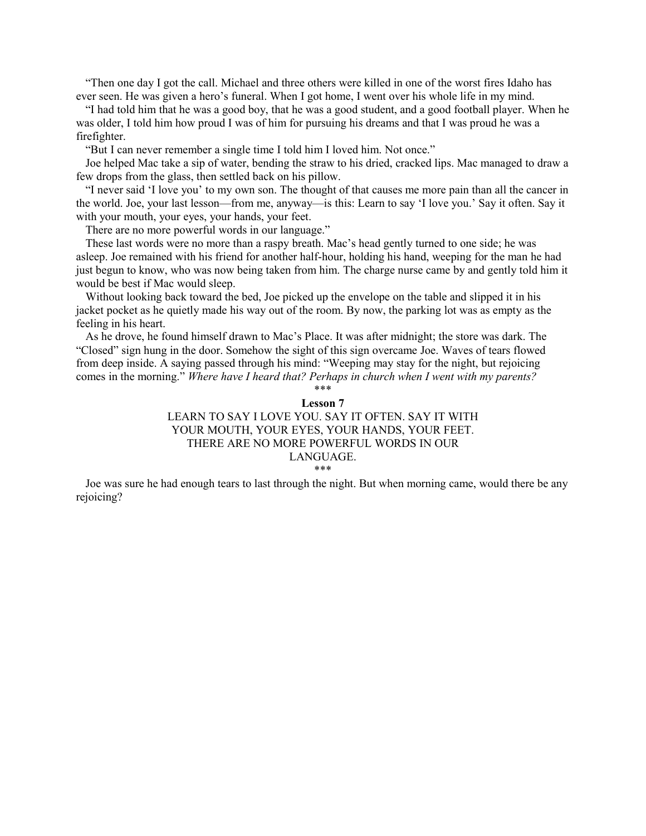"Then one day I got the call. Michael and three others were killed in one of the worst fires Idaho has ever seen. He was given a hero's funeral. When I got home, I went over his whole life in my mind.

"I had told him that he was a good boy, that he was a good student, and a good football player. When he was older, I told him how proud I was of him for pursuing his dreams and that I was proud he was a firefighter.

"But I can never remember a single time I told him I loved him. Not once."

Joe helped Mac take a sip of water, bending the straw to his dried, cracked lips. Mac managed to draw a few drops from the glass, then settled back on his pillow.

"I never said 'I love you' to my own son. The thought of that causes me more pain than all the cancer in the world. Joe, your last lesson—from me, anyway—is this: Learn to say 'I love you.' Say it often. Say it with your mouth, your eyes, your hands, your feet.

There are no more powerful words in our language."

These last words were no more than a raspy breath. Mac's head gently turned to one side; he was asleep. Joe remained with his friend for another half-hour, holding his hand, weeping for the man he had just begun to know, who was now being taken from him. The charge nurse came by and gently told him it would be best if Mac would sleep.

Without looking back toward the bed, Joe picked up the envelope on the table and slipped it in his jacket pocket as he quietly made his way out of the room. By now, the parking lot was as empty as the feeling in his heart.

As he drove, he found himself drawn to Mac's Place. It was after midnight; the store was dark. The "Closed" sign hung in the door. Somehow the sight of this sign overcame Joe. Waves of tears flowed from deep inside. A saying passed through his mind: "Weeping may stay for the night, but rejoicing comes in the morning." *Where have I heard that? Perhaps in church when I went with my parents?* \*\*\*

**Lesson 7**

#### LEARN TO SAY I LOVE YOU. SAY IT OFTEN. SAY IT WITH YOUR MOUTH, YOUR EYES, YOUR HANDS, YOUR FEET. THERE ARE NO MORE POWERFUL WORDS IN OUR LANGUAGE. \*\*\*

Joe was sure he had enough tears to last through the night. But when morning came, would there be any rejoicing?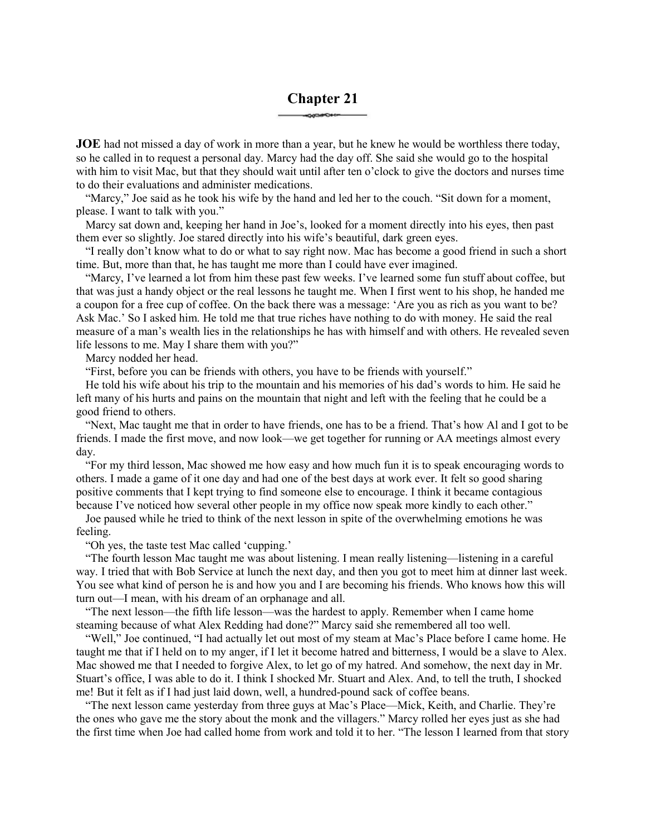<span id="page-56-0"></span>**JOE** had not missed a day of work in more than a year, but he knew he would be worthless there today, so he called in to request a personal day. Marcy had the day off. She said she would go to the hospital with him to visit Mac, but that they should wait until after ten o'clock to give the doctors and nurses time to do their evaluations and administer medications.

"Marcy," Joe said as he took his wife by the hand and led her to the couch. "Sit down for a moment, please. I want to talk with you."

Marcy sat down and, keeping her hand in Joe's, looked for a moment directly into his eyes, then past them ever so slightly. Joe stared directly into his wife's beautiful, dark green eyes.

"I really don't know what to do or what to say right now. Mac has become a good friend in such a short time. But, more than that, he has taught me more than I could have ever imagined.

"Marcy, I've learned a lot from him these past few weeks. I've learned some fun stuff about coffee, but that was just a handy object or the real lessons he taught me. When I first went to his shop, he handed me a coupon for a free cup of coffee. On the back there was a message: 'Are you as rich as you want to be? Ask Mac.' So I asked him. He told me that true riches have nothing to do with money. He said the real measure of a man's wealth lies in the relationships he has with himself and with others. He revealed seven life lessons to me. May I share them with you?"

Marcy nodded her head.

"First, before you can be friends with others, you have to be friends with yourself."

He told his wife about his trip to the mountain and his memories of his dad's words to him. He said he left many of his hurts and pains on the mountain that night and left with the feeling that he could be a good friend to others.

"Next, Mac taught me that in order to have friends, one has to be a friend. That's how Al and I got to be friends. I made the first move, and now look—we get together for running or AA meetings almost every day.

"For my third lesson, Mac showed me how easy and how much fun it is to speak encouraging words to others. I made a game of it one day and had one of the best days at work ever. It felt so good sharing positive comments that I kept trying to find someone else to encourage. I think it became contagious because I've noticed how several other people in my office now speak more kindly to each other."

Joe paused while he tried to think of the next lesson in spite of the overwhelming emotions he was feeling.

"Oh yes, the taste test Mac called 'cupping.'

"The fourth lesson Mac taught me was about listening. I mean really listening—listening in a careful way. I tried that with Bob Service at lunch the next day, and then you got to meet him at dinner last week. You see what kind of person he is and how you and I are becoming his friends. Who knows how this will turn out—I mean, with his dream of an orphanage and all.

"The next lesson—the fifth life lesson—was the hardest to apply. Remember when I came home steaming because of what Alex Redding had done?" Marcy said she remembered all too well.

"Well," Joe continued, "I had actually let out most of my steam at Mac's Place before I came home. He taught me that if I held on to my anger, if I let it become hatred and bitterness, I would be a slave to Alex. Mac showed me that I needed to forgive Alex, to let go of my hatred. And somehow, the next day in Mr. Stuart's office, I was able to do it. I think I shocked Mr. Stuart and Alex. And, to tell the truth, I shocked me! But it felt as if I had just laid down, well, a hundred-pound sack of coffee beans.

"The next lesson came yesterday from three guys at Mac's Place—Mick, Keith, and Charlie. They're the ones who gave me the story about the monk and the villagers." Marcy rolled her eyes just as she had the first time when Joe had called home from work and told it to her. "The lesson I learned from that story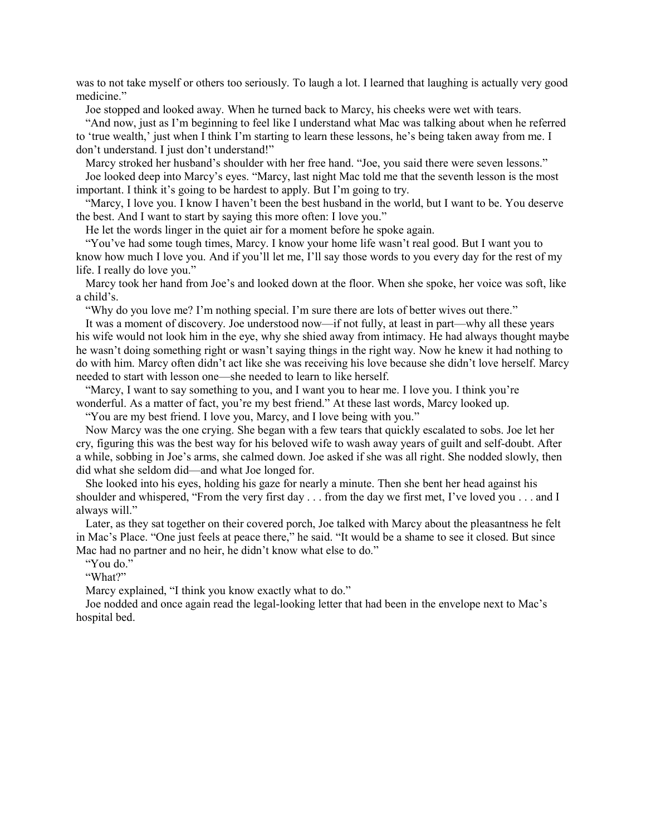was to not take myself or others too seriously. To laugh a lot. I learned that laughing is actually very good medicine."

Joe stopped and looked away. When he turned back to Marcy, his cheeks were wet with tears.

"And now, just as I'm beginning to feel like I understand what Mac was talking about when he referred to 'true wealth,' just when I think I'm starting to learn these lessons, he's being taken away from me. I don't understand. I just don't understand!"

Marcy stroked her husband's shoulder with her free hand. "Joe, you said there were seven lessons."

Joe looked deep into Marcy's eyes. "Marcy, last night Mac told me that the seventh lesson is the most important. I think it's going to be hardest to apply. But I'm going to try.

"Marcy, I love you. I know I haven't been the best husband in the world, but I want to be. You deserve the best. And I want to start by saying this more often: I love you."

He let the words linger in the quiet air for a moment before he spoke again.

"You've had some tough times, Marcy. I know your home life wasn't real good. But I want you to know how much I love you. And if you'll let me, I'll say those words to you every day for the rest of my life. I really do love you."

Marcy took her hand from Joe's and looked down at the floor. When she spoke, her voice was soft, like a child's.

"Why do you love me? I'm nothing special. I'm sure there are lots of better wives out there."

It was a moment of discovery. Joe understood now—if not fully, at least in part—why all these years his wife would not look him in the eye, why she shied away from intimacy. He had always thought maybe he wasn't doing something right or wasn't saying things in the right way. Now he knew it had nothing to do with him. Marcy often didn't act like she was receiving his love because she didn't love herself. Marcy needed to start with lesson one—she needed to learn to like herself.

"Marcy, I want to say something to you, and I want you to hear me. I love you. I think you're wonderful. As a matter of fact, you're my best friend." At these last words, Marcy looked up.

"You are my best friend. I love you, Marcy, and I love being with you."

Now Marcy was the one crying. She began with a few tears that quickly escalated to sobs. Joe let her cry, figuring this was the best way for his beloved wife to wash away years of guilt and self-doubt. After a while, sobbing in Joe's arms, she calmed down. Joe asked if she was all right. She nodded slowly, then did what she seldom did—and what Joe longed for.

She looked into his eyes, holding his gaze for nearly a minute. Then she bent her head against his shoulder and whispered, "From the very first day . . . from the day we first met, I've loved you . . . and I always will."

Later, as they sat together on their covered porch, Joe talked with Marcy about the pleasantness he felt in Mac's Place. "One just feels at peace there," he said. "It would be a shame to see it closed. But since Mac had no partner and no heir, he didn't know what else to do."

"You do."

"What?"

Marcy explained, "I think you know exactly what to do."

Joe nodded and once again read the legal-looking letter that had been in the envelope next to Mac's hospital bed.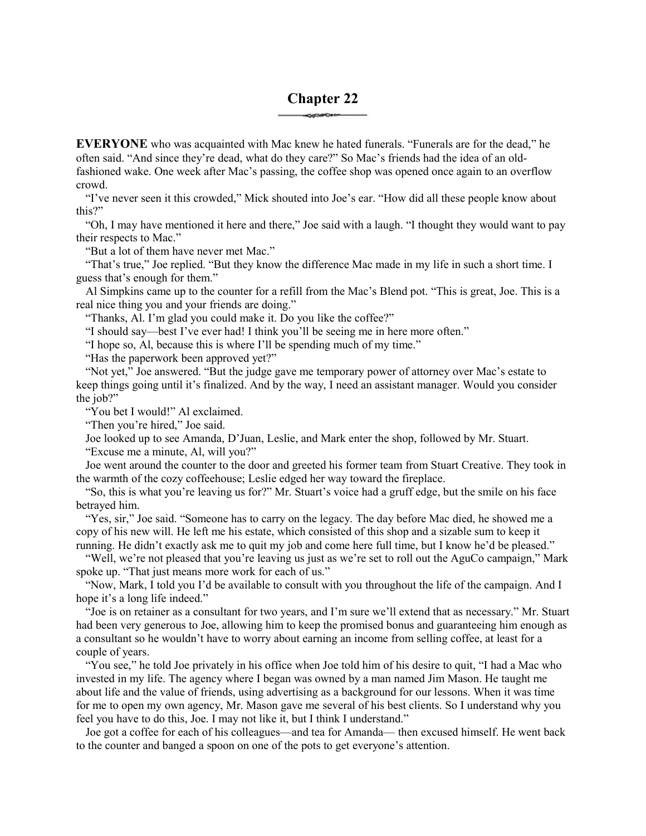<span id="page-58-0"></span>**EVERYONE** who was acquainted with Mac knew he hated funerals. "Funerals are for the dead," he often said. "And since they're dead, what do they care?" So Mac's friends had the idea of an oldfashioned wake. One week after Mac's passing, the coffee shop was opened once again to an overflow crowd.

"I've never seen it this crowded," Mick shouted into Joe's ear. "How did all these people know about this?"

"Oh, I may have mentioned it here and there," Joe said with a laugh. "I thought they would want to pay their respects to Mac."

"But a lot of them have never met Mac."

"That's true," Joe replied. "But they know the difference Mac made in my life in such a short time. I guess that's enough for them."

Al Simpkins came up to the counter for a refill from the Mac's Blend pot. "This is great, Joe. This is a real nice thing you and your friends are doing."

"Thanks, Al. I'm glad you could make it. Do you like the coffee?"

"I should say—best I've ever had! I think you'll be seeing me in here more often."

"I hope so, Al, because this is where I'll be spending much of my time."

"Has the paperwork been approved yet?"

"Not yet," Joe answered. "But the judge gave me temporary power of attorney over Mac's estate to keep things going until it's finalized. And by the way, I need an assistant manager. Would you consider the job?"

"You bet I would!" Al exclaimed.

"Then you're hired," Joe said.

Joe looked up to see Amanda, D'Juan, Leslie, and Mark enter the shop, followed by Mr. Stuart. "Excuse me a minute, Al, will you?"

Joe went around the counter to the door and greeted his former team from Stuart Creative. They took in the warmth of the cozy coffeehouse; Leslie edged her way toward the fireplace.

"So, this is what you're leaving us for?" Mr. Stuart's voice had a gruff edge, but the smile on his face betrayed him.

"Yes, sir," Joe said. "Someone has to carry on the legacy. The day before Mac died, he showed me a copy of his new will. He left me his estate, which consisted of this shop and a sizable sum to keep it running. He didn't exactly ask me to quit my job and come here full time, but I know he'd be pleased."

"Well, we're not pleased that you're leaving us just as we're set to roll out the AguCo campaign," Mark spoke up. "That just means more work for each of us."

"Now, Mark, I told you I'd be available to consult with you throughout the life of the campaign. And I hope it's a long life indeed."

"Joe is on retainer as a consultant for two years, and I'm sure we'll extend that as necessary." Mr. Stuart had been very generous to Joe, allowing him to keep the promised bonus and guaranteeing him enough as a consultant so he wouldn't have to worry about earning an income from selling coffee, at least for a couple of years.

"You see," he told Joe privately in his office when Joe told him of his desire to quit, "I had a Mac who invested in my life. The agency where I began was owned by a man named Jim Mason. He taught me about life and the value of friends, using advertising as a background for our lessons. When it was time for me to open my own agency, Mr. Mason gave me several of his best clients. So I understand why you feel you have to do this, Joe. I may not like it, but I think I understand."

Joe got a coffee for each of his colleagues—and tea for Amanda— then excused himself. He went back to the counter and banged a spoon on one of the pots to get everyone's attention.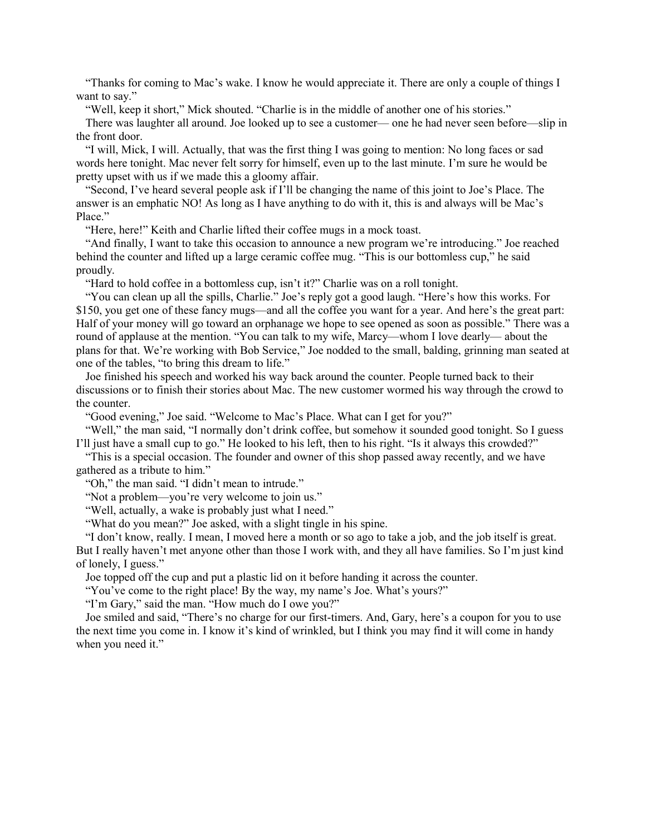"Thanks for coming to Mac's wake. I know he would appreciate it. There are only a couple of things I want to say."

"Well, keep it short," Mick shouted. "Charlie is in the middle of another one of his stories."

There was laughter all around. Joe looked up to see a customer— one he had never seen before—slip in the front door.

"I will, Mick, I will. Actually, that was the first thing I was going to mention: No long faces or sad words here tonight. Mac never felt sorry for himself, even up to the last minute. I'm sure he would be pretty upset with us if we made this a gloomy affair.

"Second, I've heard several people ask if I'll be changing the name of this joint to Joe's Place. The answer is an emphatic NO! As long as I have anything to do with it, this is and always will be Mac's Place."

"Here, here!" Keith and Charlie lifted their coffee mugs in a mock toast.

"And finally, I want to take this occasion to announce a new program we're introducing." Joe reached behind the counter and lifted up a large ceramic coffee mug. "This is our bottomless cup," he said proudly.

"Hard to hold coffee in a bottomless cup, isn't it?" Charlie was on a roll tonight.

"You can clean up all the spills, Charlie." Joe's reply got a good laugh. "Here's how this works. For \$150, you get one of these fancy mugs—and all the coffee you want for a year. And here's the great part: Half of your money will go toward an orphanage we hope to see opened as soon as possible." There was a round of applause at the mention. "You can talk to my wife, Marcy—whom I love dearly— about the plans for that. We're working with Bob Service," Joe nodded to the small, balding, grinning man seated at one of the tables, "to bring this dream to life."

Joe finished his speech and worked his way back around the counter. People turned back to their discussions or to finish their stories about Mac. The new customer wormed his way through the crowd to the counter.

"Good evening," Joe said. "Welcome to Mac's Place. What can I get for you?"

"Well," the man said, "I normally don't drink coffee, but somehow it sounded good tonight. So I guess I'll just have a small cup to go." He looked to his left, then to his right. "Is it always this crowded?"

"This is a special occasion. The founder and owner of this shop passed away recently, and we have gathered as a tribute to him."

"Oh," the man said. "I didn't mean to intrude."

"Not a problem—you're very welcome to join us."

"Well, actually, a wake is probably just what I need."

"What do you mean?" Joe asked, with a slight tingle in his spine.

"I don't know, really. I mean, I moved here a month or so ago to take a job, and the job itself is great. But I really haven't met anyone other than those I work with, and they all have families. So I'm just kind of lonely, I guess."

Joe topped off the cup and put a plastic lid on it before handing it across the counter.

"You've come to the right place! By the way, my name's Joe. What's yours?"

"I'm Gary," said the man. "How much do I owe you?"

Joe smiled and said, "There's no charge for our first-timers. And, Gary, here's a coupon for you to use the next time you come in. I know it's kind of wrinkled, but I think you may find it will come in handy when you need it."